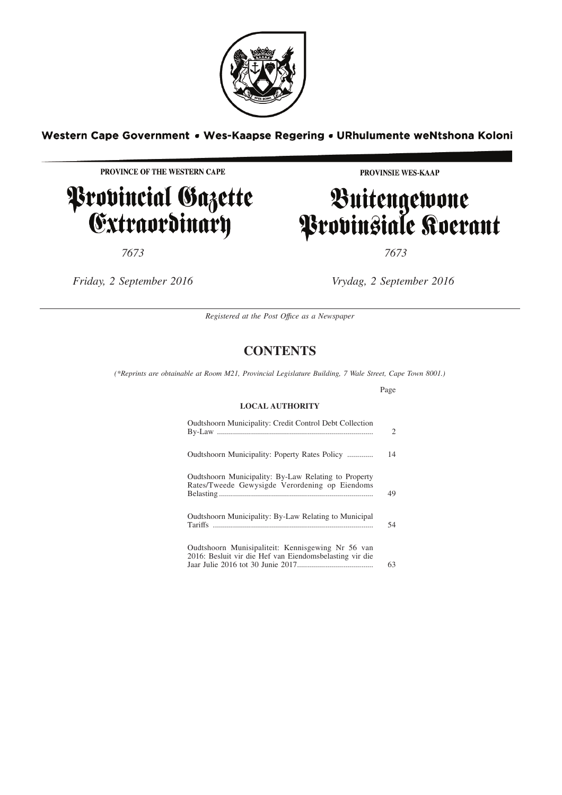

### Western Cape Government . Wes-Kaapse Regering . URhulumente weNtshona Koloni

PROVINCE OF THE WESTERN CAPE

# Provincial Gazette<br>Extraordinary

*7673 7673*

PROVINSIE WES-KAAP

# Buitengewone<br>Provinsiale Koerant

*Friday, 2 September 2016 Vrydag, 2 September 2016*

*Registered at the Post Offıce as a Newspaper*

### **CONTENTS**

*(\*Reprints are obtainable at Room M21, Provincial Legislature Building, 7 Wale Street, Cape Town 8001.)*

Page

#### **LOCAL AUTHORITY**

| Oudtshoorn Municipality: Credit Control Debt Collection                                                      | 2  |
|--------------------------------------------------------------------------------------------------------------|----|
| Oudtshoorn Municipality: Poperty Rates Policy                                                                | 14 |
| Oudtshoorn Municipality: By-Law Relating to Property<br>Rates/Tweede Gewysigde Verordening op Eiendoms       | 49 |
| Oudtshoorn Municipality: By-Law Relating to Municipal                                                        | 54 |
| Oudtshoorn Munisipaliteit: Kennisgewing Nr 56 van<br>2016: Besluit vir die Hef van Eiendomsbelasting vir die | 63 |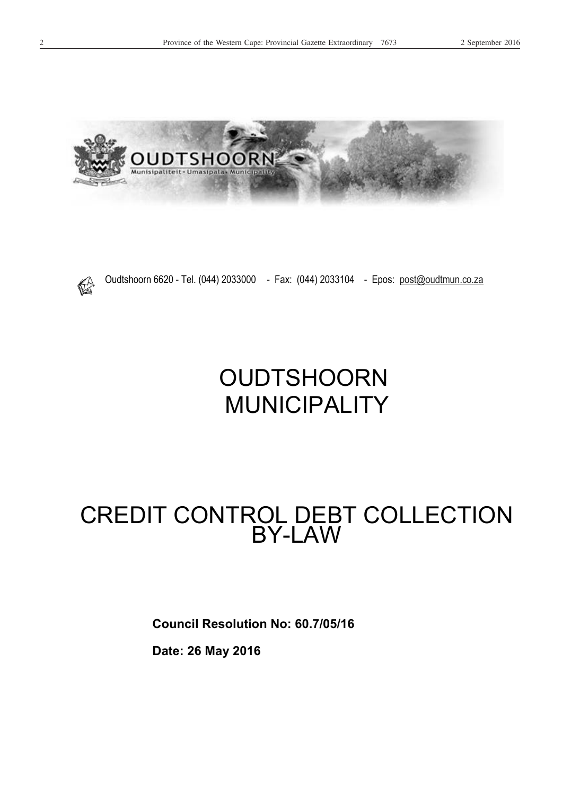





Oudtshoorn 6620 - Tel. (044) 2033000 - Fax: (044) 2033104 - Epos: post@oudtmun.co.za

OUDTSHOORN MUNICIPALITY

## CREDIT CONTROL DEBT COLLECTION BY-LAW

**Council Resolution No: 60.7/05/16** 

**Date: 26 May 2016**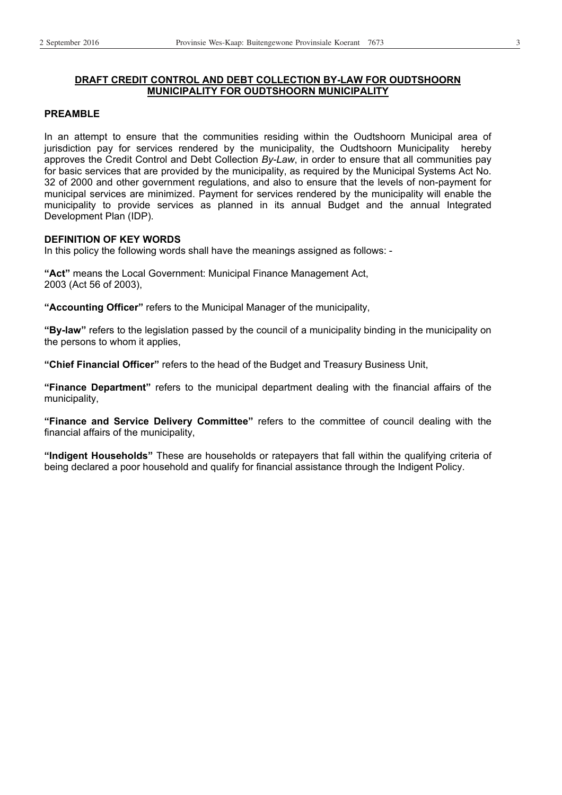#### **DRAFT CREDIT CONTROL AND DEBT COLLECTION BY-LAW FOR OUDTSHOORN MUNICIPALITY FOR OUDTSHOORN MUNICIPALITY**

#### **PREAMBLE**

In an attempt to ensure that the communities residing within the Oudtshoorn Municipal area of jurisdiction pay for services rendered by the municipality, the Oudtshoorn Municipality hereby approves the Credit Control and Debt Collection *By-Law*, in order to ensure that all communities pay for basic services that are provided by the municipality, as required by the Municipal Systems Act No. 32 of 2000 and other government regulations, and also to ensure that the levels of non-payment for municipal services are minimized. Payment for services rendered by the municipality will enable the municipality to provide services as planned in its annual Budget and the annual Integrated Development Plan (IDP).

#### **DEFINITION OF KEY WORDS**

In this policy the following words shall have the meanings assigned as follows: -

**"Act"** means the Local Government: Municipal Finance Management Act, 2003 (Act 56 of 2003),

**"Accounting Officer"** refers to the Municipal Manager of the municipality,

**"By-law"** refers to the legislation passed by the council of a municipality binding in the municipality on the persons to whom it applies,

**"Chief Financial Officer"** refers to the head of the Budget and Treasury Business Unit,

**"Finance Department"** refers to the municipal department dealing with the financial affairs of the municipality,

**"Finance and Service Delivery Committee"** refers to the committee of council dealing with the financial affairs of the municipality,

**"Indigent Households"** These are households or ratepayers that fall within the qualifying criteria of being declared a poor household and qualify for financial assistance through the Indigent Policy.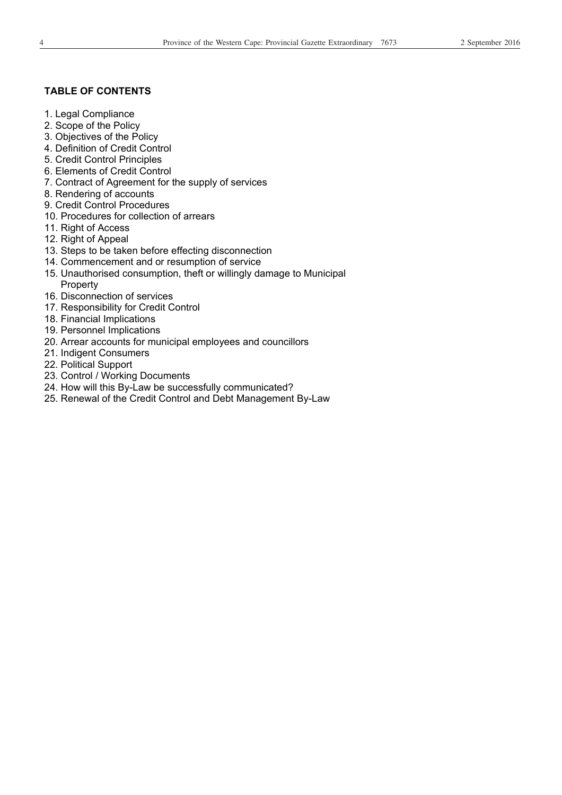#### **TABLE OF CONTENTS**

- 1. Legal Compliance
- 2. Scope of the Policy
- 3. Objectives of the Policy
- 4. Definition of Credit Control
- 5. Credit Control Principles
- 6. Elements of Credit Control
- 7. Contract of Agreement for the supply of services
- 8. Rendering of accounts
- 9. Credit Control Procedures
- 10. Procedures for collection of arrears
- 11. Right of Access
- 12. Right of Appeal
- 13. Steps to be taken before effecting disconnection
- 14. Commencement and or resumption of service
- 15. Unauthorised consumption, theft or willingly damage to Municipal Property
- 16. Disconnection of services
- 17. Responsibility for Credit Control
- 18. Financial Implications
- 19. Personnel Implications
- 20. Arrear accounts for municipal employees and councillors
- 21. Indigent Consumers
- 22. Political Support
- 23. Control / Working Documents
- 24. How will this By-Law be successfully communicated?
- 25. Renewal of the Credit Control and Debt Management By-Law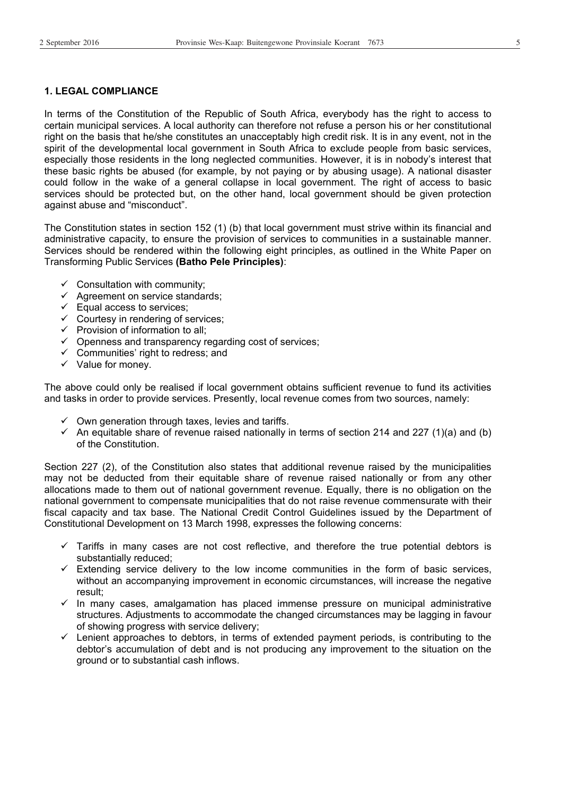#### **1. LEGAL COMPLIANCE**

In terms of the Constitution of the Republic of South Africa, everybody has the right to access to certain municipal services. A local authority can therefore not refuse a person his or her constitutional right on the basis that he/she constitutes an unacceptably high credit risk. It is in any event, not in the spirit of the developmental local government in South Africa to exclude people from basic services, especially those residents in the long neglected communities. However, it is in nobody's interest that these basic rights be abused (for example, by not paying or by abusing usage). A national disaster could follow in the wake of a general collapse in local government. The right of access to basic services should be protected but, on the other hand, local government should be given protection against abuse and "misconduct".

The Constitution states in section 152 (1) (b) that local government must strive within its financial and administrative capacity, to ensure the provision of services to communities in a sustainable manner. Services should be rendered within the following eight principles, as outlined in the White Paper on Transforming Public Services **(Batho Pele Principles)**:

- $\checkmark$  Consultation with community;
- $\checkmark$  Agreement on service standards;
- $\checkmark$  Equal access to services;
- $\checkmark$  Courtesy in rendering of services;
- $\checkmark$  Provision of information to all;
- $\checkmark$  Openness and transparency regarding cost of services;
- $\checkmark$  Communities' right to redress; and
- $\checkmark$  Value for money.

The above could only be realised if local government obtains sufficient revenue to fund its activities and tasks in order to provide services. Presently, local revenue comes from two sources, namely:

- $\checkmark$  Own generation through taxes, levies and tariffs.
- $\checkmark$  An equitable share of revenue raised nationally in terms of section 214 and 227 (1)(a) and (b) of the Constitution.

Section 227 (2), of the Constitution also states that additional revenue raised by the municipalities may not be deducted from their equitable share of revenue raised nationally or from any other allocations made to them out of national government revenue. Equally, there is no obligation on the national government to compensate municipalities that do not raise revenue commensurate with their fiscal capacity and tax base. The National Credit Control Guidelines issued by the Department of Constitutional Development on 13 March 1998, expresses the following concerns:

- $\checkmark$  Tariffs in many cases are not cost reflective, and therefore the true potential debtors is substantially reduced;
- $\checkmark$  Extending service delivery to the low income communities in the form of basic services, without an accompanying improvement in economic circumstances, will increase the negative result;
- $\checkmark$  In many cases, amalgamation has placed immense pressure on municipal administrative structures. Adjustments to accommodate the changed circumstances may be lagging in favour of showing progress with service delivery;
- $\checkmark$  Lenient approaches to debtors, in terms of extended payment periods, is contributing to the debtor's accumulation of debt and is not producing any improvement to the situation on the ground or to substantial cash inflows.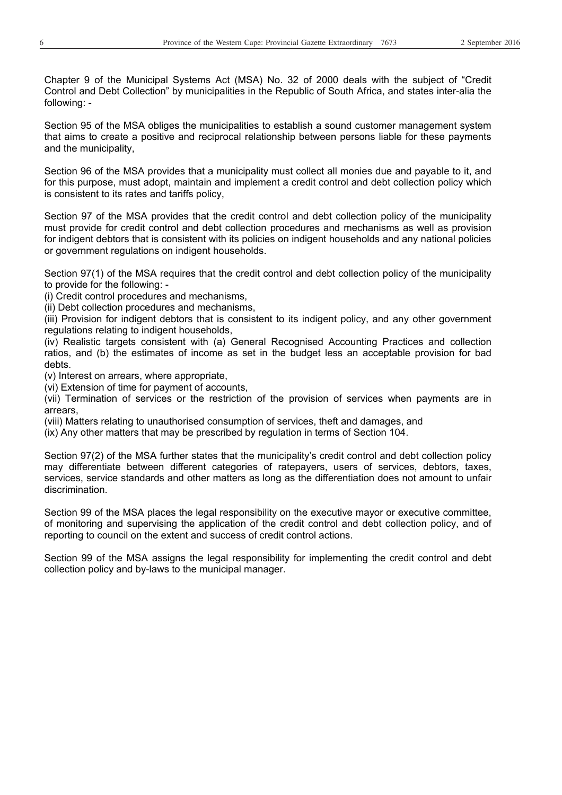Chapter 9 of the Municipal Systems Act (MSA) No. 32 of 2000 deals with the subject of "Credit Control and Debt Collection" by municipalities in the Republic of South Africa, and states inter-alia the following: -

Section 95 of the MSA obliges the municipalities to establish a sound customer management system that aims to create a positive and reciprocal relationship between persons liable for these payments and the municipality,

Section 96 of the MSA provides that a municipality must collect all monies due and payable to it, and for this purpose, must adopt, maintain and implement a credit control and debt collection policy which is consistent to its rates and tariffs policy,

Section 97 of the MSA provides that the credit control and debt collection policy of the municipality must provide for credit control and debt collection procedures and mechanisms as well as provision for indigent debtors that is consistent with its policies on indigent households and any national policies or government regulations on indigent households.

Section 97(1) of the MSA requires that the credit control and debt collection policy of the municipality to provide for the following: -

(i) Credit control procedures and mechanisms,

(ii) Debt collection procedures and mechanisms,

(iii) Provision for indigent debtors that is consistent to its indigent policy, and any other government regulations relating to indigent households,

(iv) Realistic targets consistent with (a) General Recognised Accounting Practices and collection ratios, and (b) the estimates of income as set in the budget less an acceptable provision for bad debts.

(v) Interest on arrears, where appropriate,

(vi) Extension of time for payment of accounts,

(vii) Termination of services or the restriction of the provision of services when payments are in arrears,

(viii) Matters relating to unauthorised consumption of services, theft and damages, and

(ix) Any other matters that may be prescribed by regulation in terms of Section 104.

Section 97(2) of the MSA further states that the municipality's credit control and debt collection policy may differentiate between different categories of ratepayers, users of services, debtors, taxes, services, service standards and other matters as long as the differentiation does not amount to unfair discrimination.

Section 99 of the MSA places the legal responsibility on the executive mayor or executive committee, of monitoring and supervising the application of the credit control and debt collection policy, and of reporting to council on the extent and success of credit control actions.

Section 99 of the MSA assigns the legal responsibility for implementing the credit control and debt collection policy and by-laws to the municipal manager.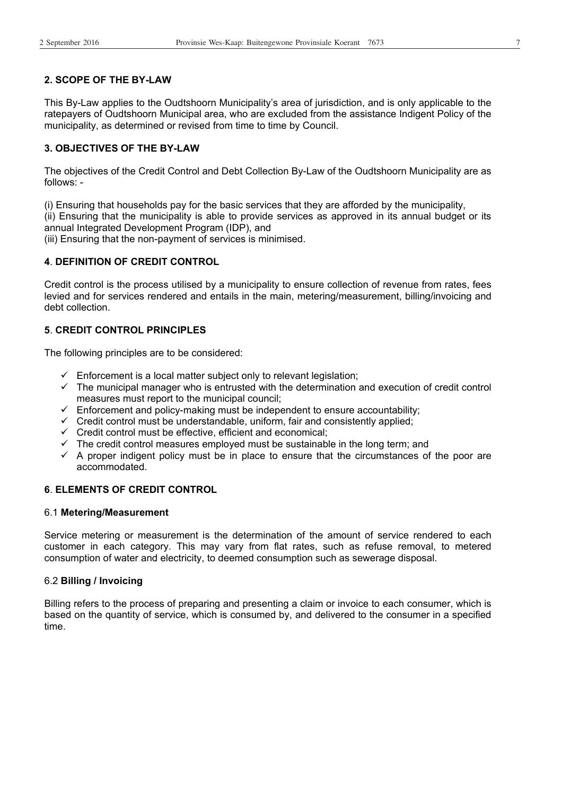#### **2. SCOPE OF THE BY-LAW**

This By-Law applies to the Oudtshoorn Municipality's area of jurisdiction, and is only applicable to the ratepayers of Oudtshoorn Municipal area, who are excluded from the assistance Indigent Policy of the municipality, as determined or revised from time to time by Council.

#### **3. OBJECTIVES OF THE BY-LAW**

The objectives of the Credit Control and Debt Collection By-Law of the Oudtshoorn Municipality are as follows: -

(i) Ensuring that households pay for the basic services that they are afforded by the municipality, (ii) Ensuring that the municipality is able to provide services as approved in its annual budget or its annual Integrated Development Program (IDP), and

(iii) Ensuring that the non-payment of services is minimised.

#### **4**. **DEFINITION OF CREDIT CONTROL**

Credit control is the process utilised by a municipality to ensure collection of revenue from rates, fees levied and for services rendered and entails in the main, metering/measurement, billing/invoicing and debt collection.

#### **5**. **CREDIT CONTROL PRINCIPLES**

The following principles are to be considered:

- $\checkmark$  Enforcement is a local matter subject only to relevant legislation;
- $\checkmark$  The municipal manager who is entrusted with the determination and execution of credit control measures must report to the municipal council;
- $\checkmark$  Enforcement and policy-making must be independent to ensure accountability;
- $\checkmark$  Credit control must be understandable, uniform, fair and consistently applied;
- $\checkmark$  Credit control must be effective, efficient and economical;
- $\checkmark$  The credit control measures employed must be sustainable in the long term; and
- $\checkmark$  A proper indigent policy must be in place to ensure that the circumstances of the poor are accommodated.

#### **6**. **ELEMENTS OF CREDIT CONTROL**

#### 6.1 **Metering/Measurement**

Service metering or measurement is the determination of the amount of service rendered to each customer in each category. This may vary from flat rates, such as refuse removal, to metered consumption of water and electricity, to deemed consumption such as sewerage disposal.

#### 6.2 **Billing / Invoicing**

Billing refers to the process of preparing and presenting a claim or invoice to each consumer, which is based on the quantity of service, which is consumed by, and delivered to the consumer in a specified time.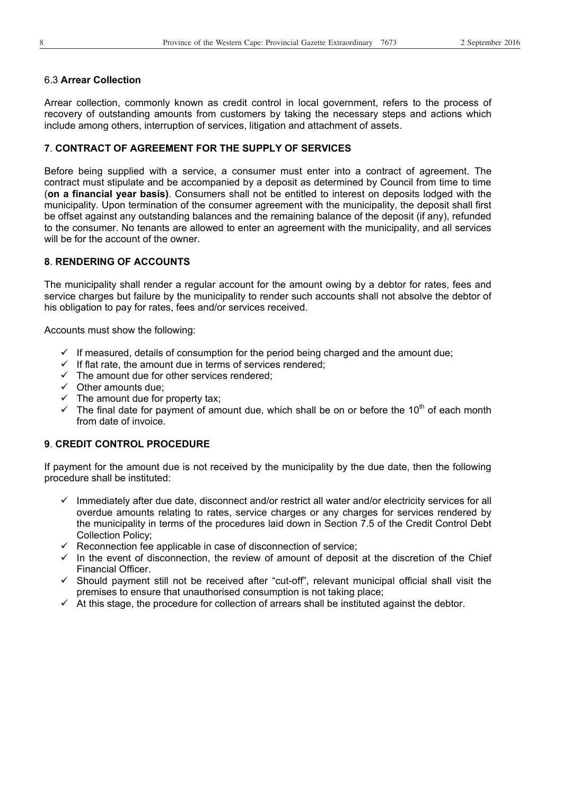#### 6.3 **Arrear Collection**

Arrear collection, commonly known as credit control in local government, refers to the process of recovery of outstanding amounts from customers by taking the necessary steps and actions which include among others, interruption of services, litigation and attachment of assets.

#### **7**. **CONTRACT OF AGREEMENT FOR THE SUPPLY OF SERVICES**

Before being supplied with a service, a consumer must enter into a contract of agreement. The contract must stipulate and be accompanied by a deposit as determined by Council from time to time (**on a financial year basis)**. Consumers shall not be entitled to interest on deposits lodged with the municipality. Upon termination of the consumer agreement with the municipality, the deposit shall first be offset against any outstanding balances and the remaining balance of the deposit (if any), refunded to the consumer. No tenants are allowed to enter an agreement with the municipality, and all services will be for the account of the owner.

#### **8**. **RENDERING OF ACCOUNTS**

The municipality shall render a regular account for the amount owing by a debtor for rates, fees and service charges but failure by the municipality to render such accounts shall not absolve the debtor of his obligation to pay for rates, fees and/or services received.

Accounts must show the following:

- $\checkmark$  If measured, details of consumption for the period being charged and the amount due;
- $\checkmark$  If flat rate, the amount due in terms of services rendered;
- $\checkmark$  The amount due for other services rendered;
- $\checkmark$  Other amounts due;
- $\checkmark$  The amount due for property tax;
- $\checkmark$  The final date for payment of amount due, which shall be on or before the 10<sup>th</sup> of each month from date of invoice.

#### **9**. **CREDIT CONTROL PROCEDURE**

If payment for the amount due is not received by the municipality by the due date, then the following procedure shall be instituted:

- $\checkmark$  Immediately after due date, disconnect and/or restrict all water and/or electricity services for all overdue amounts relating to rates, service charges or any charges for services rendered by the municipality in terms of the procedures laid down in Section 7.5 of the Credit Control Debt Collection Policy;
- $\checkmark$  Reconnection fee applicable in case of disconnection of service;
- $\checkmark$  In the event of disconnection, the review of amount of deposit at the discretion of the Chief Financial Officer.
- $\checkmark$  Should payment still not be received after "cut-off", relevant municipal official shall visit the premises to ensure that unauthorised consumption is not taking place;
- $\checkmark$  At this stage, the procedure for collection of arrears shall be instituted against the debtor.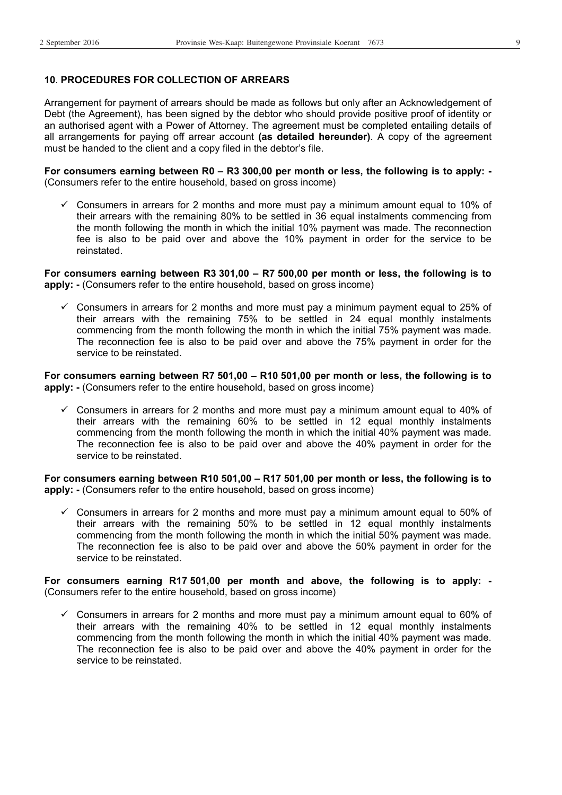#### **10**. **PROCEDURES FOR COLLECTION OF ARREARS**

Arrangement for payment of arrears should be made as follows but only after an Acknowledgement of Debt (the Agreement), has been signed by the debtor who should provide positive proof of identity or an authorised agent with a Power of Attorney. The agreement must be completed entailing details of all arrangements for paying off arrear account **(as detailed hereunder)**. A copy of the agreement must be handed to the client and a copy filed in the debtor's file.

**For consumers earning between R0 – R3 300,00 per month or less, the following is to apply: -**  (Consumers refer to the entire household, based on gross income)

 $\checkmark$  Consumers in arrears for 2 months and more must pay a minimum amount equal to 10% of their arrears with the remaining 80% to be settled in 36 equal instalments commencing from the month following the month in which the initial 10% payment was made. The reconnection fee is also to be paid over and above the 10% payment in order for the service to be reinstated.

**For consumers earning between R3 301,00 – R7 500,00 per month or less, the following is to apply:** - (Consumers refer to the entire household, based on gross income)

 $\checkmark$  Consumers in arrears for 2 months and more must pay a minimum payment equal to 25% of their arrears with the remaining 75% to be settled in 24 equal monthly instalments commencing from the month following the month in which the initial 75% payment was made. The reconnection fee is also to be paid over and above the 75% payment in order for the service to be reinstated.

**For consumers earning between R7 501,00 – R10 501,00 per month or less, the following is to apply: -** (Consumers refer to the entire household, based on gross income)

 $\checkmark$  Consumers in arrears for 2 months and more must pay a minimum amount equal to 40% of their arrears with the remaining 60% to be settled in 12 equal monthly instalments commencing from the month following the month in which the initial 40% payment was made. The reconnection fee is also to be paid over and above the 40% payment in order for the service to be reinstated.

**For consumers earning between R10 501,00 – R17 501,00 per month or less, the following is to apply:** - (Consumers refer to the entire household, based on gross income)

 $\checkmark$  Consumers in arrears for 2 months and more must pay a minimum amount equal to 50% of their arrears with the remaining 50% to be settled in 12 equal monthly instalments commencing from the month following the month in which the initial 50% payment was made. The reconnection fee is also to be paid over and above the 50% payment in order for the service to be reinstated.

**For consumers earning R17 501,00 per month and above, the following is to apply: -**  (Consumers refer to the entire household, based on gross income)

 $\checkmark$  Consumers in arrears for 2 months and more must pay a minimum amount equal to 60% of their arrears with the remaining 40% to be settled in 12 equal monthly instalments commencing from the month following the month in which the initial 40% payment was made. The reconnection fee is also to be paid over and above the 40% payment in order for the service to be reinstated.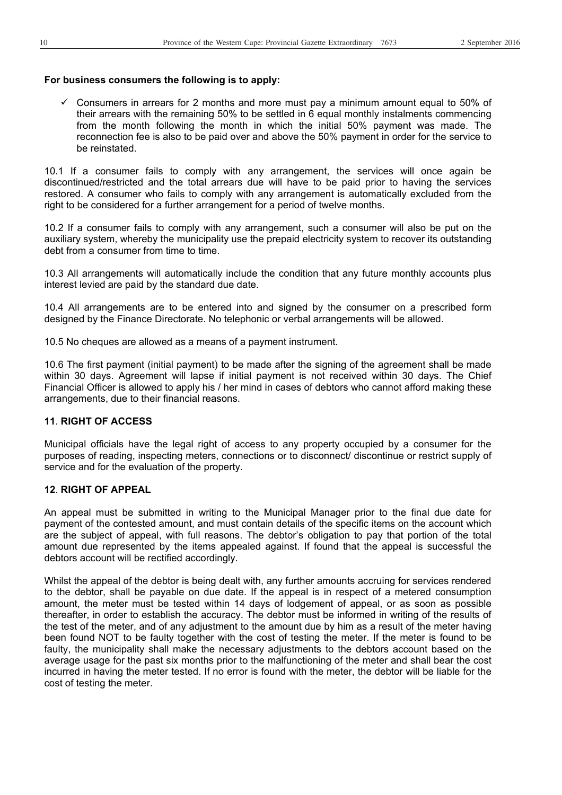#### **For business consumers the following is to apply:**

 $\checkmark$  Consumers in arrears for 2 months and more must pay a minimum amount equal to 50% of their arrears with the remaining 50% to be settled in 6 equal monthly instalments commencing from the month following the month in which the initial 50% payment was made. The reconnection fee is also to be paid over and above the 50% payment in order for the service to be reinstated.

10.1 If a consumer fails to comply with any arrangement, the services will once again be discontinued/restricted and the total arrears due will have to be paid prior to having the services restored. A consumer who fails to comply with any arrangement is automatically excluded from the right to be considered for a further arrangement for a period of twelve months.

10.2 If a consumer fails to comply with any arrangement, such a consumer will also be put on the auxiliary system, whereby the municipality use the prepaid electricity system to recover its outstanding debt from a consumer from time to time.

10.3 All arrangements will automatically include the condition that any future monthly accounts plus interest levied are paid by the standard due date.

10.4 All arrangements are to be entered into and signed by the consumer on a prescribed form designed by the Finance Directorate. No telephonic or verbal arrangements will be allowed.

10.5 No cheques are allowed as a means of a payment instrument.

10.6 The first payment (initial payment) to be made after the signing of the agreement shall be made within 30 days. Agreement will lapse if initial payment is not received within 30 days. The Chief Financial Officer is allowed to apply his / her mind in cases of debtors who cannot afford making these arrangements, due to their financial reasons.

#### **11**. **RIGHT OF ACCESS**

Municipal officials have the legal right of access to any property occupied by a consumer for the purposes of reading, inspecting meters, connections or to disconnect/ discontinue or restrict supply of service and for the evaluation of the property.

#### **12**. **RIGHT OF APPEAL**

An appeal must be submitted in writing to the Municipal Manager prior to the final due date for payment of the contested amount, and must contain details of the specific items on the account which are the subject of appeal, with full reasons. The debtor's obligation to pay that portion of the total amount due represented by the items appealed against. If found that the appeal is successful the debtors account will be rectified accordingly.

Whilst the appeal of the debtor is being dealt with, any further amounts accruing for services rendered to the debtor, shall be payable on due date. If the appeal is in respect of a metered consumption amount, the meter must be tested within 14 days of lodgement of appeal, or as soon as possible thereafter, in order to establish the accuracy. The debtor must be informed in writing of the results of the test of the meter, and of any adjustment to the amount due by him as a result of the meter having been found NOT to be faulty together with the cost of testing the meter. If the meter is found to be faulty, the municipality shall make the necessary adjustments to the debtors account based on the average usage for the past six months prior to the malfunctioning of the meter and shall bear the cost incurred in having the meter tested. If no error is found with the meter, the debtor will be liable for the cost of testing the meter.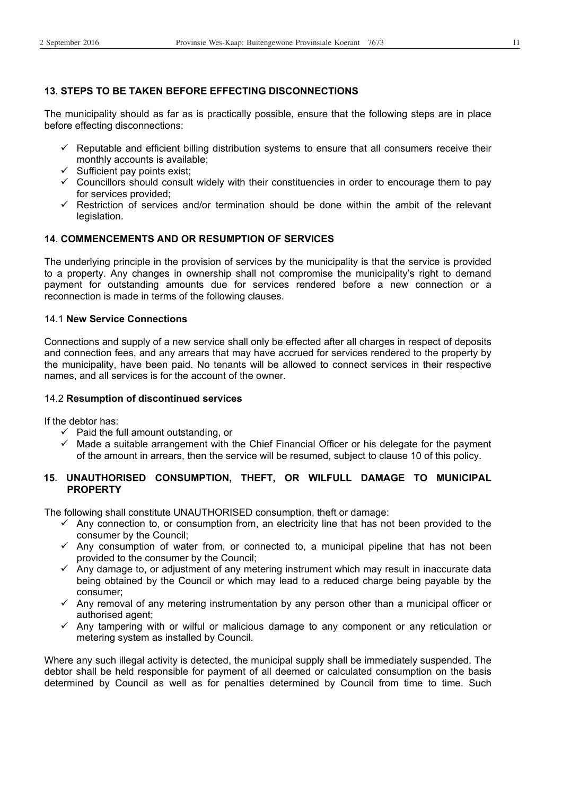#### **13**. **STEPS TO BE TAKEN BEFORE EFFECTING DISCONNECTIONS**

The municipality should as far as is practically possible, ensure that the following steps are in place before effecting disconnections:

- $\checkmark$  Reputable and efficient billing distribution systems to ensure that all consumers receive their monthly accounts is available;
- $\checkmark$  Sufficient pay points exist;
- $\checkmark$  Councillors should consult widely with their constituencies in order to encourage them to pay for services provided;
- $\checkmark$  Restriction of services and/or termination should be done within the ambit of the relevant legislation.

#### **14**. **COMMENCEMENTS AND OR RESUMPTION OF SERVICES**

The underlying principle in the provision of services by the municipality is that the service is provided to a property. Any changes in ownership shall not compromise the municipality's right to demand payment for outstanding amounts due for services rendered before a new connection or a reconnection is made in terms of the following clauses.

#### 14.1 **New Service Connections**

Connections and supply of a new service shall only be effected after all charges in respect of deposits and connection fees, and any arrears that may have accrued for services rendered to the property by the municipality, have been paid. No tenants will be allowed to connect services in their respective names, and all services is for the account of the owner.

#### 14.2 **Resumption of discontinued services**

If the debtor has:

- $\checkmark$  Paid the full amount outstanding, or
- $\checkmark$  Made a suitable arrangement with the Chief Financial Officer or his delegate for the payment of the amount in arrears, then the service will be resumed, subject to clause 10 of this policy.

#### **15**. **UNAUTHORISED CONSUMPTION, THEFT, OR WILFULL DAMAGE TO MUNICIPAL PROPERTY**

The following shall constitute UNAUTHORISED consumption, theft or damage:

- $\checkmark$  Any connection to, or consumption from, an electricity line that has not been provided to the consumer by the Council;
- $\checkmark$  Any consumption of water from, or connected to, a municipal pipeline that has not been provided to the consumer by the Council;
- $\checkmark$  Any damage to, or adjustment of any metering instrument which may result in inaccurate data being obtained by the Council or which may lead to a reduced charge being payable by the consumer;
- $\checkmark$  Any removal of any metering instrumentation by any person other than a municipal officer or authorised agent;
- $\checkmark$  Any tampering with or wilful or malicious damage to any component or any reticulation or metering system as installed by Council.

Where any such illegal activity is detected, the municipal supply shall be immediately suspended. The debtor shall be held responsible for payment of all deemed or calculated consumption on the basis determined by Council as well as for penalties determined by Council from time to time. Such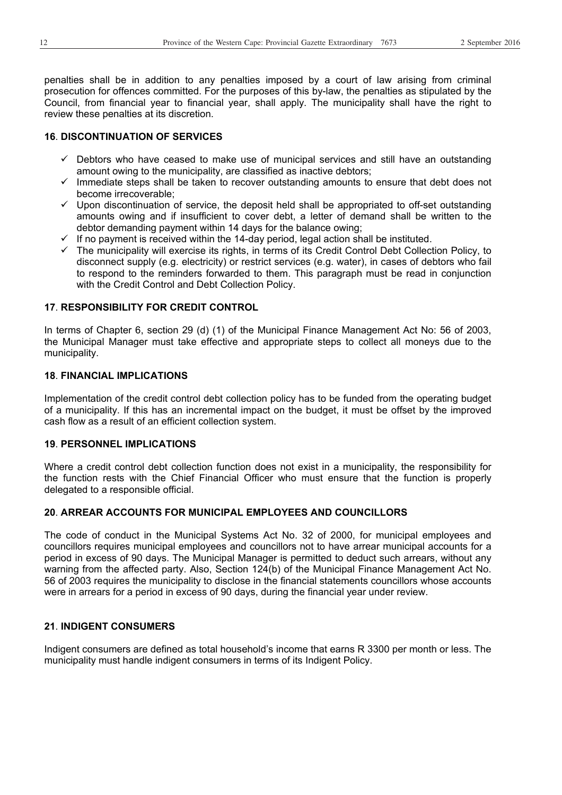penalties shall be in addition to any penalties imposed by a court of law arising from criminal prosecution for offences committed. For the purposes of this by-law, the penalties as stipulated by the Council, from financial year to financial year, shall apply. The municipality shall have the right to review these penalties at its discretion.

#### **16**. **DISCONTINUATION OF SERVICES**

- $\checkmark$  Debtors who have ceased to make use of municipal services and still have an outstanding amount owing to the municipality, are classified as inactive debtors;
- $\checkmark$  Immediate steps shall be taken to recover outstanding amounts to ensure that debt does not become irrecoverable;
- $\checkmark$  Upon discontinuation of service, the deposit held shall be appropriated to off-set outstanding amounts owing and if insufficient to cover debt, a letter of demand shall be written to the debtor demanding payment within 14 days for the balance owing;
- $\checkmark$  If no payment is received within the 14-day period, legal action shall be instituted.
- $\checkmark$  The municipality will exercise its rights, in terms of its Credit Control Debt Collection Policy, to disconnect supply (e.g. electricity) or restrict services (e.g. water), in cases of debtors who fail to respond to the reminders forwarded to them. This paragraph must be read in conjunction with the Credit Control and Debt Collection Policy.

#### **17**. **RESPONSIBILITY FOR CREDIT CONTROL**

In terms of Chapter 6, section 29 (d) (1) of the Municipal Finance Management Act No: 56 of 2003, the Municipal Manager must take effective and appropriate steps to collect all moneys due to the municipality.

#### **18**. **FINANCIAL IMPLICATIONS**

Implementation of the credit control debt collection policy has to be funded from the operating budget of a municipality. If this has an incremental impact on the budget, it must be offset by the improved cash flow as a result of an efficient collection system.

#### **19**. **PERSONNEL IMPLICATIONS**

Where a credit control debt collection function does not exist in a municipality, the responsibility for the function rests with the Chief Financial Officer who must ensure that the function is properly delegated to a responsible official.

#### **20**. **ARREAR ACCOUNTS FOR MUNICIPAL EMPLOYEES AND COUNCILLORS**

The code of conduct in the Municipal Systems Act No. 32 of 2000, for municipal employees and councillors requires municipal employees and councillors not to have arrear municipal accounts for a period in excess of 90 days. The Municipal Manager is permitted to deduct such arrears, without any warning from the affected party. Also, Section 124(b) of the Municipal Finance Management Act No. 56 of 2003 requires the municipality to disclose in the financial statements councillors whose accounts were in arrears for a period in excess of 90 days, during the financial year under review.

#### **21**. **INDIGENT CONSUMERS**

Indigent consumers are defined as total household's income that earns R 3300 per month or less. The municipality must handle indigent consumers in terms of its Indigent Policy.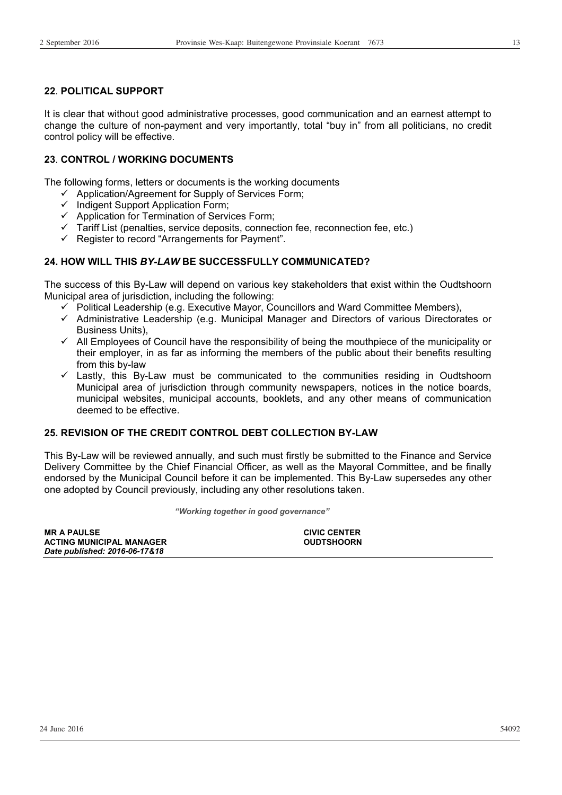#### **22**. **POLITICAL SUPPORT**

It is clear that without good administrative processes, good communication and an earnest attempt to change the culture of non-payment and very importantly, total "buy in" from all politicians, no credit control policy will be effective.

#### **23**. **CONTROL / WORKING DOCUMENTS**

The following forms, letters or documents is the working documents

- $\checkmark$  Application/Agreement for Supply of Services Form;
- $\checkmark$  Indigent Support Application Form;
- $\checkmark$  Application for Termination of Services Form;
- $\checkmark$  Tariff List (penalties, service deposits, connection fee, reconnection fee, etc.)
- $\checkmark$  Register to record "Arrangements for Payment".

#### **24. HOW WILL THIS** *BY-LAW* **BE SUCCESSFULLY COMMUNICATED?**

The success of this By-Law will depend on various key stakeholders that exist within the Oudtshoorn Municipal area of jurisdiction, including the following:

- $\checkmark$  Political Leadership (e.g. Executive Mayor, Councillors and Ward Committee Members),
- $\checkmark$  Administrative Leadership (e.g. Municipal Manager and Directors of various Directorates or Business Units),
- $\checkmark$  All Employees of Council have the responsibility of being the mouthpiece of the municipality or their employer, in as far as informing the members of the public about their benefits resulting from this by-law
- $\checkmark$  Lastly, this By-Law must be communicated to the communities residing in Oudtshoorn Municipal area of jurisdiction through community newspapers, notices in the notice boards, municipal websites, municipal accounts, booklets, and any other means of communication deemed to be effective.

#### **25. REVISION OF THE CREDIT CONTROL DEBT COLLECTION BY-LAW**

This By-Law will be reviewed annually, and such must firstly be submitted to the Finance and Service Delivery Committee by the Chief Financial Officer, as well as the Mayoral Committee, and be finally endorsed by the Municipal Council before it can be implemented. This By-Law supersedes any other one adopted by Council previously, including any other resolutions taken.

*"Working together in good governance"* 

| <b>MR A PAULSE</b>              | <b>CIVIC CENTER</b> |
|---------------------------------|---------------------|
| <b>ACTING MUNICIPAL MANAGER</b> | <b>OUDTSHOORN</b>   |
| Date published: 2016-06-17&18   |                     |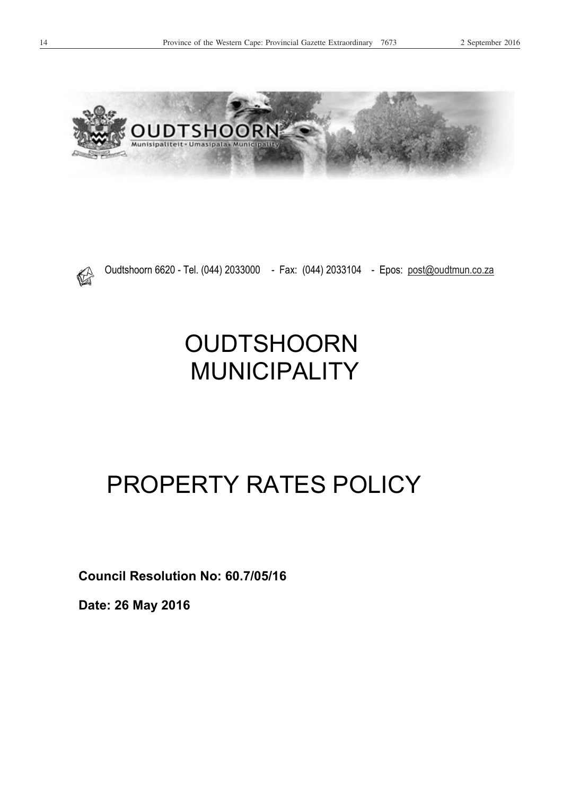



Oudtshoorn 6620 - Tel. (044) 2033000 - Fax: (044) 2033104 - Epos: post@oudtmun.co.za

## **OUDTSHOORN** MUNICIPALITY

## PROPERTY RATES POLICY

**Council Resolution No: 60.7/05/16** 

**Date: 26 May 2016**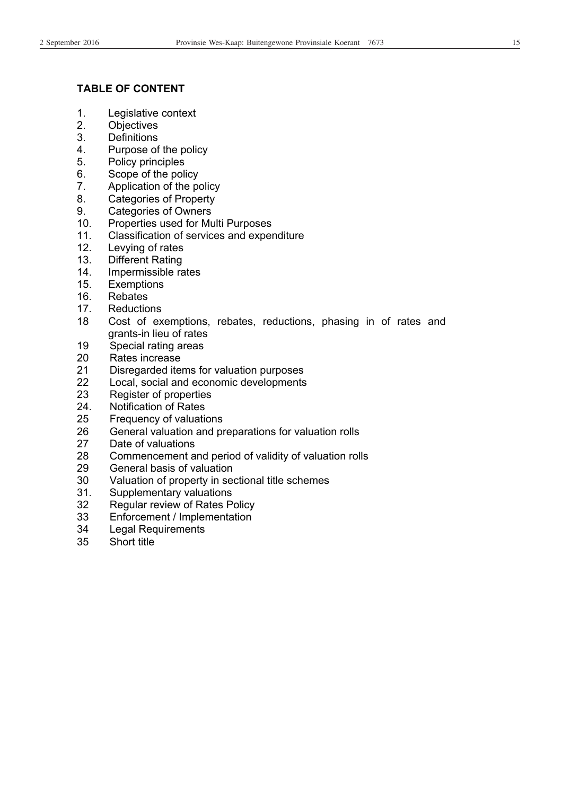#### **TABLE OF CONTENT**

- 1. Legislative context
- 2. Objectives
- 3. Definitions
- Purpose of the policy
- 5. Policy principles
- 6. Scope of the policy
- 7. Application of the policy
- 8. Categories of Property
- 9. Categories of Owners
- 10. Properties used for Multi Purposes
- 11. Classification of services and expenditure
- 12. Levying of rates
- 13. Different Rating
- 14. Impermissible rates
- 15. Exemptions
- 16. Rebates
- 17. Reductions
- 18 Cost of exemptions, rebates, reductions, phasing in of rates and grants-in lieu of rates
- 19 Special rating areas
- 20 Rates increase
- 21 Disregarded items for valuation purposes
- 22 Local, social and economic developments
- 23 Register of properties
- 24. Notification of Rates
- 25 Frequency of valuations
- 26 General valuation and preparations for valuation rolls
- 27 Date of valuations
- 28 Commencement and period of validity of valuation rolls
- 29 General basis of valuation
- 30 Valuation of property in sectional title schemes
- 31. Supplementary valuations
- 32 Regular review of Rates Policy
- 33 Enforcement / Implementation
- 34 Legal Requirements
- 35 Short title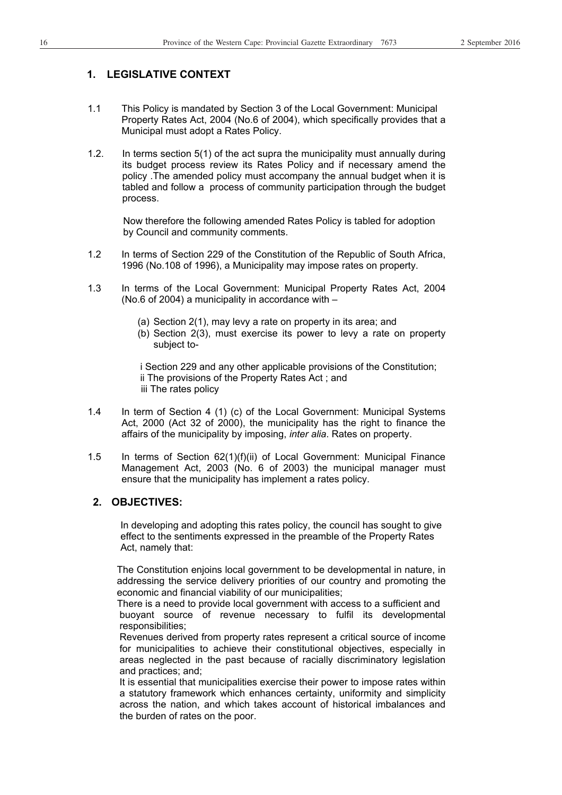#### **1. LEGISLATIVE CONTEXT**

- 1.1 This Policy is mandated by Section 3 of the Local Government: Municipal Property Rates Act, 2004 (No.6 of 2004), which specifically provides that a Municipal must adopt a Rates Policy.
- 1.2. In terms section 5(1) of the act supra the municipality must annually during its budget process review its Rates Policy and if necessary amend the policy .The amended policy must accompany the annual budget when it is tabled and follow a process of community participation through the budget process.

 Now therefore the following amended Rates Policy is tabled for adoption by Council and community comments.

- 1.2 In terms of Section 229 of the Constitution of the Republic of South Africa, 1996 (No.108 of 1996), a Municipality may impose rates on property.
- 1.3 In terms of the Local Government: Municipal Property Rates Act, 2004 (No.6 of 2004) a municipality in accordance with –
	- (a) Section 2(1), may levy a rate on property in its area; and
	- (b) Section 2(3), must exercise its power to levy a rate on property subject to-

 i Section 229 and any other applicable provisions of the Constitution; ii The provisions of the Property Rates Act ; and iii The rates policy

- 1.4 In term of Section 4 (1) (c) of the Local Government: Municipal Systems Act, 2000 (Act 32 of 2000), the municipality has the right to finance the affairs of the municipality by imposing, *inter alia*. Rates on property.
- 1.5 In terms of Section 62(1)(f)(ii) of Local Government: Municipal Finance Management Act, 2003 (No. 6 of 2003) the municipal manager must ensure that the municipality has implement a rates policy.

#### **2. OBJECTIVES:**

 In developing and adopting this rates policy, the council has sought to give effect to the sentiments expressed in the preamble of the Property Rates Act, namely that:

The Constitution enjoins local government to be developmental in nature, in addressing the service delivery priorities of our country and promoting the economic and financial viability of our municipalities;

 There is a need to provide local government with access to a sufficient and buoyant source of revenue necessary to fulfil its developmental responsibilities;

Revenues derived from property rates represent a critical source of income for municipalities to achieve their constitutional objectives, especially in areas neglected in the past because of racially discriminatory legislation and practices; and;

It is essential that municipalities exercise their power to impose rates within a statutory framework which enhances certainty, uniformity and simplicity across the nation, and which takes account of historical imbalances and the burden of rates on the poor.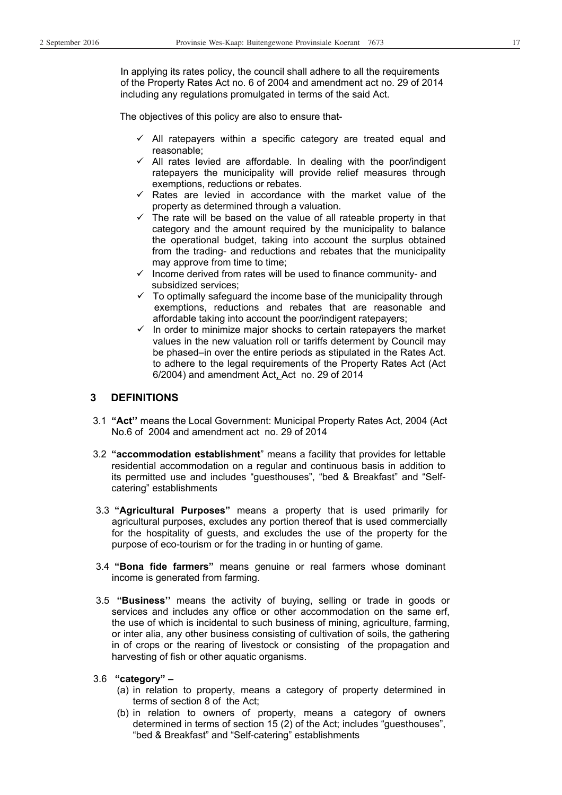In applying its rates policy, the council shall adhere to all the requirements of the Property Rates Act no. 6 of 2004 and amendment act no. 29 of 2014 including any regulations promulgated in terms of the said Act.

The objectives of this policy are also to ensure that-

- $\checkmark$  All ratepayers within a specific category are treated equal and reasonable;
- $\checkmark$  All rates levied are affordable. In dealing with the poor/indigent ratepayers the municipality will provide relief measures through exemptions, reductions or rebates.
- $\checkmark$  Rates are levied in accordance with the market value of the property as determined through a valuation.
- $\checkmark$  The rate will be based on the value of all rateable property in that category and the amount required by the municipality to balance the operational budget, taking into account the surplus obtained from the trading- and reductions and rebates that the municipality may approve from time to time;
- $\checkmark$  Income derived from rates will be used to finance community- and subsidized services;
- $\checkmark$  To optimally safeguard the income base of the municipality through exemptions, reductions and rebates that are reasonable and affordable taking into account the poor/indigent ratepayers;
- $\checkmark$  In order to minimize major shocks to certain ratepayers the market values in the new valuation roll or tariffs determent by Council may be phased–in over the entire periods as stipulated in the Rates Act. to adhere to the legal requirements of the Property Rates Act (Act 6/2004) and amendment Act, Act no. 29 of 2014

#### **3 DEFINITIONS**

- 3.1 **"Act''** means the Local Government: Municipal Property Rates Act, 2004 (Act No.6 of 2004 and amendment act no. 29 of 2014
- 3.2 **"accommodation establishment**" means a facility that provides for lettable residential accommodation on a regular and continuous basis in addition to its permitted use and includes "guesthouses", "bed & Breakfast" and "Selfcatering" establishments
- 3.3 **"Agricultural Purposes"** means a property that is used primarily for agricultural purposes, excludes any portion thereof that is used commercially for the hospitality of guests, and excludes the use of the property for the purpose of eco-tourism or for the trading in or hunting of game.
- 3.4 **"Bona fide farmers"** means genuine or real farmers whose dominant income is generated from farming.
- 3.5 **"Business''** means the activity of buying, selling or trade in goods or services and includes any office or other accommodation on the same erf, the use of which is incidental to such business of mining, agriculture, farming, or inter alia, any other business consisting of cultivation of soils, the gathering in of crops or the rearing of livestock or consisting of the propagation and harvesting of fish or other aquatic organisms.
- 3.6 **"category"** 
	- (a) in relation to property, means a category of property determined in terms of section 8 of the Act;
	- (b) in relation to owners of property, means a category of owners determined in terms of section 15 (2) of the Act; includes "guesthouses", "bed & Breakfast" and "Self-catering" establishments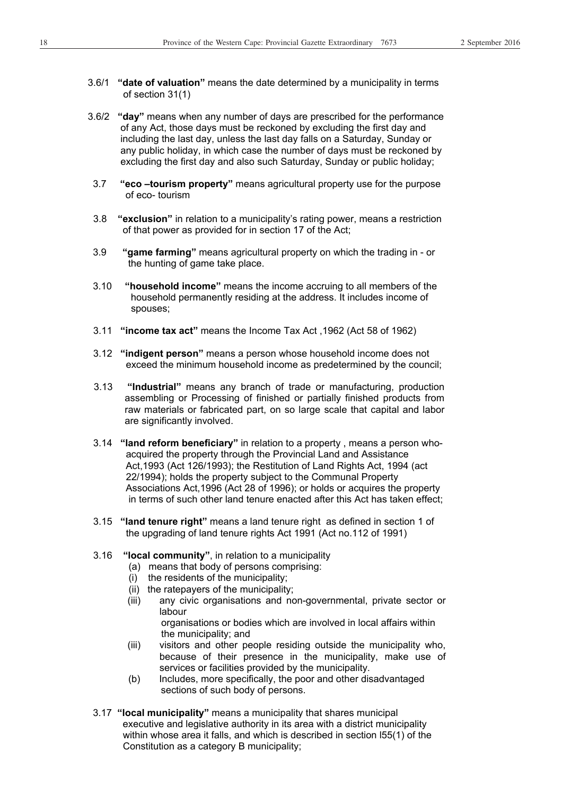- 3.6/1 **"date of valuation"** means the date determined by a municipality in terms of section 31(1)
- 3.6/2 **"day"** means when any number of days are prescribed for the performance of any Act, those days must be reckoned by excluding the first day and including the last day, unless the last day falls on a Saturday, Sunday or any public holiday, in which case the number of days must be reckoned by excluding the first day and also such Saturday, Sunday or public holiday;
- 3.7 **"eco –tourism property"** means agricultural property use for the purpose of eco- tourism
- 3.8 **"exclusion"** in relation to a municipality's rating power, means a restriction of that power as provided for in section 17 of the Act;
- 3.9 **"game farming"** means agricultural property on which the trading in or the hunting of game take place.
- 3.10 **"household income"** means the income accruing to all members of the household permanently residing at the address. It includes income of spouses;
- 3.11 **"income tax act"** means the Income Tax Act ,1962 (Act 58 of 1962)
- 3.12 **"indigent person"** means a person whose household income does not exceed the minimum household income as predetermined by the council;
- 3.13 **"Industrial"** means any branch of trade or manufacturing, production assembling or Processing of finished or partially finished products from raw materials or fabricated part, on so large scale that capital and labor are significantly involved.
- 3.14 **"land reform beneficiary"** in relation to a property , means a person who acquired the property through the Provincial Land and Assistance Act,1993 (Act 126/1993); the Restitution of Land Rights Act, 1994 (act 22/1994); holds the property subject to the Communal Property Associations Act,1996 (Act 28 of 1996); or holds or acquires the property in terms of such other land tenure enacted after this Act has taken effect;
- 3.15 **"land tenure right"** means a land tenure right as defined in section 1 of the upgrading of land tenure rights Act 1991 (Act no.112 of 1991)

#### 3.16 **"local community"**, in relation to a municipality

- (a) means that body of persons comprising:
- (i) the residents of the municipality;
- (ii) the ratepayers of the municipality;
- (iii) any civic organisations and non-governmental, private sector or labour

 organisations or bodies which are involved in local affairs within the municipality; and

- (iii) visitors and other people residing outside the municipality who, because of their presence in the municipality, make use of services or facilities provided by the municipality.
- (b) Includes, more specifically, the poor and other disadvantaged sections of such body of persons.
- 3.17 **"local municipality"** means a municipality that shares municipal executive and legislative authority in its area with a district municipality within whose area it falls, and which is described in section l55(1) of the Constitution as a category B municipality;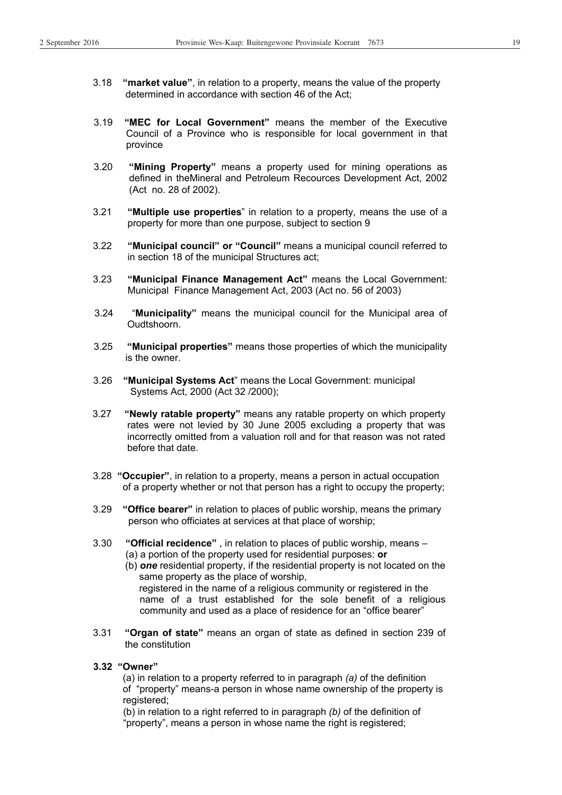- 3.18 **"market value"**, in relation to a property, means the value of the property determined in accordance with section 46 of the Act;
- 3.19 **"MEC for Local Government"** means the member of the Executive Council of a Province who is responsible for local government in that province
- 3.20 **"Mining Property"** means a property used for mining operations as defined in theMineral and Petroleum Recources Development Act, 2002 (Act no. 28 of 2002).
- 3.21 **"Multiple use properties**" in relation to a property, means the use of a property for more than one purpose, subject to section 9
- 3.22 **"Municipal council" or "Council"** means a municipal council referred to in section 18 of the municipal Structures act;
- 3.23 **"Municipal Finance Management Act"** means the Local Government: Municipal Finance Management Act, 2003 (Act no. 56 of 2003)
- 3.24 "**Municipality"** means the municipal council for the Municipal area of Oudtshoorn.
- 3.25 **"Municipal properties"** means those properties of which the municipality is the owner.
- 3.26 **"Municipal Systems Act**" means the Local Government: municipal Systems Act, 2000 (Act 32 /2000);
- 3.27 **"Newly ratable property"** means any ratable property on which property rates were not levied by 30 June 2005 excluding a property that was incorrectly omitted from a valuation roll and for that reason was not rated before that date.
- 3.28 **"Occupier"**, in relation to a property, means a person in actual occupation of a property whether or not that person has a right to occupy the property;
- 3.29 **"Office bearer"** in relation to places of public worship, means the primary person who officiates at services at that place of worship;
- 3.30 **"Official recidence"** , in relation to places of public worship, means (a) a portion of the property used for residential purposes: **or**
	- (b) *one* residential property, if the residential property is not located on the same property as the place of worship, registered in the name of a religious community or registered in the name of a trust established for the sole benefit of a religious community and used as a place of residence for an "office bearer"
- 3.31 **"Organ of state"** means an organ of state as defined in section 239 of the constitution
- **3.32 "Owner"**

(a) in relation to a property referred to in paragraph *(a)* of the definition of "property" means-a person in whose name ownership of the property is registered:

 (b) in relation to a right referred to in paragraph *(b)* of the definition of "property", means a person in whose name the right is registered;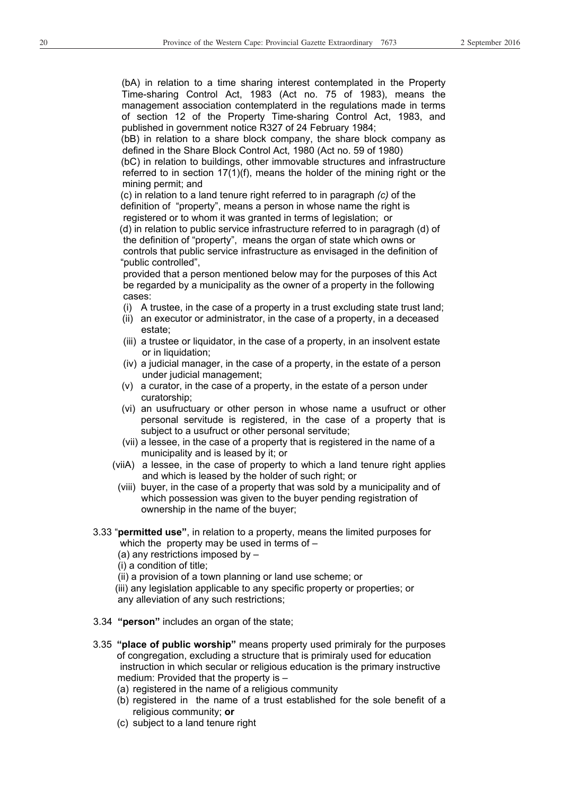(bA) in relation to a time sharing interest contemplated in the Property Time-sharing Control Act, 1983 (Act no. 75 of 1983), means the management association contemplaterd in the regulations made in terms of section 12 of the Property Time-sharing Control Act, 1983, and published in government notice R327 of 24 February 1984;

(bB) in relation to a share block company, the share block company as defined in the Share Block Control Act, 1980 (Act no. 59 of 1980)

(bC) in relation to buildings, other immovable structures and infrastructure referred to in section  $17(1)(f)$ , means the holder of the mining right or the mining permit; and

 (c) in relation to a land tenure right referred to in paragraph *(c)* of the definition of "property", means a person in whose name the right is registered or to whom it was granted in terms of legislation; or

 (d) in relation to public service infrastructure referred to in paragragh (d) of the definition of "property", means the organ of state which owns or controls that public service infrastructure as envisaged in the definition of "public controlled",

 provided that a person mentioned below may for the purposes of this Act be regarded by a municipality as the owner of a property in the following cases:

- (i) A trustee, in the case of a property in a trust excluding state trust land;
- (ii) an executor or administrator, in the case of a property, in a deceased estate;
- (iii) a trustee or liquidator, in the case of a property, in an insolvent estate or in liquidation:
- (iv) a judicial manager, in the case of a property, in the estate of a person under judicial management;
- (v) a curator, in the case of a property, in the estate of a person under curatorship;
- (vi) an usufructuary or other person in whose name a usufruct or other personal servitude is registered, in the case of a property that is subject to a usufruct or other personal servitude;
- (vii) a lessee, in the case of a property that is registered in the name of a municipality and is leased by it; or
- (viiA) a lessee, in the case of property to which a land tenure right applies and which is leased by the holder of such right; or
- (viii) buyer, in the case of a property that was sold by a municipality and of which possession was given to the buyer pending registration of ownership in the name of the buyer;
- 3.33 "**permitted use"**, in relation to a property, means the limited purposes for which the property may be used in terms of –
	- (a) any restrictions imposed by –
	- (i) a condition of title;
	- (ii) a provision of a town planning or land use scheme; or
	- (iii) any legislation applicable to any specific property or properties; or any alleviation of any such restrictions;
- 3.34 **"person"** includes an organ of the state;
- 3.35 **"place of public worship"** means property used primiraly for the purposes of congregation, excluding a structure that is primiraly used for education instruction in which secular or religious education is the primary instructive medium: Provided that the property is –
	- (a) registered in the name of a religious community
	- (b) registered in the name of a trust established for the sole benefit of a religious community; **or**
	- (c) subject to a land tenure right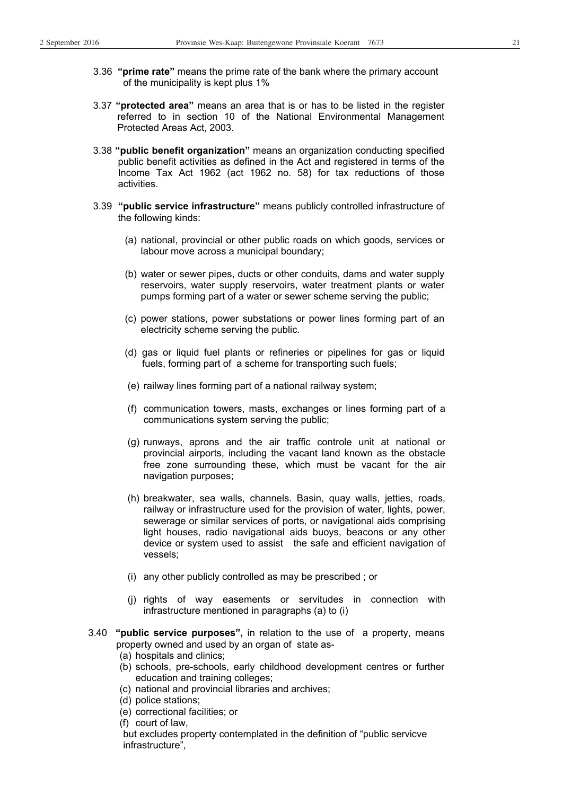- 3.36 **"prime rate"** means the prime rate of the bank where the primary account of the municipality is kept plus 1%
- 3.37 **"protected area"** means an area that is or has to be listed in the register referred to in section 10 of the National Environmental Management Protected Areas Act, 2003.
- 3.38 **"public benefit organization"** means an organization conducting specified public benefit activities as defined in the Act and registered in terms of the Income Tax Act 1962 (act 1962 no. 58) for tax reductions of those activities.
- 3.39 **"public service infrastructure"** means publicly controlled infrastructure of the following kinds:
	- (a) national, provincial or other public roads on which goods, services or labour move across a municipal boundary;
	- (b) water or sewer pipes, ducts or other conduits, dams and water supply reservoirs, water supply reservoirs, water treatment plants or water pumps forming part of a water or sewer scheme serving the public;
	- (c) power stations, power substations or power lines forming part of an electricity scheme serving the public.
	- (d) gas or liquid fuel plants or refineries or pipelines for gas or liquid fuels, forming part of a scheme for transporting such fuels;
	- (e) railway lines forming part of a national railway system;
	- (f) communication towers, masts, exchanges or lines forming part of a communications system serving the public;
	- (g) runways, aprons and the air traffic controle unit at national or provincial airports, including the vacant land known as the obstacle free zone surrounding these, which must be vacant for the air navigation purposes;
	- (h) breakwater, sea walls, channels. Basin, quay walls, jetties, roads, railway or infrastructure used for the provision of water, lights, power, sewerage or similar services of ports, or navigational aids comprising light houses, radio navigational aids buoys, beacons or any other device or system used to assist the safe and efficient navigation of vessels;
	- (i) any other publicly controlled as may be prescribed ; or
	- (j) rights of way easements or servitudes in connection with infrastructure mentioned in paragraphs (a) to (i)
- 3.40 **"public service purposes",** in relation to the use of a property, means property owned and used by an organ of state as-
	- (a) hospitals and clinics;
	- (b) schools, pre-schools, early childhood development centres or further education and training colleges;
	- (c) national and provincial libraries and archives;
	- (d) police stations;
	- (e) correctional facilities; or
	- (f) court of law,

 but excludes property contemplated in the definition of "public servicve infrastructure",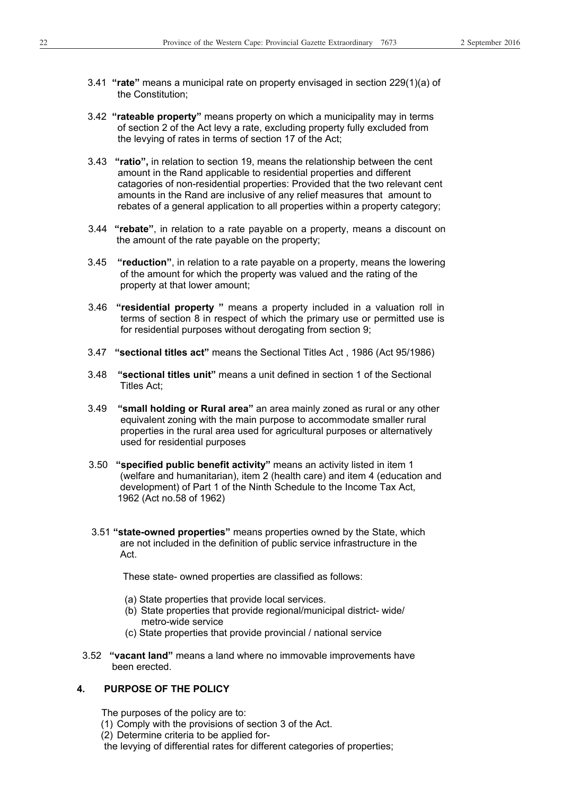- 3.41 **"rate"** means a municipal rate on property envisaged in section 229(1)(a) of the Constitution;
- 3.42 **"rateable property"** means property on which a municipality may in terms of section 2 of the Act levy a rate, excluding property fully excluded from the levying of rates in terms of section 17 of the Act;
- 3.43 **"ratio",** in relation to section 19, means the relationship between the cent amount in the Rand applicable to residential properties and different catagories of non-residential properties: Provided that the two relevant cent amounts in the Rand are inclusive of any relief measures that amount to rebates of a general application to all properties within a property category;
- 3.44 **"rebate"**, in relation to a rate payable on a property, means a discount on the amount of the rate payable on the property;
- 3.45 **"reduction"**, in relation to a rate payable on a property, means the lowering of the amount for which the property was valued and the rating of the property at that lower amount;
- 3.46 **"residential property "** means a property included in a valuation roll in terms of section 8 in respect of which the primary use or permitted use is for residential purposes without derogating from section 9;
- 3.47 **"sectional titles act"** means the Sectional Titles Act , 1986 (Act 95/1986)
- 3.48 **"sectional titles unit"** means a unit defined in section 1 of the Sectional Titles Act;
- 3.49 **"small holding or Rural area"** an area mainly zoned as rural or any other equivalent zoning with the main purpose to accommodate smaller rural properties in the rural area used for agricultural purposes or alternatively used for residential purposes
- 3.50 **"specified public benefit activity"** means an activity listed in item 1 (welfare and humanitarian), item 2 (health care) and item 4 (education and development) of Part 1 of the Ninth Schedule to the Income Tax Act, 1962 (Act no.58 of 1962)
- 3.51 **"state-owned properties"** means properties owned by the State, which are not included in the definition of public service infrastructure in the Act.

These state- owned properties are classified as follows:

- (a) State properties that provide local services.
- (b) State properties that provide regional/municipal district- wide/ metro-wide service
- (c) State properties that provide provincial / national service
- 3.52 **"vacant land"** means a land where no immovable improvements have been erected.

#### **4. PURPOSE OF THE POLICY**

- The purposes of the policy are to:
- (1) Comply with the provisions of section 3 of the Act.
- (2) Determine criteria to be applied for-
- the levying of differential rates for different categories of properties;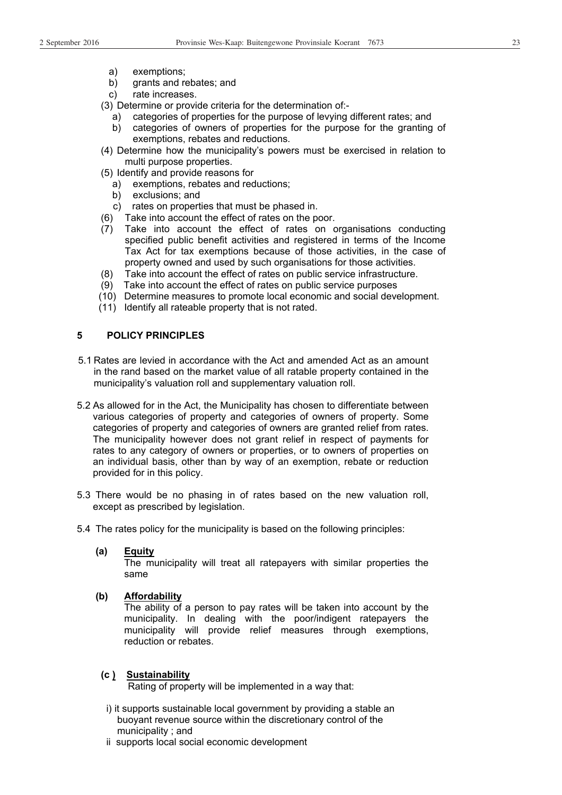- a) exemptions;
- b) grants and rebates; and
- c) rate increases.
- (3) Determine or provide criteria for the determination of:
	- a) categories of properties for the purpose of levying different rates; and
	- b) categories of owners of properties for the purpose for the granting of exemptions, rebates and reductions.
- (4) Determine how the municipality's powers must be exercised in relation to multi purpose properties.
- (5) Identify and provide reasons for
	- a) exemptions, rebates and reductions;
	- b) exclusions; and
	- c) rates on properties that must be phased in.
- (6) Take into account the effect of rates on the poor.
- (7) Take into account the effect of rates on organisations conducting specified public benefit activities and registered in terms of the Income Tax Act for tax exemptions because of those activities, in the case of property owned and used by such organisations for those activities.
- (8) Take into account the effect of rates on public service infrastructure.
- (9) Take into account the effect of rates on public service purposes
- (10) Determine measures to promote local economic and social development.
- (11) Identify all rateable property that is not rated.

#### **5 POLICY PRINCIPLES**

- 5.1 Rates are levied in accordance with the Act and amended Act as an amount in the rand based on the market value of all ratable property contained in the municipality's valuation roll and supplementary valuation roll.
- 5.2 As allowed for in the Act, the Municipality has chosen to differentiate between various categories of property and categories of owners of property. Some categories of property and categories of owners are granted relief from rates. The municipality however does not grant relief in respect of payments for rates to any category of owners or properties, or to owners of properties on an individual basis, other than by way of an exemption, rebate or reduction provided for in this policy.
- 5.3 There would be no phasing in of rates based on the new valuation roll, except as prescribed by legislation.
- 5.4 The rates policy for the municipality is based on the following principles:
	- **(a) Equity**

The municipality will treat all ratepayers with similar properties the same

**(b) Affordability**

The ability of a person to pay rates will be taken into account by the municipality. In dealing with the poor/indigent ratepayers the municipality will provide relief measures through exemptions, reduction or rebates.

#### **(c ) Sustainability**

Rating of property will be implemented in a way that:

- i) it supports sustainable local government by providing a stable an buoyant revenue source within the discretionary control of the municipality ; and
- ii supports local social economic development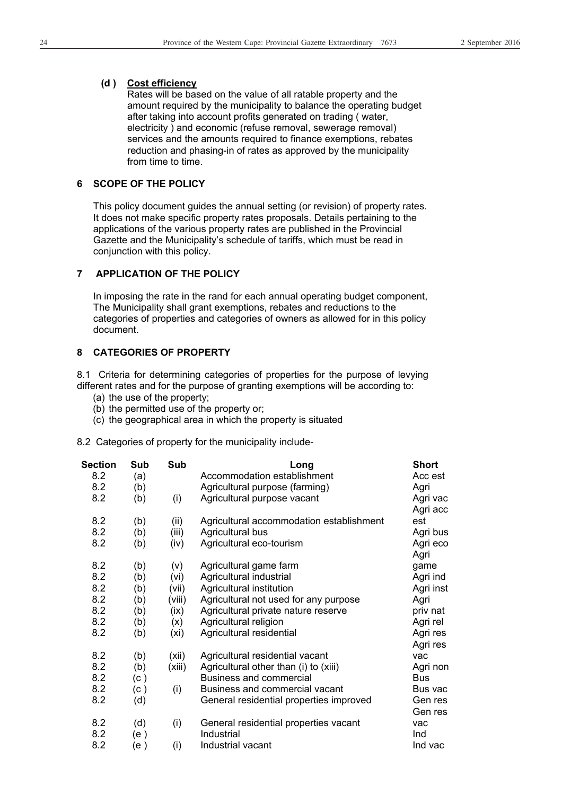#### **(d ) Cost efficiency**

Rates will be based on the value of all ratable property and the amount required by the municipality to balance the operating budget after taking into account profits generated on trading ( water, electricity ) and economic (refuse removal, sewerage removal) services and the amounts required to finance exemptions, rebates reduction and phasing-in of rates as approved by the municipality from time to time.

#### **6 SCOPE OF THE POLICY**

 This policy document guides the annual setting (or revision) of property rates. It does not make specific property rates proposals. Details pertaining to the applications of the various property rates are published in the Provincial Gazette and the Municipality's schedule of tariffs, which must be read in conjunction with this policy.

#### **7 APPLICATION OF THE POLICY**

 In imposing the rate in the rand for each annual operating budget component, The Municipality shall grant exemptions, rebates and reductions to the categories of properties and categories of owners as allowed for in this policy document.

#### **8 CATEGORIES OF PROPERTY**

8.1 Criteria for determining categories of properties for the purpose of levying different rates and for the purpose of granting exemptions will be according to:

- (a) the use of the property;
- (b) the permitted use of the property or;
- (c) the geographical area in which the property is situated
- 8.2 Categories of property for the municipality include-

| Section | Sub  | Sub    | Long                                     | <b>Short</b> |
|---------|------|--------|------------------------------------------|--------------|
| 8.2     | (a)  |        | Accommodation establishment              | Acc est      |
| 8.2     | (b)  |        | Agricultural purpose (farming)           | Agri         |
| 8.2     | (b)  | (i)    | Agricultural purpose vacant              | Agri vac     |
|         |      |        |                                          | Agri acc     |
| 8.2     | (b)  | (ii)   | Agricultural accommodation establishment | est          |
| 8.2     | (b)  | (iii)  | Agricultural bus                         | Agri bus     |
| 8.2     | (b)  | (iv)   | Agricultural eco-tourism                 | Agri eco     |
|         |      |        |                                          | Agri         |
| 8.2     | (b)  | (v)    | Agricultural game farm                   | game         |
| 8.2     | (b)  | (vi)   | Agricultural industrial                  | Agri ind     |
| 8.2     | (b)  | (vii)  | Agricultural institution                 | Agri inst    |
| 8.2     | (b)  | (viii) | Agricultural not used for any purpose    | Agri         |
| 8.2     | (b)  | (ix)   | Agricultural private nature reserve      | priv nat     |
| 8.2     | (b)  | (x)    | Agricultural religion                    | Agri rel     |
| 8.2     | (b)  | (xi)   | Agricultural residential                 | Agri res     |
|         |      |        |                                          | Agri res     |
| 8.2     | (b)  | (xii)  | Agricultural residential vacant          | vac          |
| 8.2     | (b)  | (xiii) | Agricultural other than (i) to (xiii)    | Agri non     |
| 8.2     | (c)  |        | <b>Business and commercial</b>           | <b>Bus</b>   |
| 8.2     | (c)  | (i)    | Business and commercial vacant           | Bus vac      |
| 8.2     | (d)  |        | General residential properties improved  | Gen res      |
|         |      |        |                                          | Gen res      |
| 8.2     | (d)  | (i)    | General residential properties vacant    | vac          |
| 8.2     | (e ) |        | Industrial                               | Ind          |
| 8.2     | (e)  | (i)    | Industrial vacant                        | Ind vac      |
|         |      |        |                                          |              |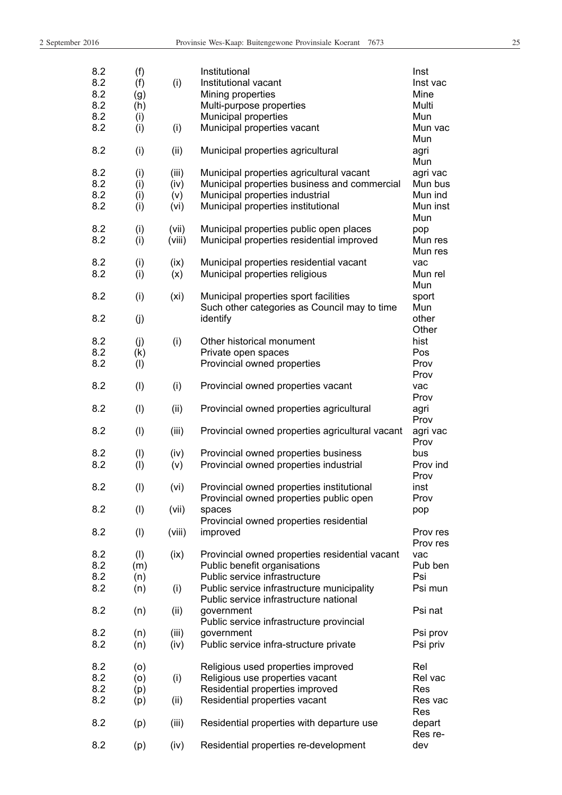| I |
|---|

| 8.2<br>8.2<br>8.2<br>8.2<br>8.2<br>8.2 | (f)<br>(f)<br>(g)<br>(h)<br>(i)<br>(i) | (i)<br>(i)                   | Institutional<br>Institutional vacant<br>Mining properties<br>Multi-purpose properties<br>Municipal properties<br>Municipal properties vacant                     | Inst<br>Inst vac<br>Mine<br>Multi<br>Mun<br>Mun vac |
|----------------------------------------|----------------------------------------|------------------------------|-------------------------------------------------------------------------------------------------------------------------------------------------------------------|-----------------------------------------------------|
| 8.2                                    | (i)                                    | (ii)                         | Municipal properties agricultural                                                                                                                                 | Mun<br>agri<br>Mun                                  |
| 8.2<br>8.2<br>8.2<br>8.2               | (i)<br>(i)<br>(i)<br>(i)               | (iii)<br>(iv)<br>(v)<br>(vi) | Municipal properties agricultural vacant<br>Municipal properties business and commercial<br>Municipal properties industrial<br>Municipal properties institutional | agri vac<br>Mun bus<br>Mun ind<br>Mun inst<br>Mun   |
| 8.2<br>8.2                             | (i)<br>(i)                             | (vii)<br>(viii)              | Municipal properties public open places<br>Municipal properties residential improved                                                                              | pop<br>Mun res                                      |
| 8.2<br>8.2                             | (i)<br>(i)                             | (ix)<br>(x)                  | Municipal properties residential vacant<br>Municipal properties religious                                                                                         | Mun res<br>vac<br>Mun rel<br>Mun                    |
| 8.2<br>8.2                             | (i)<br>(j)                             | (x <sub>i</sub> )            | Municipal properties sport facilities<br>Such other categories as Council may to time<br>identify                                                                 | sport<br>Mun<br>other                               |
| 8.2<br>8.2<br>8.2                      | (j)<br>(k)<br>(1)                      | (i)                          | Other historical monument<br>Private open spaces<br>Provincial owned properties                                                                                   | Other<br>hist<br>Pos<br>Prov                        |
| 8.2                                    | (1)                                    | (i)                          | Provincial owned properties vacant                                                                                                                                | Prov<br>vac<br>Prov                                 |
| 8.2                                    | (1)                                    | (ii)                         | Provincial owned properties agricultural                                                                                                                          | agri<br>Prov                                        |
| 8.2                                    | (1)                                    | (iii)                        | Provincial owned properties agricultural vacant                                                                                                                   | agri vac<br>Prov                                    |
| 8.2<br>8.2                             | (1)<br>(1)                             | (iv)<br>(v)                  | Provincial owned properties business<br>Provincial owned properties industrial                                                                                    | bus<br>Prov ind<br>Prov                             |
| 8.2                                    | $($ l $)$                              | (vi)                         | Provincial owned properties institutional<br>Provincial owned properties public open                                                                              | inst<br>Prov                                        |
| 8.2                                    | (1)                                    | (vii)                        | spaces<br>Provincial owned properties residential                                                                                                                 | pop                                                 |
| 8.2                                    | (1)                                    | (viii)                       | improved                                                                                                                                                          | Prov res<br>Prov res                                |
| 8.2<br>8.2<br>8.2                      | (1)<br>(m)<br>(n)                      | (ix)                         | Provincial owned properties residential vacant<br>Public benefit organisations<br>Public service infrastructure                                                   | vac<br>Pub ben<br>Psi                               |
| 8.2                                    | (n)                                    | (i)                          | Public service infrastructure municipality<br>Public service infrastructure national                                                                              | Psi mun                                             |
| 8.2                                    | (n)                                    | (ii)                         | government<br>Public service infrastructure provincial                                                                                                            | Psi nat                                             |
| 8.2<br>8.2                             | (n)<br>(n)                             | (iii)<br>(iv)                | government<br>Public service infra-structure private                                                                                                              | Psi prov<br>Psi priv                                |
| 8.2<br>8.2<br>8.2                      | (0)<br>(0)<br>(p)                      | (i)                          | Religious used properties improved<br>Religious use properties vacant<br>Residential properties improved                                                          | Rel<br>Rel vac<br>Res                               |
| 8.2                                    | (p)                                    | (ii)                         | Residential properties vacant                                                                                                                                     | Res vac<br>Res                                      |
| 8.2                                    | (p)                                    | (iii)                        | Residential properties with departure use                                                                                                                         | depart<br>Res re-                                   |
| 8.2                                    | (p)                                    | (iv)                         | Residential properties re-development                                                                                                                             | dev                                                 |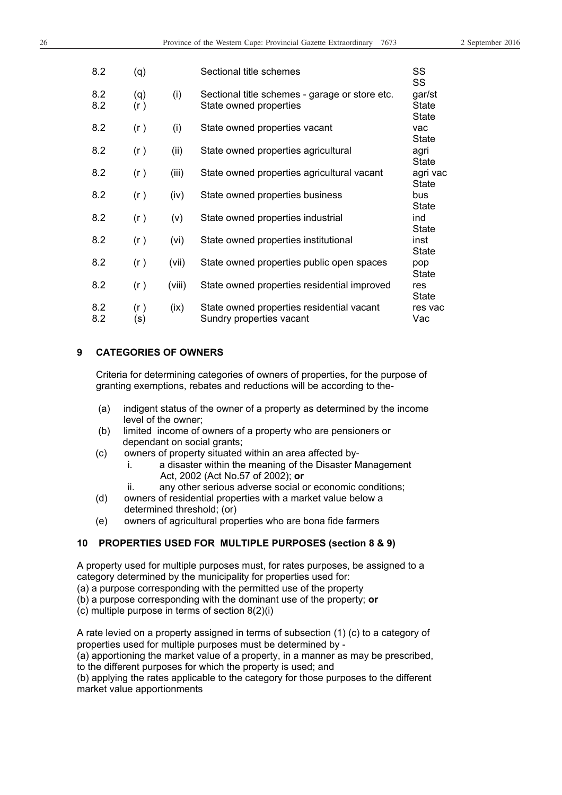| 8.2        | (q)        |        | Sectional title schemes                                                  | SS<br>SS                               |
|------------|------------|--------|--------------------------------------------------------------------------|----------------------------------------|
| 8.2<br>8.2 | (q)<br>(r) | (i)    | Sectional title schemes - garage or store etc.<br>State owned properties | gar/st<br><b>State</b><br><b>State</b> |
| 8.2        | (r)        | (i)    | State owned properties vacant                                            | vac<br><b>State</b>                    |
| 8.2        | (r)        | (ii)   | State owned properties agricultural                                      | agri<br><b>State</b>                   |
| 8.2        | (r)        | (iii)  | State owned properties agricultural vacant                               | agri vac<br><b>State</b>               |
| 8.2        | (r)        | (iv)   | State owned properties business                                          | bus<br><b>State</b>                    |
| 8.2        | (r)        | (v)    | State owned properties industrial                                        | ind<br><b>State</b>                    |
| 8.2        | (r)        | (vi)   | State owned properties institutional                                     | inst<br><b>State</b>                   |
| 8.2        | (r)        | (vii)  | State owned properties public open spaces                                | pop<br>State                           |
| 8.2        | (r)        | (viii) | State owned properties residential improved                              | res<br><b>State</b>                    |
| 8.2<br>8.2 | (r)<br>(s) | (ix)   | State owned properties residential vacant<br>Sundry properties vacant    | res vac<br>Vac                         |

#### **9 CATEGORIES OF OWNERS**

 Criteria for determining categories of owners of properties, for the purpose of granting exemptions, rebates and reductions will be according to the-

- (a) indigent status of the owner of a property as determined by the income level of the owner;
- (b) limited income of owners of a property who are pensioners or dependant on social grants;
- (c) owners of property situated within an area affected by
	- i. a disaster within the meaning of the Disaster Management Act, 2002 (Act No.57 of 2002); **or**
	- ii. any other serious adverse social or economic conditions;
- (d) owners of residential properties with a market value below a determined threshold; (or)
- (e) owners of agricultural properties who are bona fide farmers

#### **10 PROPERTIES USED FOR MULTIPLE PURPOSES (section 8 & 9)**

A property used for multiple purposes must, for rates purposes, be assigned to a category determined by the municipality for properties used for:

(a) a purpose corresponding with the permitted use of the property

(b) a purpose corresponding with the dominant use of the property; **or**

(c) multiple purpose in terms of section 8(2)(i)

A rate levied on a property assigned in terms of subsection (1) (c) to a category of properties used for multiple purposes must be determined by -

(a) apportioning the market value of a property, in a manner as may be prescribed, to the different purposes for which the property is used; and

(b) applying the rates applicable to the category for those purposes to the different market value apportionments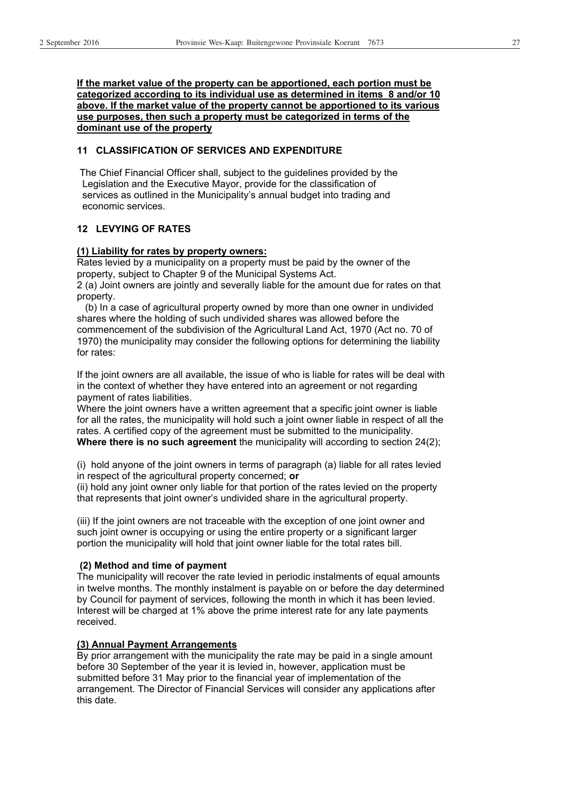**If the market value of the property can be apportioned, each portion must be categorized according to its individual use as determined in items 8 and/or 10 above. If the market value of the property cannot be apportioned to its various use purposes, then such a property must be categorized in terms of the dominant use of the property** 

#### **11 CLASSIFICATION OF SERVICES AND EXPENDITURE**

 The Chief Financial Officer shall, subject to the guidelines provided by the Legislation and the Executive Mayor, provide for the classification of services as outlined in the Municipality's annual budget into trading and economic services.

#### **12 LEVYING OF RATES**

#### **(1) Liability for rates by property owners:**

Rates levied by a municipality on a property must be paid by the owner of the property, subject to Chapter 9 of the Municipal Systems Act. 2 (a) Joint owners are jointly and severally liable for the amount due for rates on that property.

 (b) In a case of agricultural property owned by more than one owner in undivided shares where the holding of such undivided shares was allowed before the commencement of the subdivision of the Agricultural Land Act, 1970 (Act no. 70 of 1970) the municipality may consider the following options for determining the liability for rates:

If the joint owners are all available, the issue of who is liable for rates will be deal with in the context of whether they have entered into an agreement or not regarding payment of rates liabilities.

Where the joint owners have a written agreement that a specific joint owner is liable for all the rates, the municipality will hold such a joint owner liable in respect of all the rates. A certified copy of the agreement must be submitted to the municipality. **Where there is no such agreement** the municipality will according to section 24(2);

(i) hold anyone of the joint owners in terms of paragraph (a) liable for all rates levied in respect of the agricultural property concerned; **or**

(ii) hold any joint owner only liable for that portion of the rates levied on the property that represents that joint owner's undivided share in the agricultural property.

(iii) If the joint owners are not traceable with the exception of one joint owner and such joint owner is occupying or using the entire property or a significant larger portion the municipality will hold that joint owner liable for the total rates bill.

#### **(2) Method and time of payment**

The municipality will recover the rate levied in periodic instalments of equal amounts in twelve months. The monthly instalment is payable on or before the day determined by Council for payment of services, following the month in which it has been levied. Interest will be charged at 1% above the prime interest rate for any late payments received.

#### **(3) Annual Payment Arrangements**

By prior arrangement with the municipality the rate may be paid in a single amount before 30 September of the year it is levied in, however, application must be submitted before 31 May prior to the financial year of implementation of the arrangement. The Director of Financial Services will consider any applications after this date.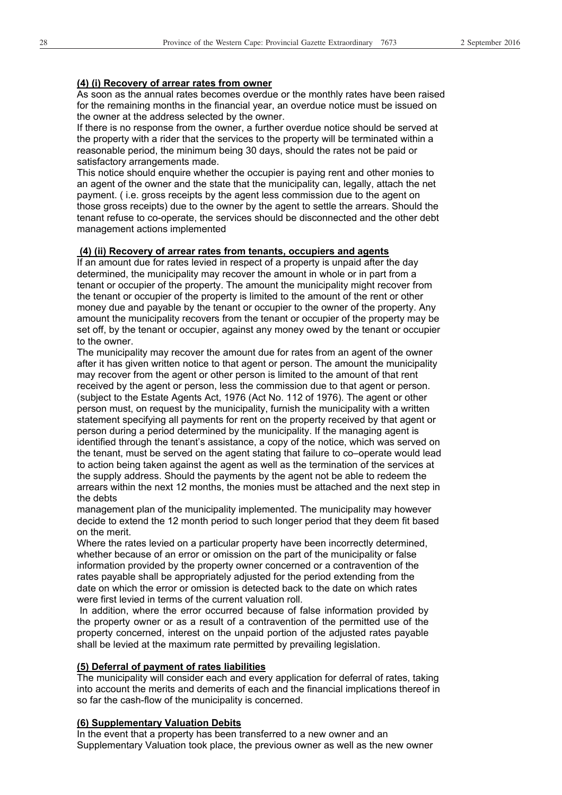#### **(4) (i) Recovery of arrear rates from owner**

As soon as the annual rates becomes overdue or the monthly rates have been raised for the remaining months in the financial year, an overdue notice must be issued on the owner at the address selected by the owner.

If there is no response from the owner, a further overdue notice should be served at the property with a rider that the services to the property will be terminated within a reasonable period, the minimum being 30 days, should the rates not be paid or satisfactory arrangements made.

This notice should enquire whether the occupier is paying rent and other monies to an agent of the owner and the state that the municipality can, legally, attach the net payment. ( i.e. gross receipts by the agent less commission due to the agent on those gross receipts) due to the owner by the agent to settle the arrears. Should the tenant refuse to co-operate, the services should be disconnected and the other debt management actions implemented

#### **(4) (ii) Recovery of arrear rates from tenants, occupiers and agents**

If an amount due for rates levied in respect of a property is unpaid after the day determined, the municipality may recover the amount in whole or in part from a tenant or occupier of the property. The amount the municipality might recover from the tenant or occupier of the property is limited to the amount of the rent or other money due and payable by the tenant or occupier to the owner of the property. Any amount the municipality recovers from the tenant or occupier of the property may be set off, by the tenant or occupier, against any money owed by the tenant or occupier to the owner.

The municipality may recover the amount due for rates from an agent of the owner after it has given written notice to that agent or person. The amount the municipality may recover from the agent or other person is limited to the amount of that rent received by the agent or person, less the commission due to that agent or person. (subject to the Estate Agents Act, 1976 (Act No. 112 of 1976). The agent or other person must, on request by the municipality, furnish the municipality with a written statement specifying all payments for rent on the property received by that agent or person during a period determined by the municipality. If the managing agent is identified through the tenant's assistance, a copy of the notice, which was served on the tenant, must be served on the agent stating that failure to co–operate would lead to action being taken against the agent as well as the termination of the services at the supply address. Should the payments by the agent not be able to redeem the arrears within the next 12 months, the monies must be attached and the next step in the debts

management plan of the municipality implemented. The municipality may however decide to extend the 12 month period to such longer period that they deem fit based on the merit.

Where the rates levied on a particular property have been incorrectly determined, whether because of an error or omission on the part of the municipality or false information provided by the property owner concerned or a contravention of the rates payable shall be appropriately adjusted for the period extending from the date on which the error or omission is detected back to the date on which rates were first levied in terms of the current valuation roll.

 In addition, where the error occurred because of false information provided by the property owner or as a result of a contravention of the permitted use of the property concerned, interest on the unpaid portion of the adjusted rates payable shall be levied at the maximum rate permitted by prevailing legislation.

#### **(5) Deferral of payment of rates liabilities**

The municipality will consider each and every application for deferral of rates, taking into account the merits and demerits of each and the financial implications thereof in so far the cash-flow of the municipality is concerned.

#### **(6) Supplementary Valuation Debits**

In the event that a property has been transferred to a new owner and an Supplementary Valuation took place, the previous owner as well as the new owner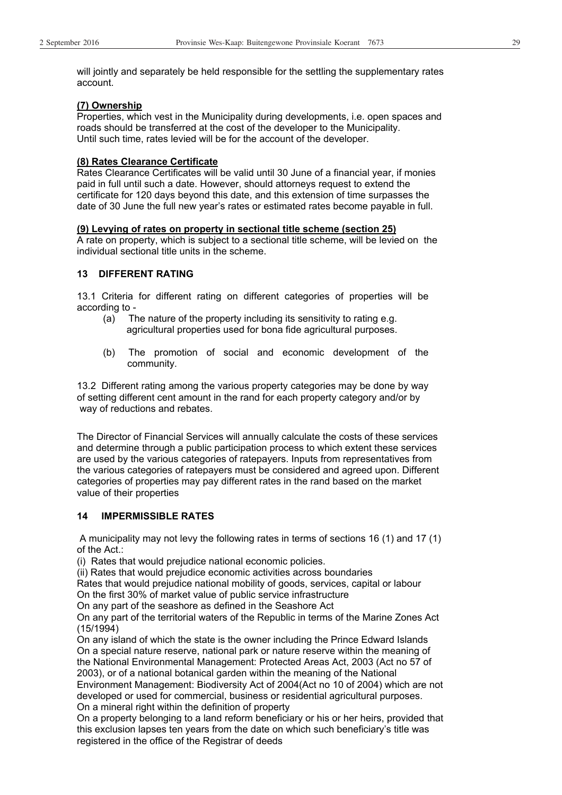will jointly and separately be held responsible for the settling the supplementary rates account.

#### **(7) Ownership**

Properties, which vest in the Municipality during developments, i.e. open spaces and roads should be transferred at the cost of the developer to the Municipality. Until such time, rates levied will be for the account of the developer.

#### **(8) Rates Clearance Certificate**

Rates Clearance Certificates will be valid until 30 June of a financial year, if monies paid in full until such a date. However, should attorneys request to extend the certificate for 120 days beyond this date, and this extension of time surpasses the date of 30 June the full new year's rates or estimated rates become payable in full.

#### **(9) Levying of rates on property in sectional title scheme (section 25)**

A rate on property, which is subject to a sectional title scheme, will be levied on the individual sectional title units in the scheme.

#### **13 DIFFERENT RATING**

13.1 Criteria for different rating on different categories of properties will be according to -

- (a) The nature of the property including its sensitivity to rating e.g. agricultural properties used for bona fide agricultural purposes.
- (b) The promotion of social and economic development of the community.

13.2 Different rating among the various property categories may be done by way of setting different cent amount in the rand for each property category and/or by way of reductions and rebates.

The Director of Financial Services will annually calculate the costs of these services and determine through a public participation process to which extent these services are used by the various categories of ratepayers. Inputs from representatives from the various categories of ratepayers must be considered and agreed upon. Different categories of properties may pay different rates in the rand based on the market value of their properties

#### **14 IMPERMISSIBLE RATES**

 A municipality may not levy the following rates in terms of sections 16 (1) and 17 (1) of the Act.:

(i) Rates that would prejudice national economic policies.

(ii) Rates that would prejudice economic activities across boundaries

Rates that would prejudice national mobility of goods, services, capital or labour On the first 30% of market value of public service infrastructure

On any part of the seashore as defined in the Seashore Act

On any part of the territorial waters of the Republic in terms of the Marine Zones Act (15/1994)

On any island of which the state is the owner including the Prince Edward Islands On a special nature reserve, national park or nature reserve within the meaning of the National Environmental Management: Protected Areas Act, 2003 (Act no 57 of 2003), or of a national botanical garden within the meaning of the National

Environment Management: Biodiversity Act of 2004(Act no 10 of 2004) which are not developed or used for commercial, business or residential agricultural purposes. On a mineral right within the definition of property

On a property belonging to a land reform beneficiary or his or her heirs, provided that this exclusion lapses ten years from the date on which such beneficiary's title was registered in the office of the Registrar of deeds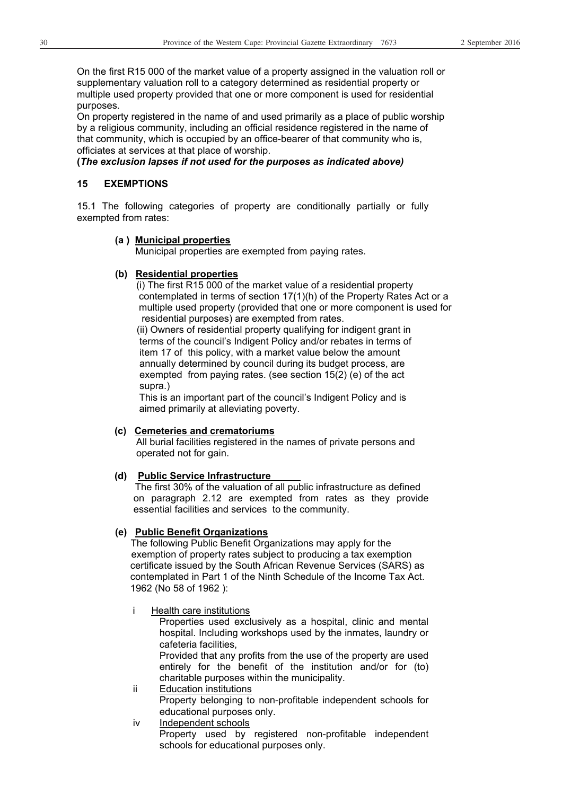On the first R15 000 of the market value of a property assigned in the valuation roll or supplementary valuation roll to a category determined as residential property or multiple used property provided that one or more component is used for residential purposes.

On property registered in the name of and used primarily as a place of public worship by a religious community, including an official residence registered in the name of that community, which is occupied by an office-bearer of that community who is, officiates at services at that place of worship.

#### **(***The exclusion lapses if not used for the purposes as indicated above)*

#### **15 EXEMPTIONS**

15.1 The following categories of property are conditionally partially or fully exempted from rates:

#### **(a ) Municipal properties**

Municipal properties are exempted from paying rates.

#### **(b) Residential properties**

 (i) The first R15 000 of the market value of a residential property contemplated in terms of section 17(1)(h) of the Property Rates Act or a multiple used property (provided that one or more component is used for residential purposes) are exempted from rates.

 (ii) Owners of residential property qualifying for indigent grant in terms of the council's Indigent Policy and/or rebates in terms of item 17 of this policy, with a market value below the amount annually determined by council during its budget process, are exempted from paying rates. (see section 15(2) (e) of the act supra.)

 This is an important part of the council's Indigent Policy and is aimed primarily at alleviating poverty.

#### **(c) Cemeteries and crematoriums**

 All burial facilities registered in the names of private persons and operated not for gain.

#### **(d) Public Service Infrastructure**

 The first 30% of the valuation of all public infrastructure as defined on paragraph 2.12 are exempted from rates as they provide essential facilities and services to the community.

#### **(e) Public Benefit Organizations**

 The following Public Benefit Organizations may apply for the exemption of property rates subject to producing a tax exemption certificate issued by the South African Revenue Services (SARS) as contemplated in Part 1 of the Ninth Schedule of the Income Tax Act. 1962 (No 58 of 1962 ):

i Health care institutions

Properties used exclusively as a hospital, clinic and mental hospital. Including workshops used by the inmates, laundry or cafeteria facilities,

Provided that any profits from the use of the property are used entirely for the benefit of the institution and/or for (to) charitable purposes within the municipality.

- ii Education institutions Property belonging to non-profitable independent schools for educational purposes only.
- iv Independent schools Property used by registered non-profitable independent schools for educational purposes only.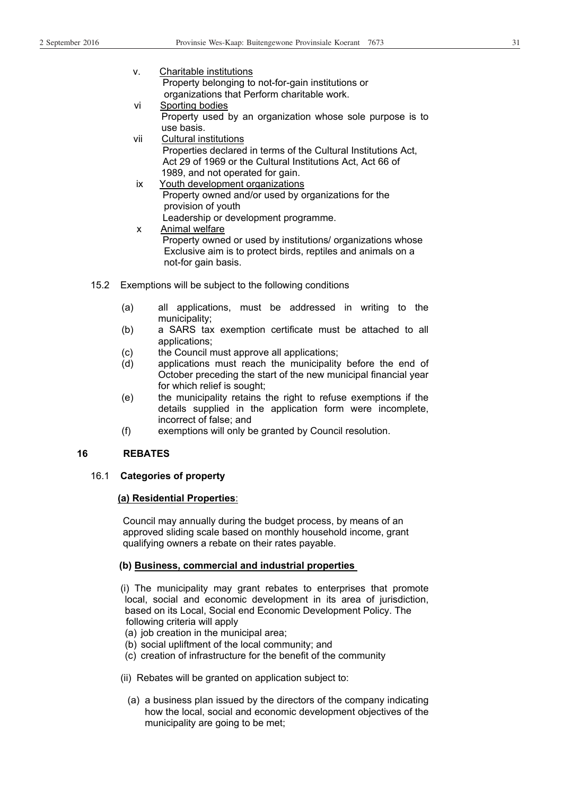- v. Charitable institutions Property belonging to not-for-gain institutions or organizations that Perform charitable work.
- vi Sporting bodies Property used by an organization whose sole purpose is to use basis.
- vii Cultural institutions Properties declared in terms of the Cultural Institutions Act, Act 29 of 1969 or the Cultural Institutions Act, Act 66 of 1989, and not operated for gain.
- ix Youth development organizations Property owned and/or used by organizations for the provision of youth Leadership or development programme.
- x Animal welfare Property owned or used by institutions/ organizations whose Exclusive aim is to protect birds, reptiles and animals on a not-for gain basis.
- 15.2 Exemptions will be subject to the following conditions
	- (a) all applications, must be addressed in writing to the municipality;
	- (b) a SARS tax exemption certificate must be attached to all applications;
	- (c) the Council must approve all applications;
	- (d) applications must reach the municipality before the end of October preceding the start of the new municipal financial year for which relief is sought;
	- (e) the municipality retains the right to refuse exemptions if the details supplied in the application form were incomplete, incorrect of false; and
	- (f) exemptions will only be granted by Council resolution.

#### **16 REBATES**

#### 16.1 **Categories of property**

#### **(a) Residential Properties**:

 Council may annually during the budget process, by means of an approved sliding scale based on monthly household income, grant qualifying owners a rebate on their rates payable.

#### **(b) Business, commercial and industrial properties**

 (i) The municipality may grant rebates to enterprises that promote local, social and economic development in its area of jurisdiction, based on its Local, Social end Economic Development Policy. The following criteria will apply

- (a) job creation in the municipal area;
- (b) social upliftment of the local community; and
- (c) creation of infrastructure for the benefit of the community
- (ii) Rebates will be granted on application subject to:
	- (a) a business plan issued by the directors of the company indicating how the local, social and economic development objectives of the municipality are going to be met;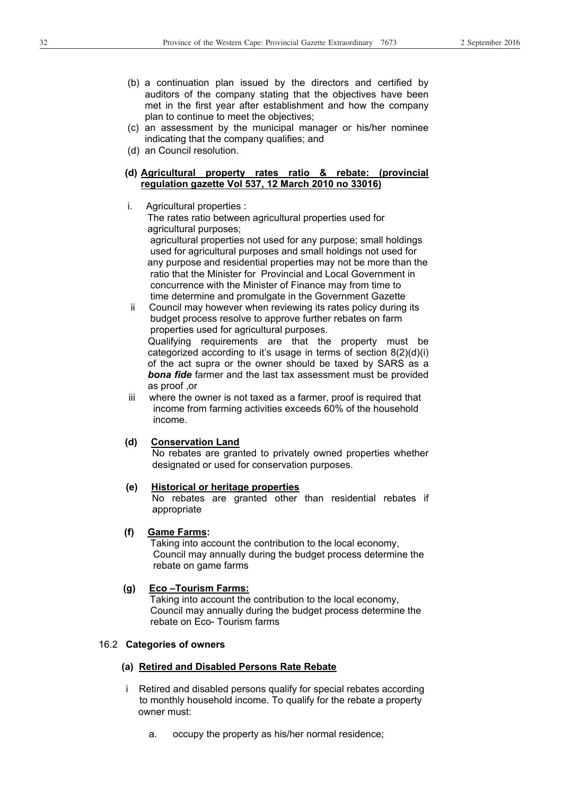- (b) a continuation plan issued by the directors and certified by auditors of the company stating that the objectives have been met in the first year after establishment and how the company plan to continue to meet the objectives;
- (c) an assessment by the municipal manager or his/her nominee indicating that the company qualifies; and
- (d) an Council resolution.
- **(d) Agricultural property rates ratio & rebate: (provincial regulation gazette Vol 537, 12 March 2010 no 33016)**
- i. Agricultural properties :

 The rates ratio between agricultural properties used for agricultural purposes;

 agricultural properties not used for any purpose; small holdings used for agricultural purposes and small holdings not used for any purpose and residential properties may not be more than the ratio that the Minister for Provincial and Local Government in concurrence with the Minister of Finance may from time to time determine and promulgate in the Government Gazette

 ii Council may however when reviewing its rates policy during its budget process resolve to approve further rebates on farm properties used for agricultural purposes. Qualifying requirements are that the property must be categorized according to it's usage in terms of section  $8(2)(d)(i)$ of the act supra or the owner should be taxed by SARS as a *bona fide* farmer and the last tax assessment must be provided as proof ,or

 iii where the owner is not taxed as a farmer, proof is required that income from farming activities exceeds 60% of the household income.

#### **(d) Conservation Land**

No rebates are granted to privately owned properties whether designated or used for conservation purposes.

#### **(e) Historical or heritage properties**

 No rebates are granted other than residential rebates if appropriate

#### **(f) Game Farms:**

 Taking into account the contribution to the local economy, Council may annually during the budget process determine the rebate on game farms

#### **(g) Eco –Tourism Farms:**

 Taking into account the contribution to the local economy, Council may annually during the budget process determine the rebate on Eco- Tourism farms

#### 16.2 **Categories of owners**

#### **(a) Retired and Disabled Persons Rate Rebate**

- i Retired and disabled persons qualify for special rebates according to monthly household income. To qualify for the rebate a property owner must:
	- a. occupy the property as his/her normal residence;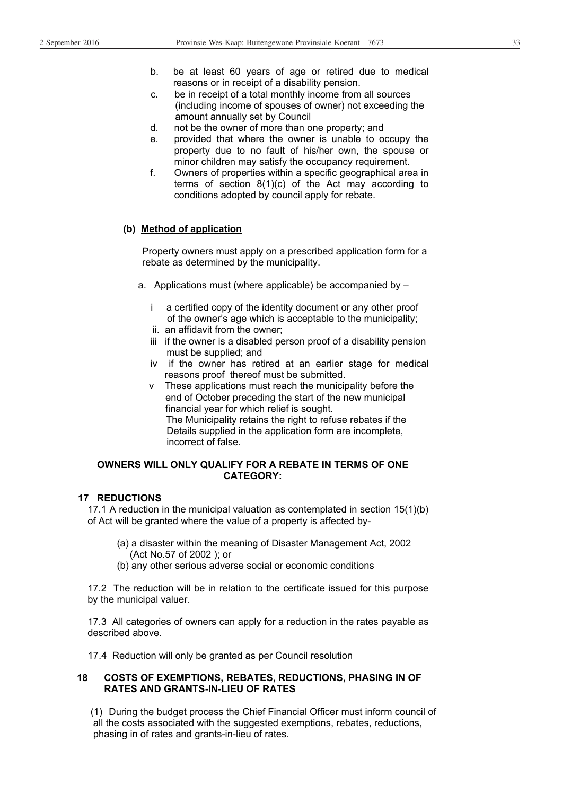- b. be at least 60 years of age or retired due to medical reasons or in receipt of a disability pension.
- c. be in receipt of a total monthly income from all sources (including income of spouses of owner) not exceeding the amount annually set by Council
- d. not be the owner of more than one property; and
- e. provided that where the owner is unable to occupy the property due to no fault of his/her own, the spouse or minor children may satisfy the occupancy requirement.
- f. Owners of properties within a specific geographical area in terms of section 8(1)(c) of the Act may according to conditions adopted by council apply for rebate.

#### **(b) Method of application**

 Property owners must apply on a prescribed application form for a rebate as determined by the municipality.

- a. Applications must (where applicable) be accompanied by
	- i a certified copy of the identity document or any other proof of the owner's age which is acceptable to the municipality;
	- ii. an affidavit from the owner;
	- iii if the owner is a disabled person proof of a disability pension must be supplied; and
	- iv if the owner has retired at an earlier stage for medical reasons proof thereof must be submitted.
	- v These applications must reach the municipality before the end of October preceding the start of the new municipal financial year for which relief is sought. The Municipality retains the right to refuse rebates if the Details supplied in the application form are incomplete, incorrect of false.

#### **OWNERS WILL ONLY QUALIFY FOR A REBATE IN TERMS OF ONE CATEGORY:**

#### **17 REDUCTIONS**

17.1 A reduction in the municipal valuation as contemplated in section 15(1)(b) of Act will be granted where the value of a property is affected by-

- (a) a disaster within the meaning of Disaster Management Act, 2002 (Act No.57 of 2002 ); or
- (b) any other serious adverse social or economic conditions

17.2 The reduction will be in relation to the certificate issued for this purpose by the municipal valuer.

17.3 All categories of owners can apply for a reduction in the rates payable as described above.

17.4 Reduction will only be granted as per Council resolution

#### **18 COSTS OF EXEMPTIONS, REBATES, REDUCTIONS, PHASING IN OF RATES AND GRANTS-IN-LIEU OF RATES**

 (1) During the budget process the Chief Financial Officer must inform council of all the costs associated with the suggested exemptions, rebates, reductions, phasing in of rates and grants-in-lieu of rates.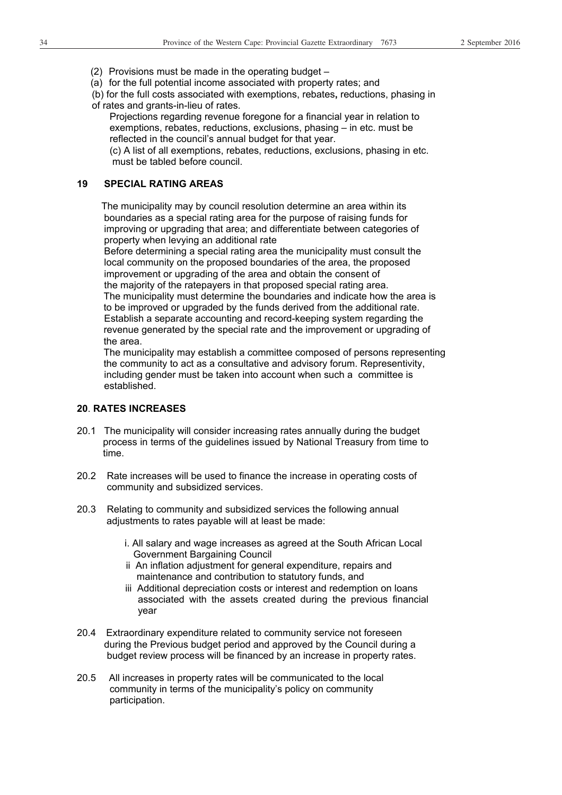- (2) Provisions must be made in the operating budget –
- (a) for the full potential income associated with property rates; and
- (b) for the full costs associated with exemptions, rebates**,** reductions, phasing in of rates and grants-in-lieu of rates.
	- Projections regarding revenue foregone for a financial year in relation to exemptions, rebates, reductions, exclusions, phasing – in etc. must be reflected in the council's annual budget for that year.

 (c) A list of all exemptions, rebates, reductions, exclusions, phasing in etc. must be tabled before council.

#### **19 SPECIAL RATING AREAS**

 The municipality may by council resolution determine an area within its boundaries as a special rating area for the purpose of raising funds for improving or upgrading that area; and differentiate between categories of property when levying an additional rate

 Before determining a special rating area the municipality must consult the local community on the proposed boundaries of the area, the proposed improvement or upgrading of the area and obtain the consent of the majority of the ratepayers in that proposed special rating area. The municipality must determine the boundaries and indicate how the area is to be improved or upgraded by the funds derived from the additional rate. Establish a separate accounting and record-keeping system regarding the revenue generated by the special rate and the improvement or upgrading of the area.

The municipality may establish a committee composed of persons representing the community to act as a consultative and advisory forum. Representivity, including gender must be taken into account when such a committee is established.

#### **20**. **RATES INCREASES**

- 20.1 The municipality will consider increasing rates annually during the budget process in terms of the guidelines issued by National Treasury from time to time.
- 20.2 Rate increases will be used to finance the increase in operating costs of community and subsidized services.
- 20.3 Relating to community and subsidized services the following annual adjustments to rates payable will at least be made:
	- i. All salary and wage increases as agreed at the South African Local Government Bargaining Council
	- ii An inflation adjustment for general expenditure, repairs and maintenance and contribution to statutory funds, and
	- iii Additional depreciation costs or interest and redemption on loans associated with the assets created during the previous financial year
- 20.4 Extraordinary expenditure related to community service not foreseen during the Previous budget period and approved by the Council during a budget review process will be financed by an increase in property rates.
- 20.5 All increases in property rates will be communicated to the local community in terms of the municipality's policy on community participation.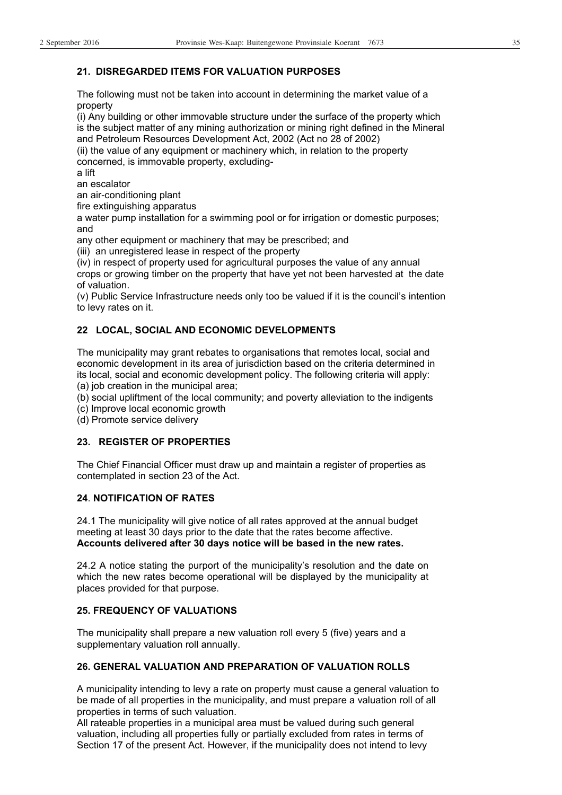#### **21. DISREGARDED ITEMS FOR VALUATION PURPOSES**

The following must not be taken into account in determining the market value of a property

(i) Any building or other immovable structure under the surface of the property which is the subject matter of any mining authorization or mining right defined in the Mineral and Petroleum Resources Development Act, 2002 (Act no 28 of 2002)

(ii) the value of any equipment or machinery which, in relation to the property concerned, is immovable property, excluding-

a lift

an escalator

an air-conditioning plant

fire extinguishing apparatus

a water pump installation for a swimming pool or for irrigation or domestic purposes; and

any other equipment or machinery that may be prescribed; and

(iii) an unregistered lease in respect of the property

(iv) in respect of property used for agricultural purposes the value of any annual crops or growing timber on the property that have yet not been harvested at the date of valuation.

(v) Public Service Infrastructure needs only too be valued if it is the council's intention to levy rates on it.

#### **22 LOCAL, SOCIAL AND ECONOMIC DEVELOPMENTS**

The municipality may grant rebates to organisations that remotes local, social and economic development in its area of jurisdiction based on the criteria determined in its local, social and economic development policy. The following criteria will apply:

(a) job creation in the municipal area;

(b) social upliftment of the local community; and poverty alleviation to the indigents

(c) Improve local economic growth

(d) Promote service delivery

#### **23. REGISTER OF PROPERTIES**

The Chief Financial Officer must draw up and maintain a register of properties as contemplated in section 23 of the Act.

#### **24**. **NOTIFICATION OF RATES**

24.1 The municipality will give notice of all rates approved at the annual budget meeting at least 30 days prior to the date that the rates become affective. **Accounts delivered after 30 days notice will be based in the new rates.** 

24.2 A notice stating the purport of the municipality's resolution and the date on which the new rates become operational will be displayed by the municipality at places provided for that purpose.

#### **25. FREQUENCY OF VALUATIONS**

The municipality shall prepare a new valuation roll every 5 (five) years and a supplementary valuation roll annually.

#### **26. GENERAL VALUATION AND PREPARATION OF VALUATION ROLLS**

A municipality intending to levy a rate on property must cause a general valuation to be made of all properties in the municipality, and must prepare a valuation roll of all properties in terms of such valuation.

All rateable properties in a municipal area must be valued during such general valuation, including all properties fully or partially excluded from rates in terms of Section 17 of the present Act. However, if the municipality does not intend to levy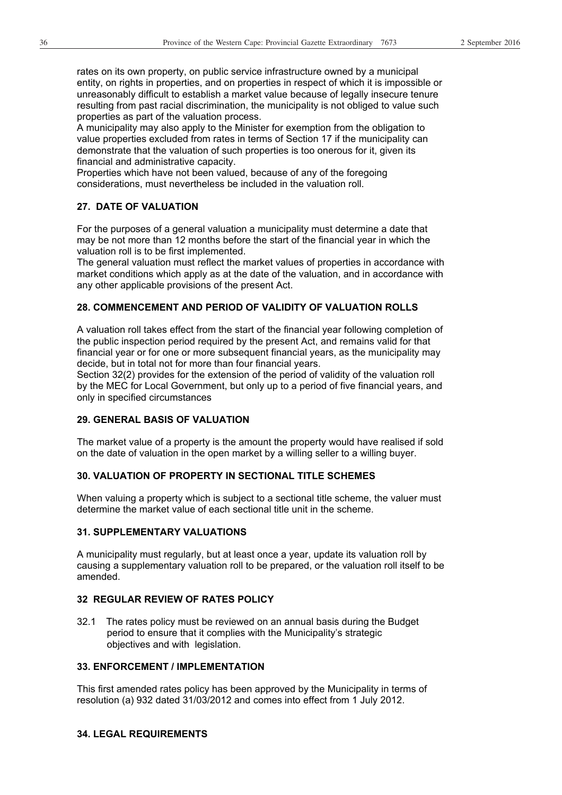rates on its own property, on public service infrastructure owned by a municipal entity, on rights in properties, and on properties in respect of which it is impossible or unreasonably difficult to establish a market value because of legally insecure tenure resulting from past racial discrimination, the municipality is not obliged to value such properties as part of the valuation process.

A municipality may also apply to the Minister for exemption from the obligation to value properties excluded from rates in terms of Section 17 if the municipality can demonstrate that the valuation of such properties is too onerous for it, given its financial and administrative capacity.

Properties which have not been valued, because of any of the foregoing considerations, must nevertheless be included in the valuation roll.

#### **27. DATE OF VALUATION**

For the purposes of a general valuation a municipality must determine a date that may be not more than 12 months before the start of the financial year in which the valuation roll is to be first implemented.

The general valuation must reflect the market values of properties in accordance with market conditions which apply as at the date of the valuation, and in accordance with any other applicable provisions of the present Act.

#### **28. COMMENCEMENT AND PERIOD OF VALIDITY OF VALUATION ROLLS**

A valuation roll takes effect from the start of the financial year following completion of the public inspection period required by the present Act, and remains valid for that financial year or for one or more subsequent financial years, as the municipality may decide, but in total not for more than four financial years.

Section 32(2) provides for the extension of the period of validity of the valuation roll by the MEC for Local Government, but only up to a period of five financial years, and only in specified circumstances

#### **29. GENERAL BASIS OF VALUATION**

The market value of a property is the amount the property would have realised if sold on the date of valuation in the open market by a willing seller to a willing buyer.

#### **30. VALUATION OF PROPERTY IN SECTIONAL TITLE SCHEMES**

When valuing a property which is subject to a sectional title scheme, the valuer must determine the market value of each sectional title unit in the scheme.

#### **31. SUPPLEMENTARY VALUATIONS**

A municipality must regularly, but at least once a year, update its valuation roll by causing a supplementary valuation roll to be prepared, or the valuation roll itself to be amended.

#### **32 REGULAR REVIEW OF RATES POLICY**

32.1 The rates policy must be reviewed on an annual basis during the Budget period to ensure that it complies with the Municipality's strategic objectives and with legislation.

#### **33. ENFORCEMENT / IMPLEMENTATION**

This first amended rates policy has been approved by the Municipality in terms of resolution (a) 932 dated 31/03/2012 and comes into effect from 1 July 2012.

#### **34. LEGAL REQUIREMENTS**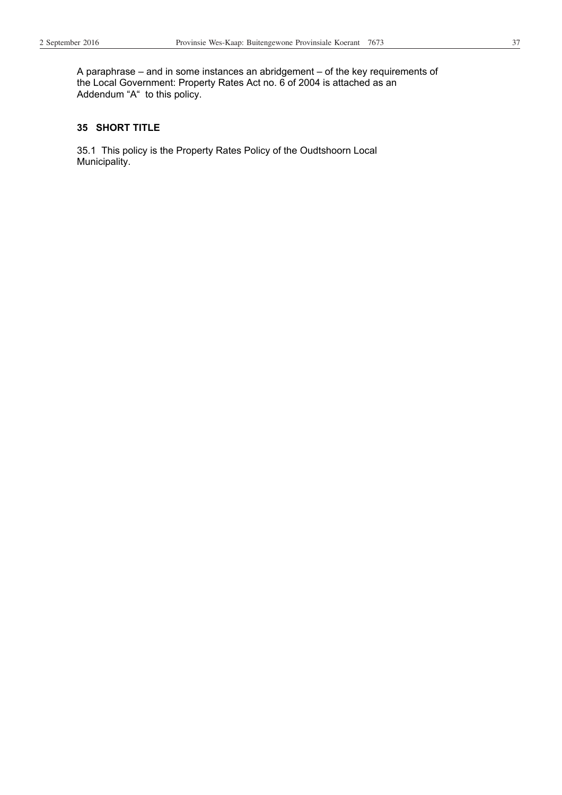A paraphrase – and in some instances an abridgement – of the key requirements of the Local Government: Property Rates Act no. 6 of 2004 is attached as an Addendum "A" to this policy.

#### **35 SHORT TITLE**

35.1 This policy is the Property Rates Policy of the Oudtshoorn Local Municipality.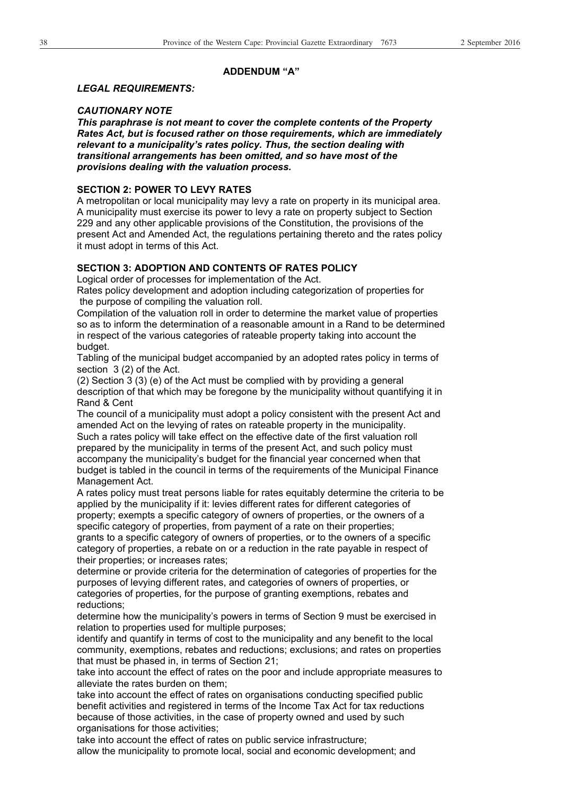#### **ADDENDUM "A"**

#### *LEGAL REQUIREMENTS:*

#### *CAUTIONARY NOTE*

*This paraphrase is not meant to cover the complete contents of the Property Rates Act, but is focused rather on those requirements, which are immediately relevant to a municipality's rates policy. Thus, the section dealing with transitional arrangements has been omitted, and so have most of the provisions dealing with the valuation process.* 

#### **SECTION 2: POWER TO LEVY RATES**

A metropolitan or local municipality may levy a rate on property in its municipal area. A municipality must exercise its power to levy a rate on property subject to Section 229 and any other applicable provisions of the Constitution, the provisions of the present Act and Amended Act, the regulations pertaining thereto and the rates policy it must adopt in terms of this Act.

#### **SECTION 3: ADOPTION AND CONTENTS OF RATES POLICY**

Logical order of processes for implementation of the Act.

Rates policy development and adoption including categorization of properties for the purpose of compiling the valuation roll.

Compilation of the valuation roll in order to determine the market value of properties so as to inform the determination of a reasonable amount in a Rand to be determined in respect of the various categories of rateable property taking into account the budget.

Tabling of the municipal budget accompanied by an adopted rates policy in terms of section 3 (2) of the Act.

(2) Section 3 (3) (e) of the Act must be complied with by providing a general description of that which may be foregone by the municipality without quantifying it in Rand & Cent

The council of a municipality must adopt a policy consistent with the present Act and amended Act on the levying of rates on rateable property in the municipality. Such a rates policy will take effect on the effective date of the first valuation roll prepared by the municipality in terms of the present Act, and such policy must accompany the municipality's budget for the financial year concerned when that budget is tabled in the council in terms of the requirements of the Municipal Finance Management Act.

A rates policy must treat persons liable for rates equitably determine the criteria to be applied by the municipality if it: levies different rates for different categories of property; exempts a specific category of owners of properties, or the owners of a specific category of properties, from payment of a rate on their properties;

grants to a specific category of owners of properties, or to the owners of a specific category of properties, a rebate on or a reduction in the rate payable in respect of their properties; or increases rates;

determine or provide criteria for the determination of categories of properties for the purposes of levying different rates, and categories of owners of properties, or categories of properties, for the purpose of granting exemptions, rebates and reductions;

determine how the municipality's powers in terms of Section 9 must be exercised in relation to properties used for multiple purposes;

identify and quantify in terms of cost to the municipality and any benefit to the local community, exemptions, rebates and reductions; exclusions; and rates on properties that must be phased in, in terms of Section 21;

take into account the effect of rates on the poor and include appropriate measures to alleviate the rates burden on them;

take into account the effect of rates on organisations conducting specified public benefit activities and registered in terms of the Income Tax Act for tax reductions because of those activities, in the case of property owned and used by such organisations for those activities;

take into account the effect of rates on public service infrastructure; allow the municipality to promote local, social and economic development; and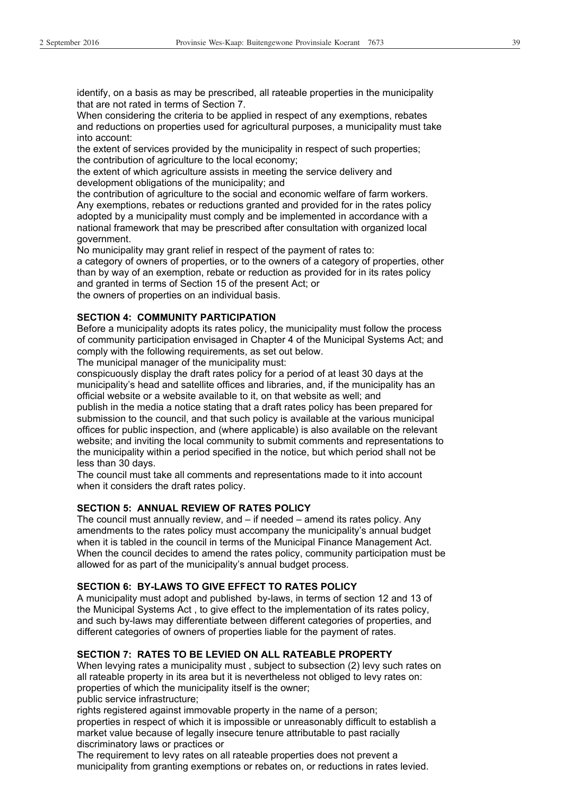identify, on a basis as may be prescribed, all rateable properties in the municipality that are not rated in terms of Section 7.

When considering the criteria to be applied in respect of any exemptions, rebates and reductions on properties used for agricultural purposes, a municipality must take into account:

the extent of services provided by the municipality in respect of such properties; the contribution of agriculture to the local economy;

the extent of which agriculture assists in meeting the service delivery and development obligations of the municipality; and

the contribution of agriculture to the social and economic welfare of farm workers. Any exemptions, rebates or reductions granted and provided for in the rates policy adopted by a municipality must comply and be implemented in accordance with a national framework that may be prescribed after consultation with organized local government.

No municipality may grant relief in respect of the payment of rates to:

a category of owners of properties, or to the owners of a category of properties, other than by way of an exemption, rebate or reduction as provided for in its rates policy and granted in terms of Section 15 of the present Act; or the owners of properties on an individual basis.

#### **SECTION 4: COMMUNITY PARTICIPATION**

Before a municipality adopts its rates policy, the municipality must follow the process of community participation envisaged in Chapter 4 of the Municipal Systems Act; and comply with the following requirements, as set out below.

The municipal manager of the municipality must:

conspicuously display the draft rates policy for a period of at least 30 days at the municipality's head and satellite offices and libraries, and, if the municipality has an official website or a website available to it, on that website as well; and

publish in the media a notice stating that a draft rates policy has been prepared for submission to the council, and that such policy is available at the various municipal offices for public inspection, and (where applicable) is also available on the relevant website; and inviting the local community to submit comments and representations to the municipality within a period specified in the notice, but which period shall not be less than 30 days.

The council must take all comments and representations made to it into account when it considers the draft rates policy.

#### **SECTION 5: ANNUAL REVIEW OF RATES POLICY**

The council must annually review, and – if needed – amend its rates policy. Any amendments to the rates policy must accompany the municipality's annual budget when it is tabled in the council in terms of the Municipal Finance Management Act. When the council decides to amend the rates policy, community participation must be allowed for as part of the municipality's annual budget process.

#### **SECTION 6: BY-LAWS TO GIVE EFFECT TO RATES POLICY**

A municipality must adopt and published by-laws, in terms of section 12 and 13 of the Municipal Systems Act , to give effect to the implementation of its rates policy, and such by-laws may differentiate between different categories of properties, and different categories of owners of properties liable for the payment of rates.

#### **SECTION 7: RATES TO BE LEVIED ON ALL RATEABLE PROPERTY**

When levying rates a municipality must , subject to subsection (2) levy such rates on all rateable property in its area but it is nevertheless not obliged to levy rates on: properties of which the municipality itself is the owner;

public service infrastructure;

rights registered against immovable property in the name of a person;

properties in respect of which it is impossible or unreasonably difficult to establish a market value because of legally insecure tenure attributable to past racially discriminatory laws or practices or

The requirement to levy rates on all rateable properties does not prevent a municipality from granting exemptions or rebates on, or reductions in rates levied.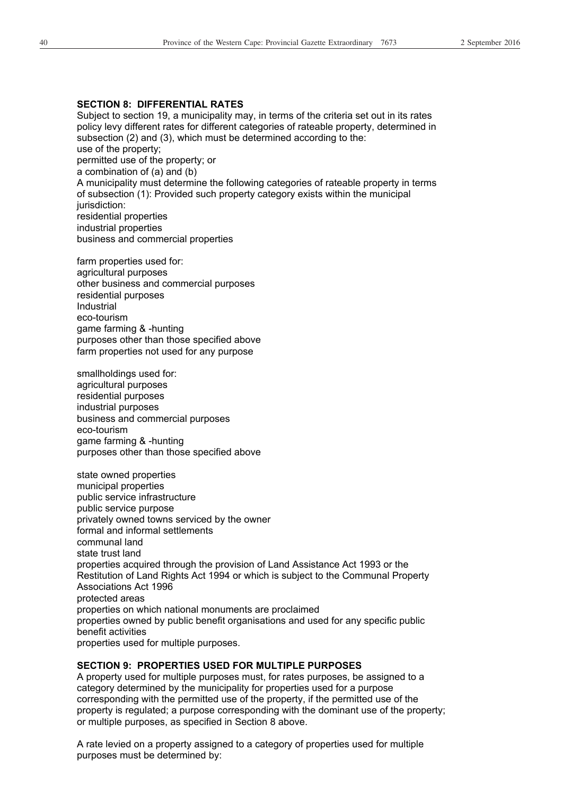#### **SECTION 8: DIFFERENTIAL RATES**

Subject to section 19, a municipality may, in terms of the criteria set out in its rates policy levy different rates for different categories of rateable property, determined in subsection (2) and (3), which must be determined according to the: use of the property; permitted use of the property; or a combination of (a) and (b) A municipality must determine the following categories of rateable property in terms of subsection (1): Provided such property category exists within the municipal jurisdiction: residential properties industrial properties business and commercial properties

farm properties used for: agricultural purposes other business and commercial purposes residential purposes Industrial eco-tourism game farming & -hunting purposes other than those specified above farm properties not used for any purpose

smallholdings used for: agricultural purposes residential purposes industrial purposes business and commercial purposes eco-tourism game farming & -hunting purposes other than those specified above

state owned properties municipal properties public service infrastructure public service purpose privately owned towns serviced by the owner formal and informal settlements communal land state trust land properties acquired through the provision of Land Assistance Act 1993 or the Restitution of Land Rights Act 1994 or which is subject to the Communal Property Associations Act 1996 protected areas properties on which national monuments are proclaimed properties owned by public benefit organisations and used for any specific public benefit activities properties used for multiple purposes.

#### **SECTION 9: PROPERTIES USED FOR MULTIPLE PURPOSES**

A property used for multiple purposes must, for rates purposes, be assigned to a category determined by the municipality for properties used for a purpose corresponding with the permitted use of the property, if the permitted use of the property is regulated; a purpose corresponding with the dominant use of the property; or multiple purposes, as specified in Section 8 above.

A rate levied on a property assigned to a category of properties used for multiple purposes must be determined by: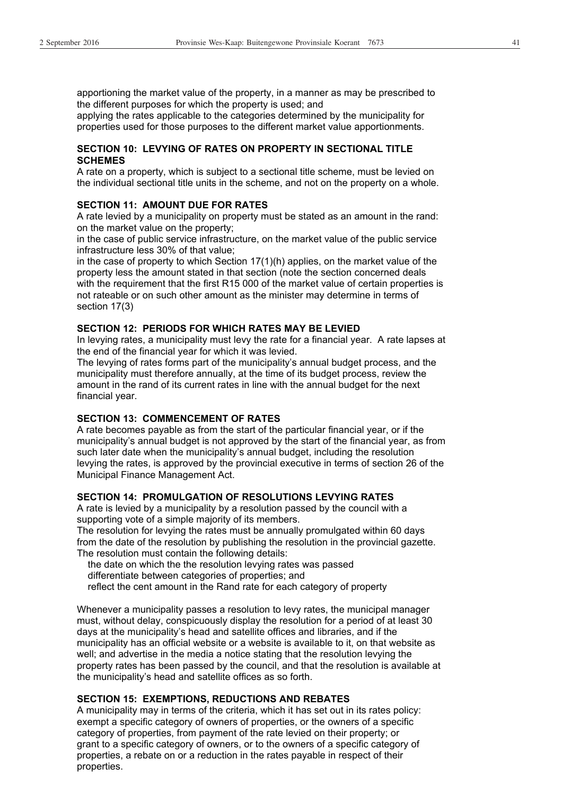apportioning the market value of the property, in a manner as may be prescribed to the different purposes for which the property is used; and

applying the rates applicable to the categories determined by the municipality for properties used for those purposes to the different market value apportionments.

#### **SECTION 10: LEVYING OF RATES ON PROPERTY IN SECTIONAL TITLE SCHEMES**

A rate on a property, which is subject to a sectional title scheme, must be levied on the individual sectional title units in the scheme, and not on the property on a whole.

#### **SECTION 11: AMOUNT DUE FOR RATES**

A rate levied by a municipality on property must be stated as an amount in the rand: on the market value on the property;

in the case of public service infrastructure, on the market value of the public service infrastructure less 30% of that value;

in the case of property to which Section 17(1)(h) applies, on the market value of the property less the amount stated in that section (note the section concerned deals with the requirement that the first R15 000 of the market value of certain properties is not rateable or on such other amount as the minister may determine in terms of section 17(3)

#### **SECTION 12: PERIODS FOR WHICH RATES MAY BE LEVIED**

In levying rates, a municipality must levy the rate for a financial year. A rate lapses at the end of the financial year for which it was levied.

The levying of rates forms part of the municipality's annual budget process, and the municipality must therefore annually, at the time of its budget process, review the amount in the rand of its current rates in line with the annual budget for the next financial year.

#### **SECTION 13: COMMENCEMENT OF RATES**

A rate becomes payable as from the start of the particular financial year, or if the municipality's annual budget is not approved by the start of the financial year, as from such later date when the municipality's annual budget, including the resolution levying the rates, is approved by the provincial executive in terms of section 26 of the Municipal Finance Management Act.

#### **SECTION 14: PROMULGATION OF RESOLUTIONS LEVYING RATES**

A rate is levied by a municipality by a resolution passed by the council with a supporting vote of a simple majority of its members.

The resolution for levying the rates must be annually promulgated within 60 days from the date of the resolution by publishing the resolution in the provincial gazette. The resolution must contain the following details:

 the date on which the the resolution levying rates was passed differentiate between categories of properties; and

reflect the cent amount in the Rand rate for each category of property

Whenever a municipality passes a resolution to levy rates, the municipal manager must, without delay, conspicuously display the resolution for a period of at least 30 days at the municipality's head and satellite offices and libraries, and if the municipality has an official website or a website is available to it, on that website as well; and advertise in the media a notice stating that the resolution levying the property rates has been passed by the council, and that the resolution is available at the municipality's head and satellite offices as so forth.

#### **SECTION 15: EXEMPTIONS, REDUCTIONS AND REBATES**

A municipality may in terms of the criteria, which it has set out in its rates policy: exempt a specific category of owners of properties, or the owners of a specific category of properties, from payment of the rate levied on their property; or grant to a specific category of owners, or to the owners of a specific category of properties, a rebate on or a reduction in the rates payable in respect of their properties.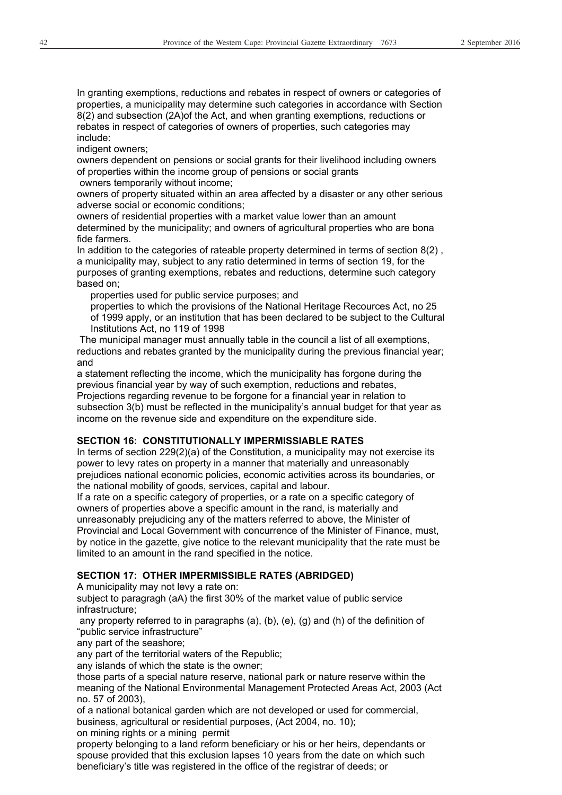In granting exemptions, reductions and rebates in respect of owners or categories of properties, a municipality may determine such categories in accordance with Section 8(2) and subsection (2A)of the Act, and when granting exemptions, reductions or rebates in respect of categories of owners of properties, such categories may include:

indigent owners:

owners dependent on pensions or social grants for their livelihood including owners of properties within the income group of pensions or social grants owners temporarily without income;

owners of property situated within an area affected by a disaster or any other serious adverse social or economic conditions;

owners of residential properties with a market value lower than an amount determined by the municipality; and owners of agricultural properties who are bona fide farmers.

In addition to the categories of rateable property determined in terms of section 8(2) , a municipality may, subject to any ratio determined in terms of section 19, for the purposes of granting exemptions, rebates and reductions, determine such category based on;

properties used for public service purposes; and

 properties to which the provisions of the National Heritage Recources Act, no 25 of 1999 apply, or an institution that has been declared to be subject to the Cultural Institutions Act, no 119 of 1998

 The municipal manager must annually table in the council a list of all exemptions, reductions and rebates granted by the municipality during the previous financial year; and

a statement reflecting the income, which the municipality has forgone during the previous financial year by way of such exemption, reductions and rebates, Projections regarding revenue to be forgone for a financial year in relation to subsection 3(b) must be reflected in the municipality's annual budget for that year as income on the revenue side and expenditure on the expenditure side.

#### **SECTION 16: CONSTITUTIONALLY IMPERMISSIABLE RATES**

In terms of section 229(2)(a) of the Constitution, a municipality may not exercise its power to levy rates on property in a manner that materially and unreasonably prejudices national economic policies, economic activities across its boundaries, or the national mobility of goods, services, capital and labour.

If a rate on a specific category of properties, or a rate on a specific category of owners of properties above a specific amount in the rand, is materially and unreasonably prejudicing any of the matters referred to above, the Minister of Provincial and Local Government with concurrence of the Minister of Finance, must, by notice in the gazette, give notice to the relevant municipality that the rate must be limited to an amount in the rand specified in the notice.

#### **SECTION 17: OTHER IMPERMISSIBLE RATES (ABRIDGED)**

A municipality may not levy a rate on:

subject to paragragh (aA) the first 30% of the market value of public service infrastructure;

 any property referred to in paragraphs (a), (b), (e), (g) and (h) of the definition of "public service infrastructure"

any part of the seashore;

any part of the territorial waters of the Republic;

any islands of which the state is the owner;

those parts of a special nature reserve, national park or nature reserve within the meaning of the National Environmental Management Protected Areas Act, 2003 (Act no. 57 of 2003),

of a national botanical garden which are not developed or used for commercial, business, agricultural or residential purposes, (Act 2004, no. 10);

on mining rights or a mining permit

property belonging to a land reform beneficiary or his or her heirs, dependants or spouse provided that this exclusion lapses 10 years from the date on which such beneficiary's title was registered in the office of the registrar of deeds; or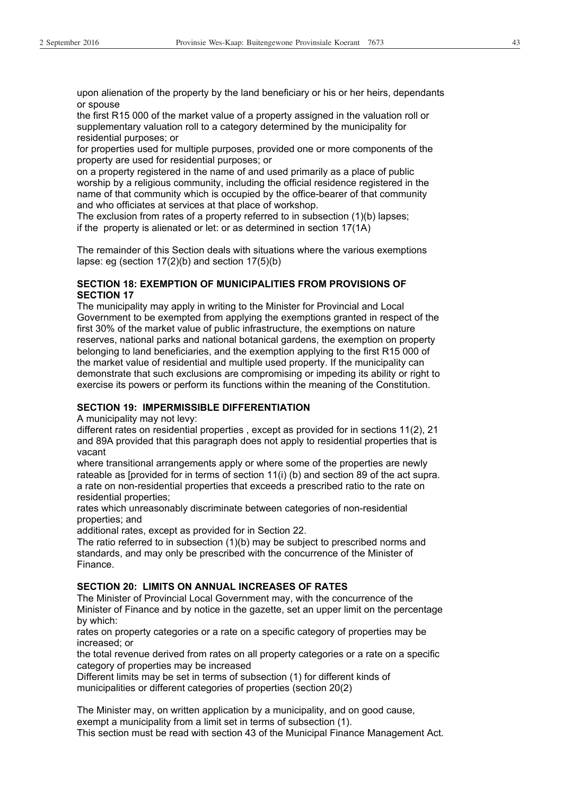upon alienation of the property by the land beneficiary or his or her heirs, dependants or spouse

the first R15 000 of the market value of a property assigned in the valuation roll or supplementary valuation roll to a category determined by the municipality for residential purposes; or

for properties used for multiple purposes, provided one or more components of the property are used for residential purposes; or

on a property registered in the name of and used primarily as a place of public worship by a religious community, including the official residence registered in the name of that community which is occupied by the office-bearer of that community and who officiates at services at that place of workshop.

The exclusion from rates of a property referred to in subsection (1)(b) lapses; if the property is alienated or let: or as determined in section 17(1A)

The remainder of this Section deals with situations where the various exemptions lapse: eg (section 17(2)(b) and section 17(5)(b)

#### **SECTION 18: EXEMPTION OF MUNICIPALITIES FROM PROVISIONS OF SECTION 17**

The municipality may apply in writing to the Minister for Provincial and Local Government to be exempted from applying the exemptions granted in respect of the first 30% of the market value of public infrastructure, the exemptions on nature reserves, national parks and national botanical gardens, the exemption on property belonging to land beneficiaries, and the exemption applying to the first R15 000 of the market value of residential and multiple used property. If the municipality can demonstrate that such exclusions are compromising or impeding its ability or right to exercise its powers or perform its functions within the meaning of the Constitution.

#### **SECTION 19: IMPERMISSIBLE DIFFERENTIATION**

A municipality may not levy:

different rates on residential properties , except as provided for in sections 11(2), 21 and 89A provided that this paragraph does not apply to residential properties that is vacant

where transitional arrangements apply or where some of the properties are newly rateable as [provided for in terms of section 11(i) (b) and section 89 of the act supra. a rate on non-residential properties that exceeds a prescribed ratio to the rate on residential properties;

rates which unreasonably discriminate between categories of non-residential properties; and

additional rates, except as provided for in Section 22.

The ratio referred to in subsection (1)(b) may be subject to prescribed norms and standards, and may only be prescribed with the concurrence of the Minister of Finance.

#### **SECTION 20: LIMITS ON ANNUAL INCREASES OF RATES**

The Minister of Provincial Local Government may, with the concurrence of the Minister of Finance and by notice in the gazette, set an upper limit on the percentage by which:

rates on property categories or a rate on a specific category of properties may be increased; or

the total revenue derived from rates on all property categories or a rate on a specific category of properties may be increased

Different limits may be set in terms of subsection (1) for different kinds of municipalities or different categories of properties (section 20(2)

The Minister may, on written application by a municipality, and on good cause, exempt a municipality from a limit set in terms of subsection (1).

This section must be read with section 43 of the Municipal Finance Management Act.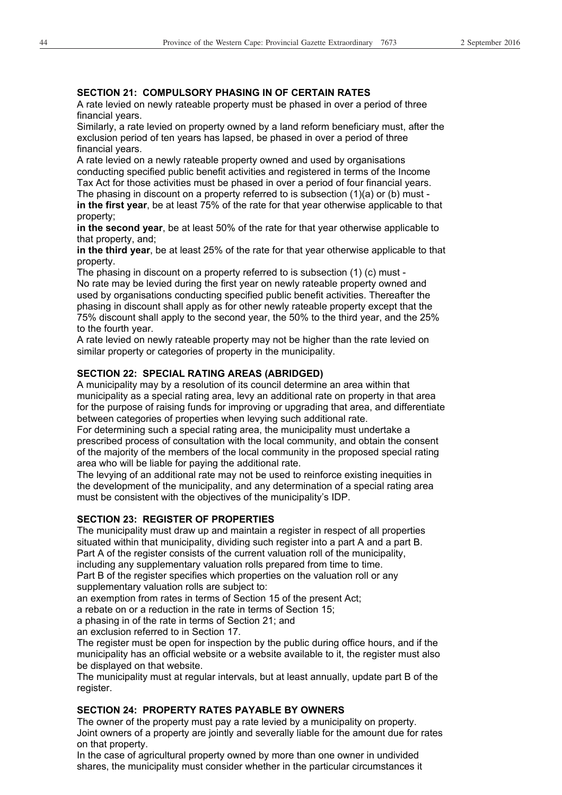#### **SECTION 21: COMPULSORY PHASING IN OF CERTAIN RATES**

A rate levied on newly rateable property must be phased in over a period of three financial years.

Similarly, a rate levied on property owned by a land reform beneficiary must, after the exclusion period of ten years has lapsed, be phased in over a period of three financial years.

A rate levied on a newly rateable property owned and used by organisations conducting specified public benefit activities and registered in terms of the Income Tax Act for those activities must be phased in over a period of four financial years. The phasing in discount on a property referred to is subsection  $(1)(a)$  or  $(b)$  must **in the first year**, be at least 75% of the rate for that year otherwise applicable to that property;

**in the second year**, be at least 50% of the rate for that year otherwise applicable to that property, and;

**in the third year**, be at least 25% of the rate for that year otherwise applicable to that property.

The phasing in discount on a property referred to is subsection (1) (c) must - No rate may be levied during the first year on newly rateable property owned and used by organisations conducting specified public benefit activities. Thereafter the phasing in discount shall apply as for other newly rateable property except that the 75% discount shall apply to the second year, the 50% to the third year, and the 25% to the fourth year.

A rate levied on newly rateable property may not be higher than the rate levied on similar property or categories of property in the municipality.

#### **SECTION 22: SPECIAL RATING AREAS (ABRIDGED)**

A municipality may by a resolution of its council determine an area within that municipality as a special rating area, levy an additional rate on property in that area for the purpose of raising funds for improving or upgrading that area, and differentiate between categories of properties when levying such additional rate.

For determining such a special rating area, the municipality must undertake a prescribed process of consultation with the local community, and obtain the consent of the majority of the members of the local community in the proposed special rating area who will be liable for paying the additional rate.

The levying of an additional rate may not be used to reinforce existing inequities in the development of the municipality, and any determination of a special rating area must be consistent with the objectives of the municipality's IDP.

#### **SECTION 23: REGISTER OF PROPERTIES**

The municipality must draw up and maintain a register in respect of all properties situated within that municipality, dividing such register into a part A and a part B. Part A of the register consists of the current valuation roll of the municipality, including any supplementary valuation rolls prepared from time to time. Part B of the register specifies which properties on the valuation roll or any supplementary valuation rolls are subject to:

an exemption from rates in terms of Section 15 of the present Act;

a rebate on or a reduction in the rate in terms of Section 15;

a phasing in of the rate in terms of Section 21; and

an exclusion referred to in Section 17.

The register must be open for inspection by the public during office hours, and if the municipality has an official website or a website available to it, the register must also be displayed on that website.

The municipality must at regular intervals, but at least annually, update part B of the register.

#### **SECTION 24: PROPERTY RATES PAYABLE BY OWNERS**

The owner of the property must pay a rate levied by a municipality on property. Joint owners of a property are jointly and severally liable for the amount due for rates on that property.

In the case of agricultural property owned by more than one owner in undivided shares, the municipality must consider whether in the particular circumstances it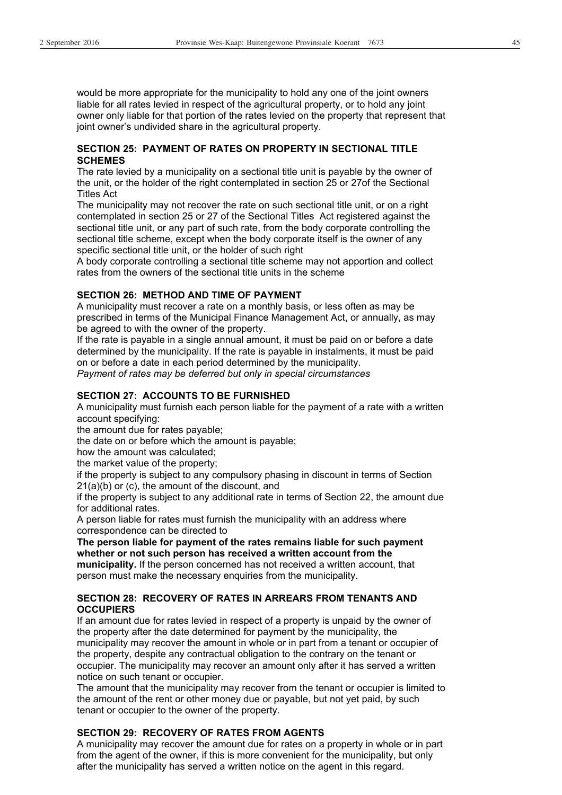would be more appropriate for the municipality to hold any one of the joint owners liable for all rates levied in respect of the agricultural property, or to hold any joint owner only liable for that portion of the rates levied on the property that represent that joint owner's undivided share in the agricultural property.

#### **SECTION 25: PAYMENT OF RATES ON PROPERTY IN SECTIONAL TITLE SCHEMES**

The rate levied by a municipality on a sectional title unit is payable by the owner of the unit, or the holder of the right contemplated in section 25 or 27of the Sectional Titles Act

The municipality may not recover the rate on such sectional title unit, or on a right contemplated in section 25 or 27 of the Sectional Titles Act registered against the sectional title unit, or any part of such rate, from the body corporate controlling the sectional title scheme, except when the body corporate itself is the owner of any specific sectional title unit, or the holder of such right

A body corporate controlling a sectional title scheme may not apportion and collect rates from the owners of the sectional title units in the scheme

#### **SECTION 26: METHOD AND TIME OF PAYMENT**

A municipality must recover a rate on a monthly basis, or less often as may be prescribed in terms of the Municipal Finance Management Act, or annually, as may be agreed to with the owner of the property.

If the rate is payable in a single annual amount, it must be paid on or before a date determined by the municipality. If the rate is payable in instalments, it must be paid on or before a date in each period determined by the municipality.

*Payment of rates may be deferred but only in special circumstances* 

#### **SECTION 27: ACCOUNTS TO BE FURNISHED**

A municipality must furnish each person liable for the payment of a rate with a written account specifying:

the amount due for rates payable;

the date on or before which the amount is payable;

how the amount was calculated;

the market value of the property;

if the property is subject to any compulsory phasing in discount in terms of Section 21(a)(b) or (c), the amount of the discount, and

if the property is subject to any additional rate in terms of Section 22, the amount due for additional rates.

A person liable for rates must furnish the municipality with an address where correspondence can be directed to

**The person liable for payment of the rates remains liable for such payment whether or not such person has received a written account from the municipality.** If the person concerned has not received a written account, that person must make the necessary enquiries from the municipality.

#### **SECTION 28: RECOVERY OF RATES IN ARREARS FROM TENANTS AND OCCUPIERS**

If an amount due for rates levied in respect of a property is unpaid by the owner of the property after the date determined for payment by the municipality, the municipality may recover the amount in whole or in part from a tenant or occupier of the property, despite any contractual obligation to the contrary on the tenant or occupier. The municipality may recover an amount only after it has served a written notice on such tenant or occupier.

The amount that the municipality may recover from the tenant or occupier is limited to the amount of the rent or other money due or payable, but not yet paid, by such tenant or occupier to the owner of the property.

#### **SECTION 29: RECOVERY OF RATES FROM AGENTS**

A municipality may recover the amount due for rates on a property in whole or in part from the agent of the owner, if this is more convenient for the municipality, but only after the municipality has served a written notice on the agent in this regard.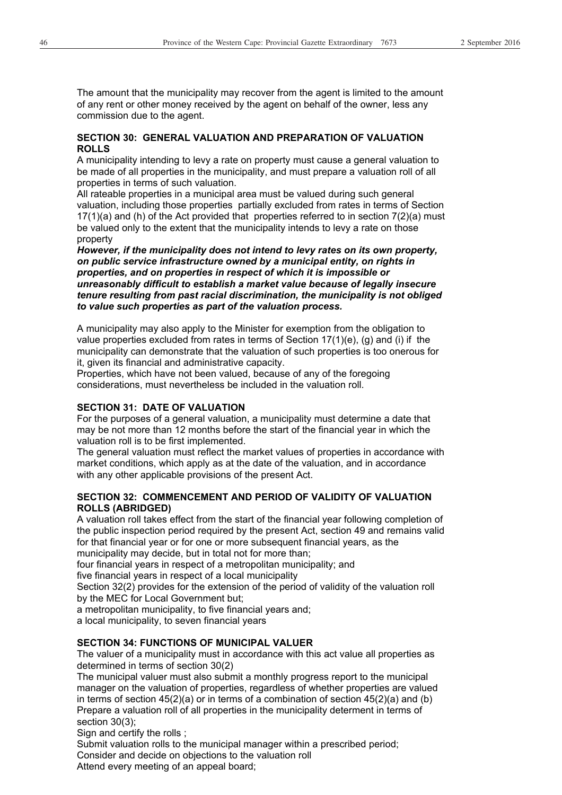The amount that the municipality may recover from the agent is limited to the amount of any rent or other money received by the agent on behalf of the owner, less any commission due to the agent.

#### **SECTION 30: GENERAL VALUATION AND PREPARATION OF VALUATION ROLLS**

A municipality intending to levy a rate on property must cause a general valuation to be made of all properties in the municipality, and must prepare a valuation roll of all properties in terms of such valuation.

All rateable properties in a municipal area must be valued during such general valuation, including those properties partially excluded from rates in terms of Section 17(1)(a) and (h) of the Act provided that properties referred to in section 7(2)(a) must be valued only to the extent that the municipality intends to levy a rate on those property

*However, if the municipality does not intend to levy rates on its own property, on public service infrastructure owned by a municipal entity, on rights in properties, and on properties in respect of which it is impossible or unreasonably difficult to establish a market value because of legally insecure tenure resulting from past racial discrimination, the municipality is not obliged to value such properties as part of the valuation process.*

A municipality may also apply to the Minister for exemption from the obligation to value properties excluded from rates in terms of Section 17(1)(e), (g) and (i) if the municipality can demonstrate that the valuation of such properties is too onerous for it, given its financial and administrative capacity.

Properties, which have not been valued, because of any of the foregoing considerations, must nevertheless be included in the valuation roll.

#### **SECTION 31: DATE OF VALUATION**

For the purposes of a general valuation, a municipality must determine a date that may be not more than 12 months before the start of the financial year in which the valuation roll is to be first implemented.

The general valuation must reflect the market values of properties in accordance with market conditions, which apply as at the date of the valuation, and in accordance with any other applicable provisions of the present Act.

#### **SECTION 32: COMMENCEMENT AND PERIOD OF VALIDITY OF VALUATION ROLLS (ABRIDGED)**

A valuation roll takes effect from the start of the financial year following completion of the public inspection period required by the present Act, section 49 and remains valid for that financial year or for one or more subsequent financial years, as the municipality may decide, but in total not for more than;

four financial years in respect of a metropolitan municipality; and

five financial years in respect of a local municipality

Section 32(2) provides for the extension of the period of validity of the valuation roll by the MEC for Local Government but;

a metropolitan municipality, to five financial years and;

a local municipality, to seven financial years

#### **SECTION 34: FUNCTIONS OF MUNICIPAL VALUER**

The valuer of a municipality must in accordance with this act value all properties as determined in terms of section 30(2)

The municipal valuer must also submit a monthly progress report to the municipal manager on the valuation of properties, regardless of whether properties are valued in terms of section 45(2)(a) or in terms of a combination of section 45(2)(a) and (b) Prepare a valuation roll of all properties in the municipality determent in terms of section 30(3);

Sign and certify the rolls ;

Submit valuation rolls to the municipal manager within a prescribed period; Consider and decide on objections to the valuation roll

Attend every meeting of an appeal board;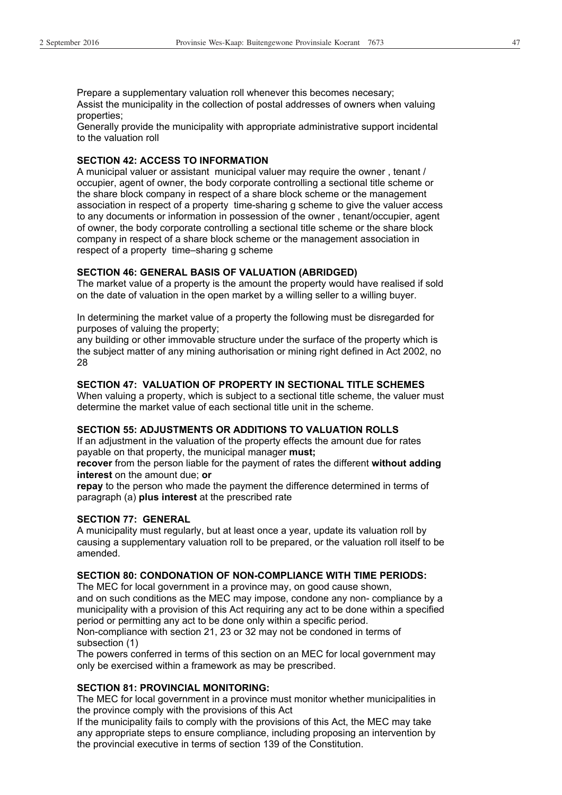Prepare a supplementary valuation roll whenever this becomes necesary; Assist the municipality in the collection of postal addresses of owners when valuing properties;

Generally provide the municipality with appropriate administrative support incidental to the valuation roll

#### **SECTION 42: ACCESS TO INFORMATION**

A municipal valuer or assistant municipal valuer may require the owner , tenant / occupier, agent of owner, the body corporate controlling a sectional title scheme or the share block company in respect of a share block scheme or the management association in respect of a property time-sharing g scheme to give the valuer access to any documents or information in possession of the owner , tenant/occupier, agent of owner, the body corporate controlling a sectional title scheme or the share block company in respect of a share block scheme or the management association in respect of a property time–sharing g scheme

#### **SECTION 46: GENERAL BASIS OF VALUATION (ABRIDGED)**

The market value of a property is the amount the property would have realised if sold on the date of valuation in the open market by a willing seller to a willing buyer.

In determining the market value of a property the following must be disregarded for purposes of valuing the property;

any building or other immovable structure under the surface of the property which is the subject matter of any mining authorisation or mining right defined in Act 2002, no 28

#### **SECTION 47: VALUATION OF PROPERTY IN SECTIONAL TITLE SCHEMES**

When valuing a property, which is subject to a sectional title scheme, the valuer must determine the market value of each sectional title unit in the scheme.

#### **SECTION 55: ADJUSTMENTS OR ADDITIONS TO VALUATION ROLLS**

If an adjustment in the valuation of the property effects the amount due for rates payable on that property, the municipal manager **must;**

**recover** from the person liable for the payment of rates the different **without adding interest** on the amount due; **or**

**repay** to the person who made the payment the difference determined in terms of paragraph (a) **plus interest** at the prescribed rate

#### **SECTION 77: GENERAL**

A municipality must regularly, but at least once a year, update its valuation roll by causing a supplementary valuation roll to be prepared, or the valuation roll itself to be amended.

#### **SECTION 80: CONDONATION OF NON-COMPLIANCE WITH TIME PERIODS:**

The MEC for local government in a province may, on good cause shown,

and on such conditions as the MEC may impose, condone any non- compliance by a municipality with a provision of this Act requiring any act to be done within a specified period or permitting any act to be done only within a specific period.

Non-compliance with section 21, 23 or 32 may not be condoned in terms of subsection (1)

The powers conferred in terms of this section on an MEC for local government may only be exercised within a framework as may be prescribed.

#### **SECTION 81: PROVINCIAL MONITORING:**

The MEC for local government in a province must monitor whether municipalities in the province comply with the provisions of this Act

If the municipality fails to comply with the provisions of this Act, the MEC may take any appropriate steps to ensure compliance, including proposing an intervention by the provincial executive in terms of section 139 of the Constitution.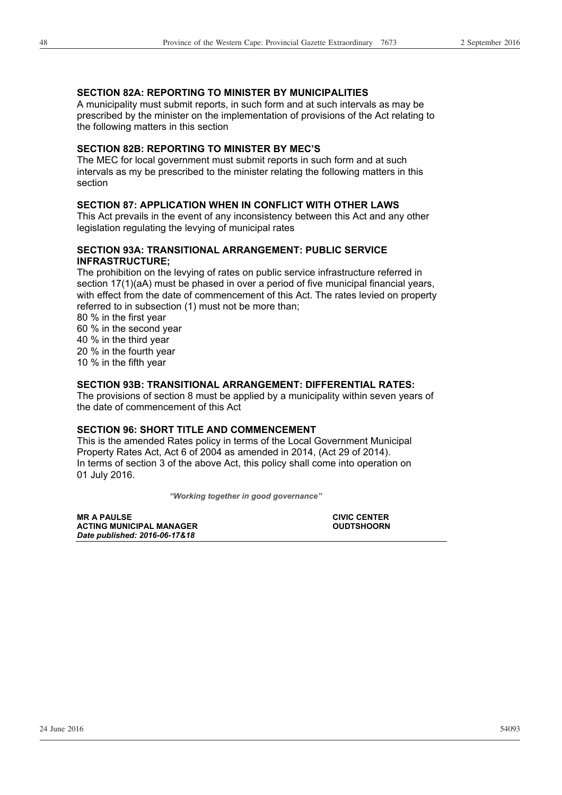#### **SECTION 82A: REPORTING TO MINISTER BY MUNICIPALITIES**

A municipality must submit reports, in such form and at such intervals as may be prescribed by the minister on the implementation of provisions of the Act relating to the following matters in this section

#### **SECTION 82B: REPORTING TO MINISTER BY MEC'S**

The MEC for local government must submit reports in such form and at such intervals as my be prescribed to the minister relating the following matters in this section

#### **SECTION 87: APPLICATION WHEN IN CONFLICT WITH OTHER LAWS**

This Act prevails in the event of any inconsistency between this Act and any other legislation regulating the levying of municipal rates

#### **SECTION 93A: TRANSITIONAL ARRANGEMENT: PUBLIC SERVICE INFRASTRUCTURE;**

The prohibition on the levying of rates on public service infrastructure referred in section 17(1)(aA) must be phased in over a period of five municipal financial years, with effect from the date of commencement of this Act. The rates levied on property referred to in subsection (1) must not be more than;

80 % in the first year

60 % in the second year

40 % in the third year

20 % in the fourth year

10 % in the fifth year

#### **SECTION 93B: TRANSITIONAL ARRANGEMENT: DIFFERENTIAL RATES:**

The provisions of section 8 must be applied by a municipality within seven years of the date of commencement of this Act

#### **SECTION 96: SHORT TITLE AND COMMENCEMENT**

This is the amended Rates policy in terms of the Local Government Municipal Property Rates Act, Act 6 of 2004 as amended in 2014, (Act 29 of 2014). In terms of section 3 of the above Act, this policy shall come into operation on 01 July 2016.

*"Working together in good governance"* 

| <b>MR A PAULSE</b>              | <b>CIVIC CENTER</b> |
|---------------------------------|---------------------|
| <b>ACTING MUNICIPAL MANAGER</b> | <b>OUDTSHOORN</b>   |
| Date published: 2016-06-17&18   |                     |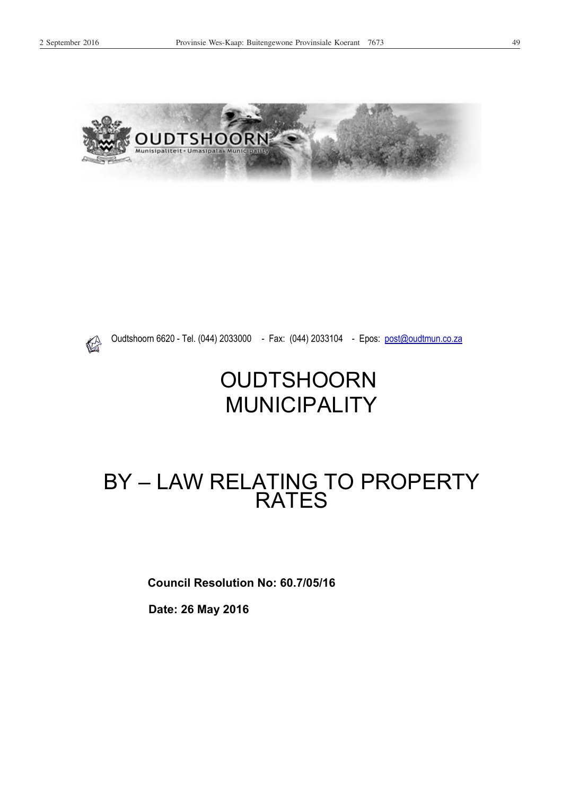



Oudtshoorn 6620 - Tel. (044) 2033000 - Fax: (044) 2033104 - Epos: post@oudtmun.co.za

## **OUDTSHOORN** MUNICIPALITY

## BY – LAW RELATING TO PROPERTY RATES

**Council Resolution No: 60.7/05/16** 

 **Date: 26 May 2016**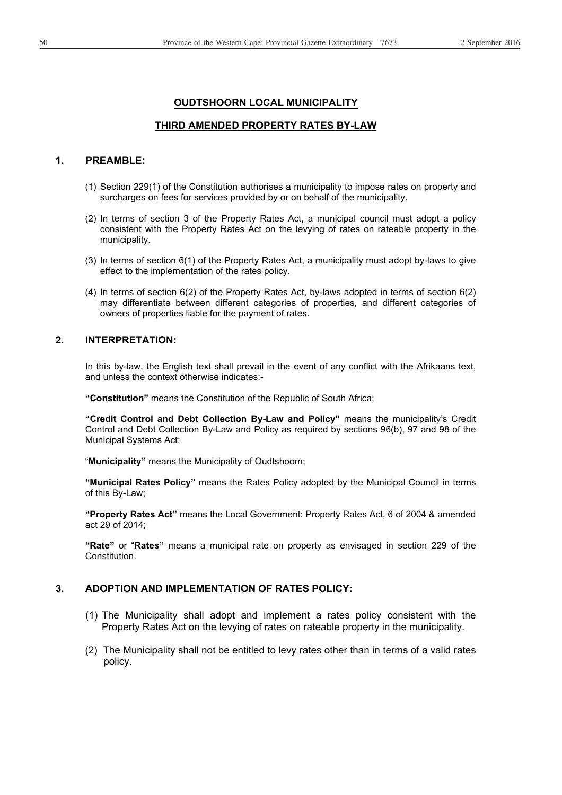#### **OUDTSHOORN LOCAL MUNICIPALITY**

#### **THIRD AMENDED PROPERTY RATES BY-LAW**

#### **1. PREAMBLE:**

- (1) Section 229(1) of the Constitution authorises a municipality to impose rates on property and surcharges on fees for services provided by or on behalf of the municipality.
- (2) In terms of section 3 of the Property Rates Act, a municipal council must adopt a policy consistent with the Property Rates Act on the levying of rates on rateable property in the municipality.
- (3) In terms of section 6(1) of the Property Rates Act, a municipality must adopt by-laws to give effect to the implementation of the rates policy.
- (4) In terms of section 6(2) of the Property Rates Act, by-laws adopted in terms of section 6(2) may differentiate between different categories of properties, and different categories of owners of properties liable for the payment of rates.

#### **2. INTERPRETATION:**

In this by-law, the English text shall prevail in the event of any conflict with the Afrikaans text, and unless the context otherwise indicates:-

**"Constitution"** means the Constitution of the Republic of South Africa;

**"Credit Control and Debt Collection By-Law and Policy"** means the municipality's Credit Control and Debt Collection By-Law and Policy as required by sections 96(b), 97 and 98 of the Municipal Systems Act;

"**Municipality"** means the Municipality of Oudtshoorn;

**"Municipal Rates Policy"** means the Rates Policy adopted by the Municipal Council in terms of this By-Law;

**"Property Rates Act"** means the Local Government: Property Rates Act, 6 of 2004 & amended act 29 of 2014;

**"Rate"** or "**Rates"** means a municipal rate on property as envisaged in section 229 of the Constitution.

#### **3. ADOPTION AND IMPLEMENTATION OF RATES POLICY:**

- (1) The Municipality shall adopt and implement a rates policy consistent with the Property Rates Act on the levying of rates on rateable property in the municipality.
- (2) The Municipality shall not be entitled to levy rates other than in terms of a valid rates policy.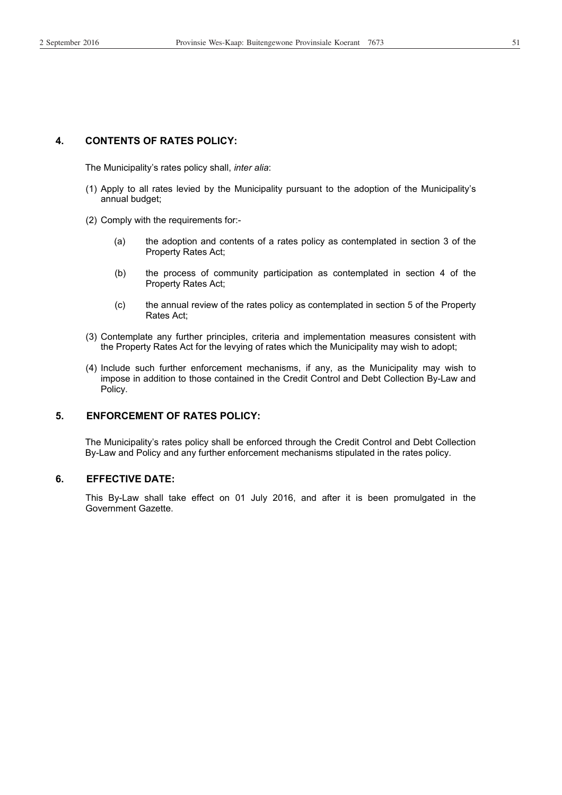#### **4. CONTENTS OF RATES POLICY:**

The Municipality's rates policy shall, *inter alia*:

- (1) Apply to all rates levied by the Municipality pursuant to the adoption of the Municipality's annual budget;
- (2) Comply with the requirements for:-
	- (a) the adoption and contents of a rates policy as contemplated in section 3 of the Property Rates Act;
	- (b) the process of community participation as contemplated in section 4 of the Property Rates Act;
	- (c) the annual review of the rates policy as contemplated in section 5 of the Property Rates Act;
- (3) Contemplate any further principles, criteria and implementation measures consistent with the Property Rates Act for the levying of rates which the Municipality may wish to adopt;
- (4) Include such further enforcement mechanisms, if any, as the Municipality may wish to impose in addition to those contained in the Credit Control and Debt Collection By-Law and Policy.

#### **5. ENFORCEMENT OF RATES POLICY:**

The Municipality's rates policy shall be enforced through the Credit Control and Debt Collection By-Law and Policy and any further enforcement mechanisms stipulated in the rates policy.

#### **6. EFFECTIVE DATE:**

This By-Law shall take effect on 01 July 2016, and after it is been promulgated in the Government Gazette.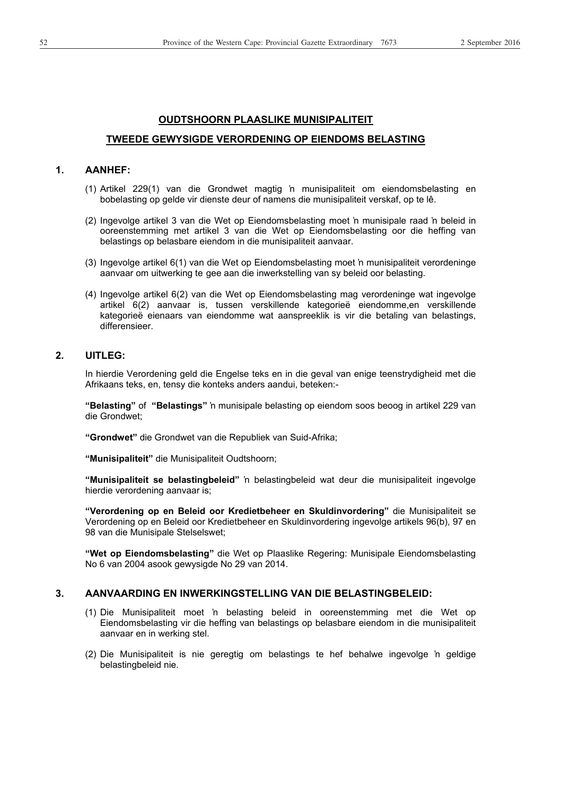#### **OUDTSHOORN PLAASLIKE MUNISIPALITEIT**

#### **TWEEDE GEWYSIGDE VERORDENING OP EIENDOMS BELASTING**

#### **1. AANHEF:**

- (1) Artikel 229(1) van die Grondwet magtig ƌ munisipaliteit om eiendomsbelasting en bobelasting op gelde vir dienste deur of namens die munisipaliteit verskaf, op te lê.
- (2) Ingevolge artikel 3 van die Wet op Eiendomsbelasting moet 'n munisipale raad 'n beleid in ooreenstemming met artikel 3 van die Wet op Eiendomsbelasting oor die heffing van belastings op belasbare eiendom in die munisipaliteit aanvaar.
- (3) Ingevolge artikel 6(1) van die Wet op Eiendomsbelasting moet 'n munisipaliteit verordeninge aanvaar om uitwerking te gee aan die inwerkstelling van sy beleid oor belasting.
- (4) Ingevolge artikel 6(2) van die Wet op Eiendomsbelasting mag verordeninge wat ingevolge artikel 6(2) aanvaar is, tussen verskillende kategorieë eiendomme,en verskillende kategorieë eienaars van eiendomme wat aanspreeklik is vir die betaling van belastings, differensieer.

#### **2. UITLEG:**

In hierdie Verordening geld die Engelse teks en in die geval van enige teenstrydigheid met die Afrikaans teks, en, tensy die konteks anders aandui, beteken:-

"Belasting" of "Belastings" in munisipale belasting op eiendom soos beoog in artikel 229 van die Grondwet;

**"Grondwet"** die Grondwet van die Republiek van Suid-Afrika;

**"Munisipaliteit"** die Munisipaliteit Oudtshoorn;

**"Munisipaliteit se belastingbeleid"** ƌ belastingbeleid wat deur die munisipaliteit ingevolge hierdie verordening aanvaar is;

**"Verordening op en Beleid oor Kredietbeheer en Skuldinvordering"** die Munisipaliteit se Verordening op en Beleid oor Kredietbeheer en Skuldinvordering ingevolge artikels 96(b), 97 en 98 van die Munisipale Stelselswet;

**"Wet op Eiendomsbelasting"** die Wet op Plaaslike Regering: Munisipale Eiendomsbelasting No 6 van 2004 asook gewysigde No 29 van 2014.

#### **3. AANVAARDING EN INWERKINGSTELLING VAN DIE BELASTINGBELEID:**

- (1) Die Munisipaliteit moet ƌ belasting beleid in ooreenstemming met die Wet op Eiendomsbelasting vir die heffing van belastings op belasbare eiendom in die munisipaliteit aanvaar en in werking stel.
- (2) Die Munisipaliteit is nie geregtig om belastings te hef behalwe ingevolge 'n geldige belastingbeleid nie.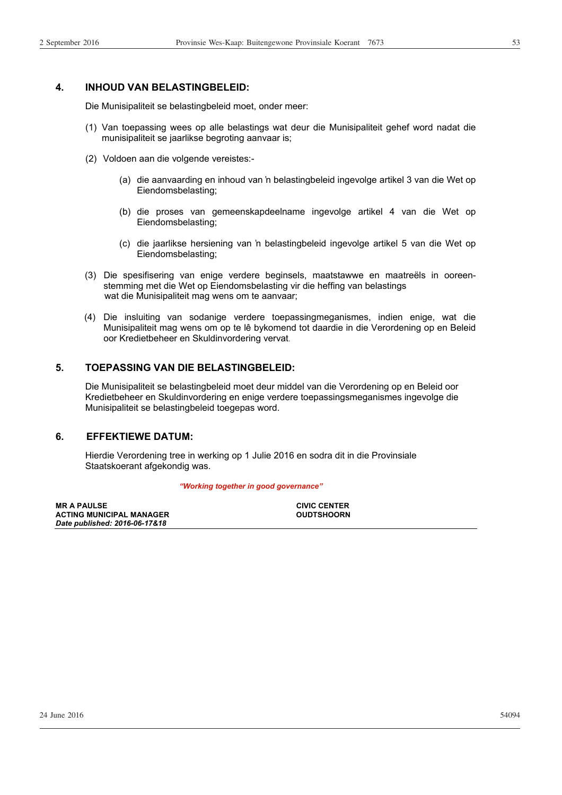#### **4. INHOUD VAN BELASTINGBELEID:**

Die Munisipaliteit se belastingbeleid moet, onder meer:

- (1) Van toepassing wees op alle belastings wat deur die Munisipaliteit gehef word nadat die munisipaliteit se jaarlikse begroting aanvaar is;
- (2) Voldoen aan die volgende vereistes:-
	- (a) die aanvaarding en inhoud van 'n belastingbeleid ingevolge artikel 3 van die Wet op Eiendomsbelasting;
	- (b) die proses van gemeenskapdeelname ingevolge artikel 4 van die Wet op Eiendomsbelasting;
	- (c) die jaarlikse hersiening van ƌ belastingbeleid ingevolge artikel 5 van die Wet op Eiendomsbelasting;
- (3) Die spesifisering van enige verdere beginsels, maatstawwe en maatreëls in ooreenstemming met die Wet op Eiendomsbelasting vir die heffing van belastings wat die Munisipaliteit mag wens om te aanvaar;
- (4) Die insluiting van sodanige verdere toepassingmeganismes, indien enige, wat die Munisipaliteit mag wens om op te lê bykomend tot daardie in die Verordening op en Beleid oor Kredietbeheer en Skuldinvordering vervat.

#### **5. TOEPASSING VAN DIE BELASTINGBELEID:**

Die Munisipaliteit se belastingbeleid moet deur middel van die Verordening op en Beleid oor Kredietbeheer en Skuldinvordering en enige verdere toepassingsmeganismes ingevolge die Munisipaliteit se belastingbeleid toegepas word.

#### **6. EFFEKTIEWE DATUM:**

Hierdie Verordening tree in werking op 1 Julie 2016 en sodra dit in die Provinsiale Staatskoerant afgekondig was.

#### *"Working together in good governance"*

| <b>MR A PAULSE</b>              | <b>CIVIC CENTER</b> |
|---------------------------------|---------------------|
| <b>ACTING MUNICIPAL MANAGER</b> | <b>OUDTSHOORN</b>   |
| Date published: 2016-06-17&18   |                     |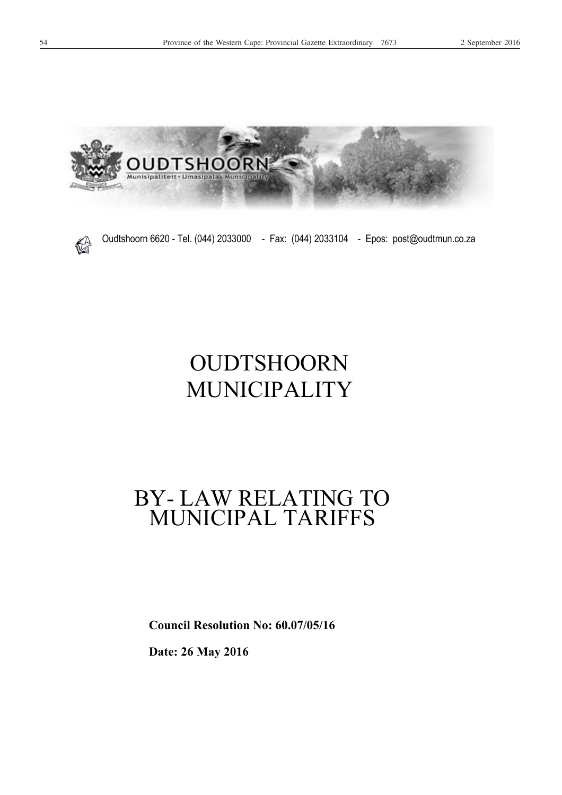



Oudtshoorn 6620 - Tel. (044) 2033000 - Fax: (044) 2033104 - Epos: post@oudtmun.co.za

## OUDTSHOORN MUNICIPALITY

## BY- LAW RELATING TO MUNICIPAL TARIFFS

**Council Resolution No: 60.07/05/16** 

**Date: 26 May 2016**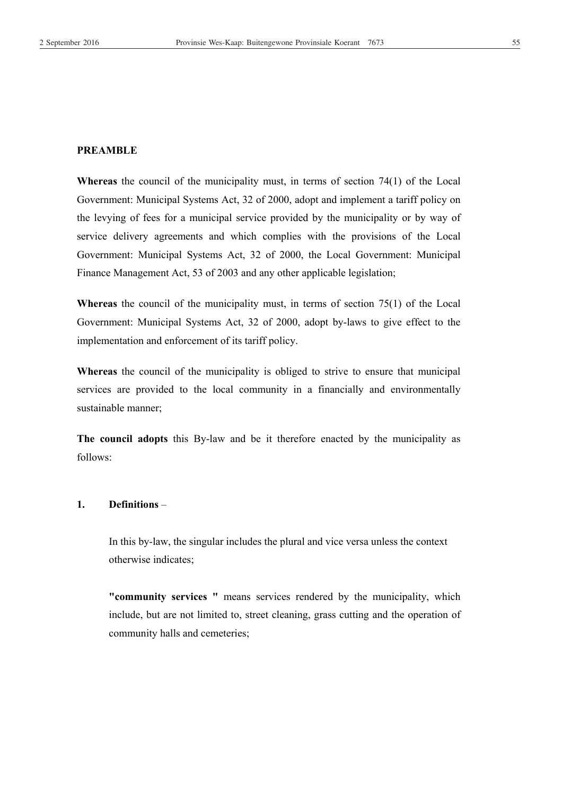**Whereas** the council of the municipality must, in terms of section 74(1) of the Local Government: Municipal Systems Act, 32 of 2000, adopt and implement a tariff policy on the levying of fees for a municipal service provided by the municipality or by way of service delivery agreements and which complies with the provisions of the Local Government: Municipal Systems Act, 32 of 2000, the Local Government: Municipal Finance Management Act, 53 of 2003 and any other applicable legislation;

**Whereas** the council of the municipality must, in terms of section 75(1) of the Local Government: Municipal Systems Act, 32 of 2000, adopt by-laws to give effect to the implementation and enforcement of its tariff policy.

**Whereas** the council of the municipality is obliged to strive to ensure that municipal services are provided to the local community in a financially and environmentally sustainable manner;

**The council adopts** this By-law and be it therefore enacted by the municipality as follows:

#### **1. Definitions** –

In this by-law, the singular includes the plural and vice versa unless the context otherwise indicates;

**"community services "** means services rendered by the municipality, which include, but are not limited to, street cleaning, grass cutting and the operation of community halls and cemeteries;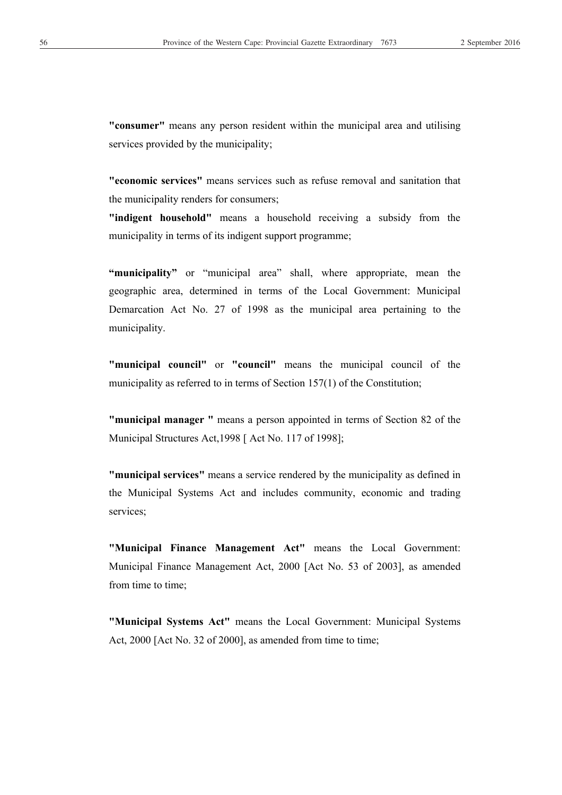**"consumer"** means any person resident within the municipal area and utilising services provided by the municipality;

**"economic services"** means services such as refuse removal and sanitation that the municipality renders for consumers;

**"indigent household"** means a household receiving a subsidy from the municipality in terms of its indigent support programme;

**"municipality"** or "municipal area" shall, where appropriate, mean the geographic area, determined in terms of the Local Government: Municipal Demarcation Act No. 27 of 1998 as the municipal area pertaining to the municipality.

**"municipal council"** or **"council"** means the municipal council of the municipality as referred to in terms of Section 157(1) of the Constitution;

**"municipal manager "** means a person appointed in terms of Section 82 of the Municipal Structures Act,1998 [ Act No. 117 of 1998];

**"municipal services"** means a service rendered by the municipality as defined in the Municipal Systems Act and includes community, economic and trading services;

**"Municipal Finance Management Act"** means the Local Government: Municipal Finance Management Act, 2000 [Act No. 53 of 2003], as amended from time to time:

**"Municipal Systems Act"** means the Local Government: Municipal Systems Act, 2000 [Act No. 32 of 2000], as amended from time to time;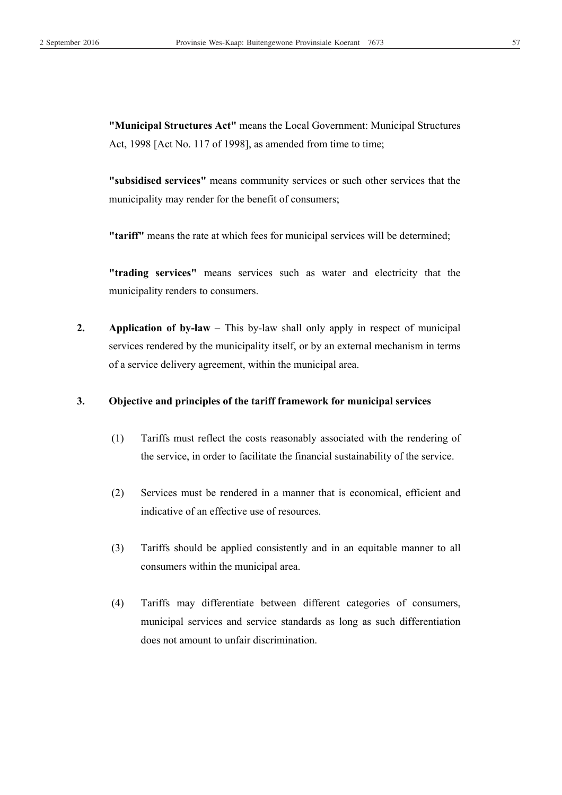**"Municipal Structures Act"** means the Local Government: Municipal Structures Act, 1998 [Act No. 117 of 1998], as amended from time to time;

**"subsidised services"** means community services or such other services that the municipality may render for the benefit of consumers;

**"tariff"** means the rate at which fees for municipal services will be determined;

**"trading services"** means services such as water and electricity that the municipality renders to consumers.

**2.** Application of by-law – This by-law shall only apply in respect of municipal services rendered by the municipality itself, or by an external mechanism in terms of a service delivery agreement, within the municipal area.

#### **3. Objective and principles of the tariff framework for municipal services**

- (1) Tariffs must reflect the costs reasonably associated with the rendering of the service, in order to facilitate the financial sustainability of the service.
- (2) Services must be rendered in a manner that is economical, efficient and indicative of an effective use of resources.
- (3) Tariffs should be applied consistently and in an equitable manner to all consumers within the municipal area.
- (4) Tariffs may differentiate between different categories of consumers, municipal services and service standards as long as such differentiation does not amount to unfair discrimination.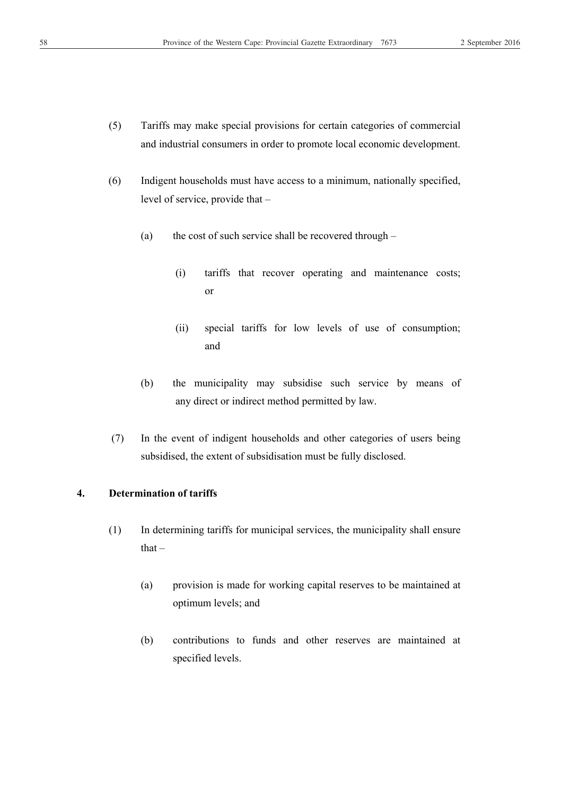- (5) Tariffs may make special provisions for certain categories of commercial and industrial consumers in order to promote local economic development.
- (6) Indigent households must have access to a minimum, nationally specified, level of service, provide that –
	- (a) the cost of such service shall be recovered through
		- (i) tariffs that recover operating and maintenance costs; or
		- (ii) special tariffs for low levels of use of consumption; and
	- (b) the municipality may subsidise such service by means of any direct or indirect method permitted by law.
- (7) In the event of indigent households and other categories of users being subsidised, the extent of subsidisation must be fully disclosed.

#### **4. Determination of tariffs**

- (1) In determining tariffs for municipal services, the municipality shall ensure that –
	- (a) provision is made for working capital reserves to be maintained at optimum levels; and
	- (b) contributions to funds and other reserves are maintained at specified levels.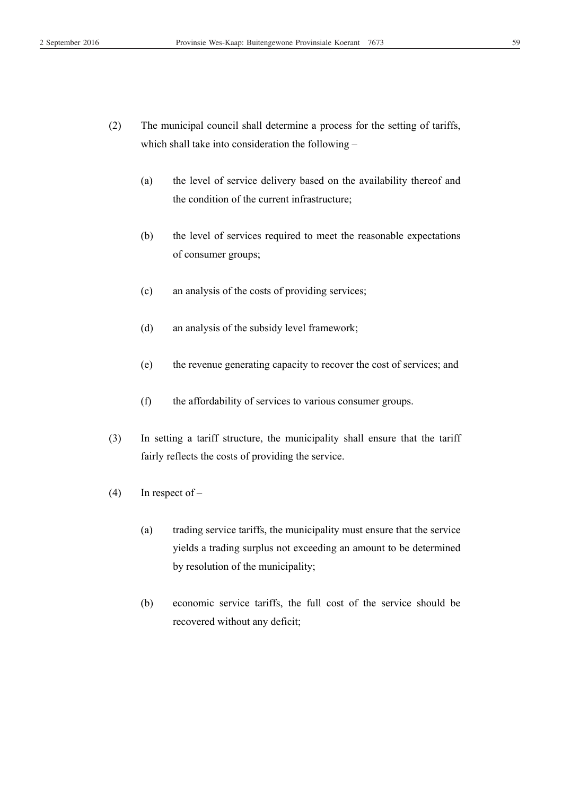- (2) The municipal council shall determine a process for the setting of tariffs, which shall take into consideration the following –
	- (a) the level of service delivery based on the availability thereof and the condition of the current infrastructure;
	- (b) the level of services required to meet the reasonable expectations of consumer groups;
	- (c) an analysis of the costs of providing services;
	- (d) an analysis of the subsidy level framework;
	- (e) the revenue generating capacity to recover the cost of services; and
	- (f) the affordability of services to various consumer groups.
- (3) In setting a tariff structure, the municipality shall ensure that the tariff fairly reflects the costs of providing the service.
- $(4)$  In respect of
	- (a) trading service tariffs, the municipality must ensure that the service yields a trading surplus not exceeding an amount to be determined by resolution of the municipality;
	- (b) economic service tariffs, the full cost of the service should be recovered without any deficit;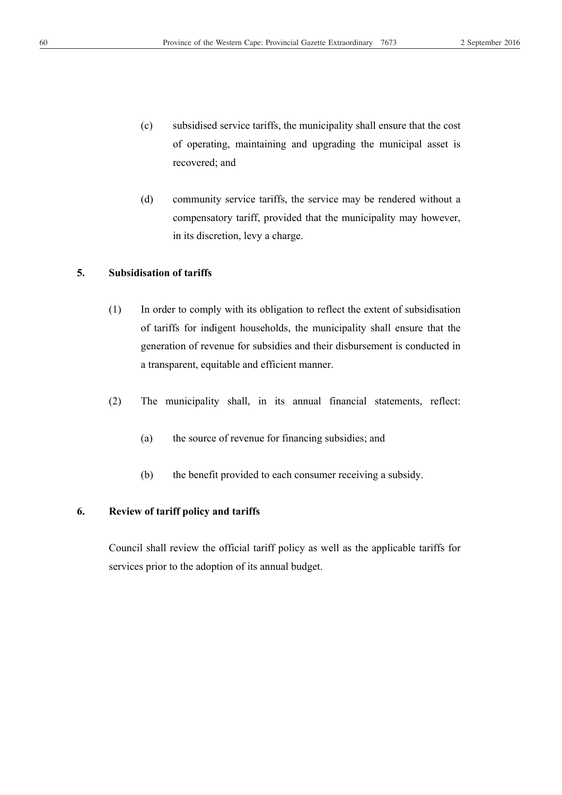- (c) subsidised service tariffs, the municipality shall ensure that the cost of operating, maintaining and upgrading the municipal asset is recovered; and
- (d) community service tariffs, the service may be rendered without a compensatory tariff, provided that the municipality may however, in its discretion, levy a charge.

#### **5. Subsidisation of tariffs**

- (1) In order to comply with its obligation to reflect the extent of subsidisation of tariffs for indigent households, the municipality shall ensure that the generation of revenue for subsidies and their disbursement is conducted in a transparent, equitable and efficient manner.
- (2) The municipality shall, in its annual financial statements, reflect:
	- (a) the source of revenue for financing subsidies; and
	- (b) the benefit provided to each consumer receiving a subsidy.

#### **6. Review of tariff policy and tariffs**

Council shall review the official tariff policy as well as the applicable tariffs for services prior to the adoption of its annual budget.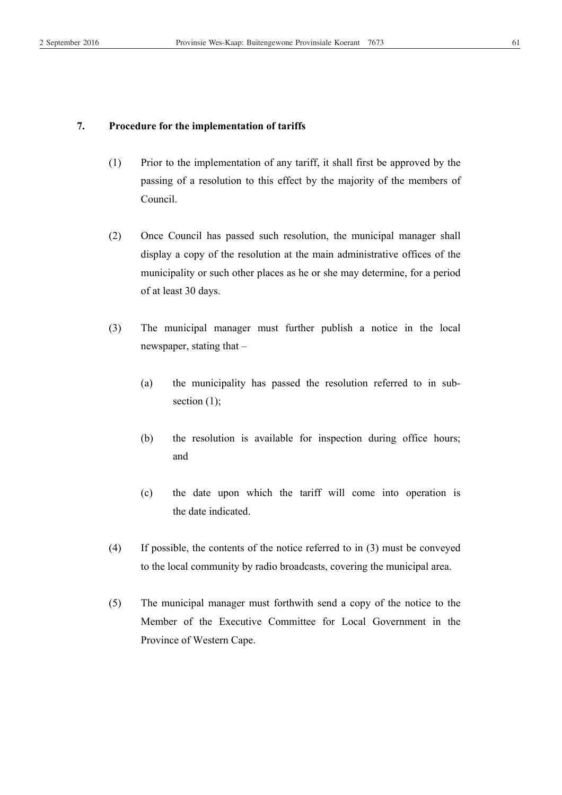#### **7. Procedure for the implementation of tariffs**

- (1) Prior to the implementation of any tariff, it shall first be approved by the passing of a resolution to this effect by the majority of the members of Council.
- (2) Once Council has passed such resolution, the municipal manager shall display a copy of the resolution at the main administrative offices of the municipality or such other places as he or she may determine, for a period of at least 30 days.
- (3) The municipal manager must further publish a notice in the local newspaper, stating that –
	- (a) the municipality has passed the resolution referred to in sub section  $(1)$ ;
	- (b) the resolution is available for inspection during office hours; and
	- (c) the date upon which the tariff will come into operation is the date indicated.
- (4) If possible, the contents of the notice referred to in (3) must be conveyed to the local community by radio broadcasts, covering the municipal area.
- (5) The municipal manager must forthwith send a copy of the notice to the Member of the Executive Committee for Local Government in the Province of Western Cape.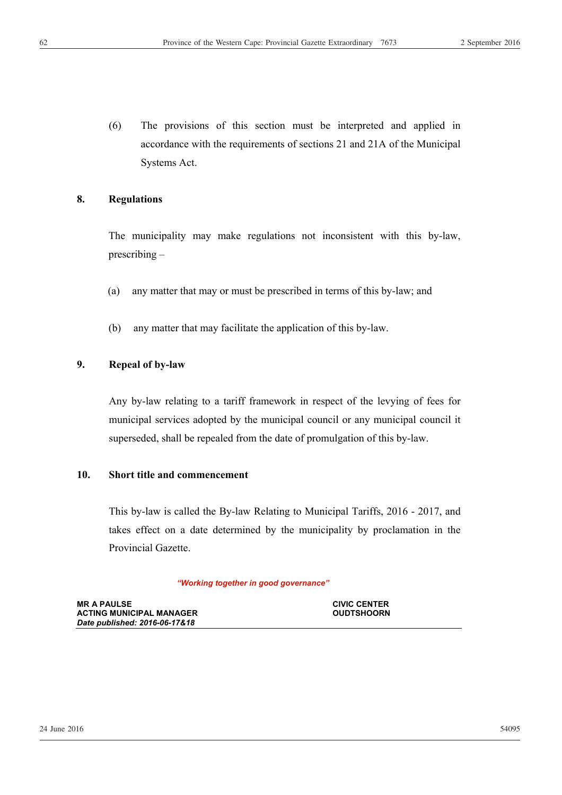(6) The provisions of this section must be interpreted and applied in accordance with the requirements of sections 21 and 21A of the Municipal Systems Act.

#### **8. Regulations**

The municipality may make regulations not inconsistent with this by-law, prescribing –

- (a) any matter that may or must be prescribed in terms of this by-law; and
- (b) any matter that may facilitate the application of this by-law.

#### **9. Repeal of by-law**

Any by-law relating to a tariff framework in respect of the levying of fees for municipal services adopted by the municipal council or any municipal council it superseded, shall be repealed from the date of promulgation of this by-law.

#### **10. Short title and commencement**

This by-law is called the By-law Relating to Municipal Tariffs, 2016 - 2017, and takes effect on a date determined by the municipality by proclamation in the Provincial Gazette.

#### *"Working together in good governance"*

| <b>MR A PAULSE</b>              | <b>CIVIC CENTER</b> |
|---------------------------------|---------------------|
| <b>ACTING MUNICIPAL MANAGER</b> | <b>OUDTSHOORN</b>   |
| Date published: 2016-06-17&18   |                     |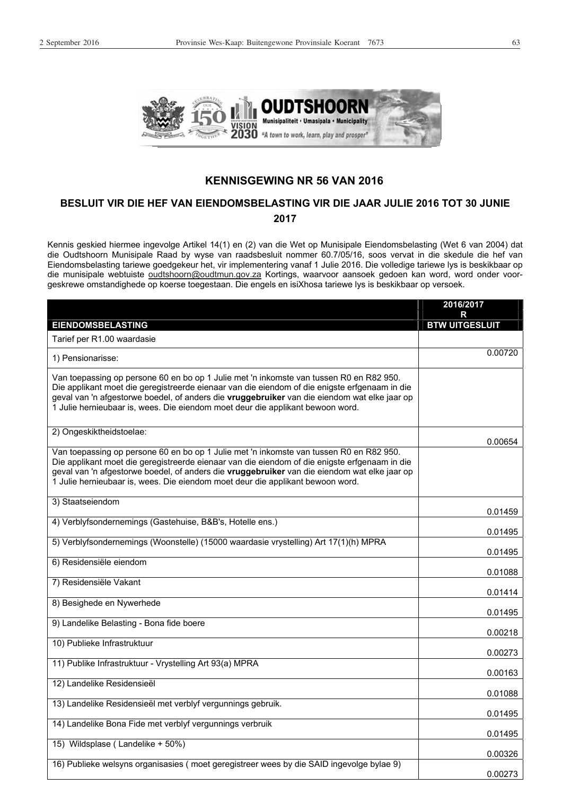

#### **KENNISGEWING NR 56 VAN 2016**

#### **BESLUIT VIR DIE HEF VAN EIENDOMSBELASTING VIR DIE JAAR JULIE 2016 TOT 30 JUNIE 2017**

Kennis geskied hiermee ingevolge Artikel 14(1) en (2) van die Wet op Munisipale Eiendomsbelasting (Wet 6 van 2004) dat die Oudtshoorn Munisipale Raad by wyse van raadsbesluit nommer 60.7/05/16, soos vervat in die skedule die hef van Eiendomsbelasting tariewe goedgekeur het, vir implementering vanaf 1 Julie 2016. Die volledige tariewe lys is beskikbaar op die munisipale webtuiste oudtshoorn@oudtmun.gov.za Kortings, waarvoor aansoek gedoen kan word, word onder voorgeskrewe omstandighede op koerse toegestaan. Die engels en isiXhosa tariewe lys is beskikbaar op versoek.

|                                                                                                                                                                                                                                                                                                                                                                            | 2016/2017             |
|----------------------------------------------------------------------------------------------------------------------------------------------------------------------------------------------------------------------------------------------------------------------------------------------------------------------------------------------------------------------------|-----------------------|
|                                                                                                                                                                                                                                                                                                                                                                            | R                     |
| <b>EIENDOMSBELASTING</b>                                                                                                                                                                                                                                                                                                                                                   | <b>BTW UITGESLUIT</b> |
| Tarief per R1.00 waardasie                                                                                                                                                                                                                                                                                                                                                 |                       |
| 1) Pensionarisse:                                                                                                                                                                                                                                                                                                                                                          | 0.00720               |
| Van toepassing op persone 60 en bo op 1 Julie met 'n inkomste van tussen R0 en R82 950.<br>Die applikant moet die geregistreerde eienaar van die eiendom of die enigste erfgenaam in die<br>geval van 'n afgestorwe boedel, of anders die vruggebruiker van die eiendom wat elke jaar op<br>1 Julie hernieubaar is, wees. Die eiendom moet deur die applikant bewoon word. |                       |
| 2) Ongeskiktheidstoelae:                                                                                                                                                                                                                                                                                                                                                   | 0.00654               |
| Van toepassing op persone 60 en bo op 1 Julie met 'n inkomste van tussen R0 en R82 950.<br>Die applikant moet die geregistreerde eienaar van die eiendom of die enigste erfgenaam in die<br>geval van 'n afgestorwe boedel, of anders die vruggebruiker van die eiendom wat elke jaar op<br>1 Julie hernieubaar is, wees. Die eiendom moet deur die applikant bewoon word. |                       |
| 3) Staatseiendom                                                                                                                                                                                                                                                                                                                                                           | 0.01459               |
| 4) Verblyfsondernemings (Gastehuise, B&B's, Hotelle ens.)                                                                                                                                                                                                                                                                                                                  | 0.01495               |
| 5) Verblyfsondernemings (Woonstelle) (15000 waardasie vrystelling) Art 17(1)(h) MPRA                                                                                                                                                                                                                                                                                       | 0.01495               |
| 6) Residensiële eiendom                                                                                                                                                                                                                                                                                                                                                    | 0.01088               |
| 7) Residensiële Vakant                                                                                                                                                                                                                                                                                                                                                     | 0.01414               |
| 8) Besighede en Nywerhede                                                                                                                                                                                                                                                                                                                                                  | 0.01495               |
| 9) Landelike Belasting - Bona fide boere                                                                                                                                                                                                                                                                                                                                   | 0.00218               |
| 10) Publieke Infrastruktuur                                                                                                                                                                                                                                                                                                                                                | 0.00273               |
| 11) Publike Infrastruktuur - Vrystelling Art 93(a) MPRA                                                                                                                                                                                                                                                                                                                    | 0.00163               |
| 12) Landelike Residensieël                                                                                                                                                                                                                                                                                                                                                 | 0.01088               |
| 13) Landelike Residensieël met verblyf vergunnings gebruik.                                                                                                                                                                                                                                                                                                                | 0.01495               |
| 14) Landelike Bona Fide met verblyf vergunnings verbruik                                                                                                                                                                                                                                                                                                                   | 0.01495               |
| 15) Wildsplase (Landelike + 50%)                                                                                                                                                                                                                                                                                                                                           | 0.00326               |
| 16) Publieke welsyns organisasies (moet geregistreer wees by die SAID ingevolge bylae 9)                                                                                                                                                                                                                                                                                   | 0.00273               |